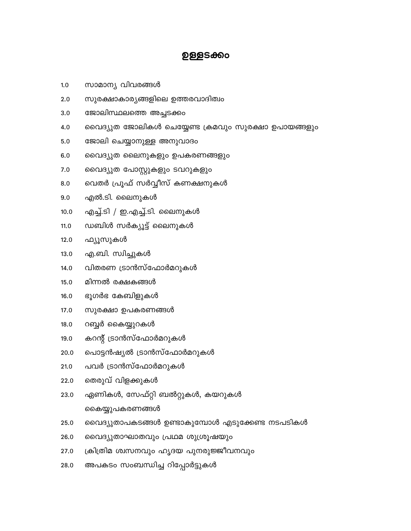#### 28.0 അപകടം സംബന്ധിച്ച റിപ്പോർട്ടുകൾ

- ക്രിത്രിമ ശ്വസനവും ഹൃദയ പുനരുജ്ജീവനവും 27.0
- 26.0 വൈദ്യുതാഘാതവും പ്രഥമ ശുശ്രൂഷയും
- വൈദ്യുതാപകടങ്ങൾ ഉണ്ടാകുമ്പോൾ എടുക്കേണ്ട നടപടികൾ 25.0
- കൈയ്യുപകരണങ്ങൾ
- ഏണികൾ, സേഫ്റ്റി ബൽറ്റുകൾ, കയറുകൾ 23.0
- തെരുവ് വിളക്കുകൾ 22.0
- പവർ ട്രാൻസ്ഫോർമറുകൾ 21.0
- പൊട്ടൻഷ്യൽ ട്രാൻസ്ഫോർമറുകൾ 20.0
- കറന്റ് ട്രാൻസ്ഫോർമറുകൾ 19.0
- $18.0$ റബ്ബർ കൈയ്യുറകൾ
- $17.0$ സുരക്ഷാ ഉപകരണങ്ങൾ
- ഭൂഗർഭ കേബിളുകൾ  $16.0$
- മിന്നൽ രക്ഷകങ്ങൾ  $15.0$
- വിതരണ ട്രാൻസ്ഫോർമറുകൾ  $14.0$
- $13.0$ എ.ബി. സ്വിച്ചുകൾ
- $12.0$ ഫ്യൂസുകൾ
- ഡബിൾ സർക്യൂട്ട് ലൈനുകൾ  $11.0$
- എച്ച്.ടി / ഇ.എച്ച്.ടി. ലൈനുകൾ
- 
- $10.0$
- എൽ.ടി. ലൈനുകൾ  $9.0$
- 
- 
- 

ജോലിസ്ഥലത്തെ അച്ചടക്കം

- 
- 
- 
- 
- വെതർ പ്രൂഫ് സർവ്വീസ് കണക്ഷനുകൾ

വൈദ്യുത പോസ്റ്റുകളും ടവറുകളും

സുരക്ഷാകാര്യങ്ങളിലെ ഉത്തരവാദിത്വം

വൈദ്യുത ലൈനുകളും ഉപകരണങ്ങളും

ഉള്ളടക്കം

വൈദ്യുത ജോലികൾ ചെയ്യേണ്ട ക്രമവും സുരക്ഷാ ഉപായങ്ങളും

 $8.0$ 

സാമാന്യ വിവരങ്ങൾ

 $1.0$ 

 $2.0$ 

 $3.0$ 

4.0

 $5.0$ 

 $6.0$ 

 $7.0$ 

- 
- 
- 

ജോലി ചെയ്യാനുള്ള അനുവാദം

- 
-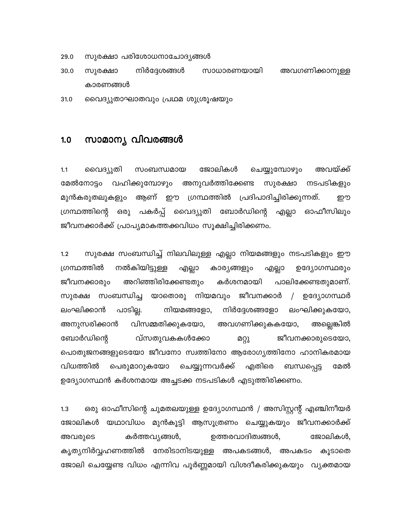- 29.0 സുരക്ഷാ പരിശോധനാചോദ്യങ്ങൾ
- നിർദ്ദേശങ്ങൾ 30.0 സാധാരണയായി അവഗണിക്കാനുള്ള സുരക്ഷാ കാരണങ്ങൾ

വൈദ്യുതാഘാതവും പ്രഥമ ശുശ്രൂഷയും 31.0

#### സാമാന്യ വിവരങ്ങൾ  $1.0$

ജോലികൾ ചെയ്യുമ്പോഴും അവയ്ക്ക്  $1.1$ വൈദ്യുതി സംബന്ധമായ മേൽനോട്ടം വഹിക്കുമ്പോഴും അനുവർത്തിക്കേണ്ട സുരക്ഷാ നടപടികളും മുൻകരുതലുകളും ആണ് ഈ ഗ്രന്ഥത്തിൽ പ്രദിപാദിച്ചിരിക്കുന്നത്. றற ഗ്രന്ഥത്തിന്റെ ഒരു പകർപ്പ് വൈദ്യുതി ബോർഡിന്റെ എല്ലാ ഓഫീസിലും ജീവനക്കാർക്ക് പ്രാപ്യമാകത്തക്കവിധം സൂക്ഷിച്ചിരിക്കണം.

സുരക്ഷ സംബന്ധിച്ച് നിലവിലുള്ള എല്ലാ നിയമങ്ങളും നടപടികളും ഈ  $1.2$ നൽകിയിട്ടുള്ള ഗ്രന്ഥത്തിൽ എല്ലാ എല്ലാ കാര്യങ്ങളും ഉദ്യോഗസ്ഥരും അറിഞ്ഞിരിക്കേണ്ടതും പാലിക്കേണ്ടതുമാണ്. ജീവനക്കാരും കർശനമായി സുരക്ഷ സംബന്ധിച്ച യാതൊരു നിയമവും ജീവനക്കാർ  $\sqrt{2}$ ഉദ്യോഗസ്ഥർ പാടില്ല. ലംഘിക്കുകയോ, ലംഘിക്കാൻ നിയമങ്ങളോ, നിർദ്ദേശങ്ങളോ അനുസരിക്കാൻ വിസമ്മതിക്കുകയോ, അവഗണിക്കുകകയോ, അല്ലെങ്കിൽ ജീവനക്കാരുടെയോ, ബോർഡിന്റെ വ്സതുവകകൾക്കോ മറ്റു പൊതുജനങ്ങളുടെയോ ജീവനോ സ്വത്തിനോ ആരോഗ്യത്തിനോ ഹാനികരമായ വിധത്തിൽ പെരുമാറുകയോ ചെയ്യുന്നവർക്ക് എതിരെ ബന്ധപ്പെട്ട മേൽ ഉദ്യോഗസ്ഥൻ കർശനമായ അച്ചടക്ക നടപടികൾ എടുത്തിരിക്കണം.

ഒരു ഓഫീസിന്റെ ചുമതലയുള്ള ഉദ്യോഗസ്ഥൻ / അസിസ്റ്റന്റ് എഞ്ചിനീയർ  $1.3$ ജോലികൾ യഥാവിധം മുൻകൂട്ടി ആസൂത്രണം ചെയ്യുകയും ജീവനക്കാർക്ക് അവരുടെ കർത്തവ്യങ്ങൾ, ഉത്തരവാദിത്വങ്ങൾ, ജോലികൾ, കൃത്യനിർവ്വഹണത്തിൽ നേരിടാനിടയുള്ള അപകടങ്ങൾ, അപകടം കൂടാതെ ജോലി ചെയ്യേണ്ട വിധം എന്നിവ പൂർണ്ണമായി വിശദീകരിക്കുകയും വ്യക്തമായ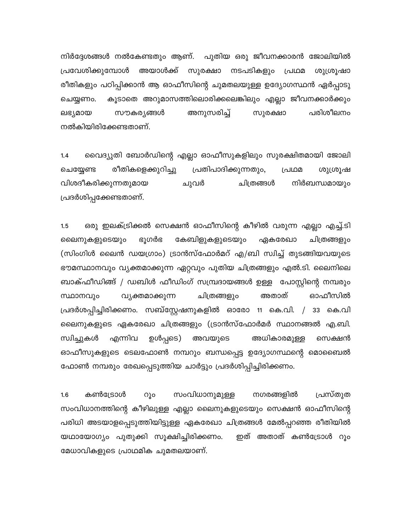നിർദ്ദേശങ്ങൾ നൽകേണ്ടതും ആണ്. പുതിയ ഒരു ജീവനക്കാരൻ ജോലിയിൽ പ്രവേശിക്കുമ്പോൾ അയാൾക്ക് സുരക്ഷാ നടപടികളും പ്രഥമ ശുശ്രൂഷാ രീതികളും പഠിപ്പിക്കാൻ ആ ഓഫീസിന്റെ ചുമതലയുള്ള ഉദ്യോഗസ്ഥൻ ഏർപ്പാടു കൂടാതെ അറുമാസത്തിലൊരിക്കലെങ്കിലും എല്ലാ ജീവനക്കാർക്കും ചെയ്യണം. സൗകര്യങ്ങൾ അനുസരിച്ച് പരിശീലനം ലഭ്യമായ സുരക്ഷാ നൽകിയിരിക്കേണ്ടതാണ്.

വൈദ്യുതി ബോർഡിന്റെ എല്ലാ ഓഫീസുകളിലും സുരക്ഷിതമായി ജോലി  $1.4$ രീതികളെക്കുറിച്ചു പ്രതിപാദിക്കുന്നതും, ചെയ്യേണ്ട പ്രഥമ ശുശ്രൂഷ വിശദീകരിക്കുന്നതുമായ ചുവർ ചിത്രങ്ങൾ നിർബന്ധമായും പ്രദർശിപ്പക്കേണ്ടതാണ്.

ഒരു ഇലക്ട്രിക്കൽ സെക്ഷൻ ഓഫീസിന്റെ കീഴിൽ വരുന്ന എല്ലാ എച്ച്.ടി  $1.5$ കേബിളുകളുടെയും ലൈനുകളുടെയും ഭൂഗർഭ ഏകരേഖാ ചിത്രങ്ങളും (സിംഗിൾ ലൈൻ ഡയഗ്രാം) ട്രാൻസ്ഫോർമറ് എ/ബി സ്വിച്ച് തുടങ്ങിയവയുടെ ഭൗമസ്ഥാനവും വ്യക്തമാക്കുന്ന ഏറ്റവും പുതിയ ചിത്രങ്ങളും എൽ.ടി. ലൈനിലെ ബാക്ഫീഡിങ്ങ് / ഡബിൾ ഫീഡിംഗ് സമ്പ്രദായങ്ങൾ ഉള്ള പോസ്റ്റിന്റെ നമ്പരും വ്യക്തമാക്കുന്ന അതാത് ഓഫീസിൽ സ്ഥാനവും ചിത്രങ്ങളും പ്രദർശപ്പിച്ചിരിക്കണം. സബ്സ്റ്റേഷനുകളിൽ ഓരോ 11 കെ.വി. / 33 കെ.വി ലൈനുകളുടെ ഏകരേഖാ ചിത്രങ്ങളും (ട്രാൻസ്ഫോർമർ സ്ഥാനങ്ങൽ എ.ബി. സ്വിച്ചുകൾ എന്നിവ ഉൾപ്പടെ) അവയുടെ അധികാരമുള്ള സെക്ഷൻ ഓഫീസുകളുടെ ടെലഫോൺ നമ്പറും ബന്ധപ്പെട്ട ഉദ്യോഗസ്ഥന്റെ മൊബൈൽ ഫോൺ നമ്പരും രേഖപ്പെടുത്തിയ ചാർട്ടും പ്രദർശിപ്പിച്ചിരിക്കണം.

പ്രസ്തുത  $1.6$ കൺട്രോൾ  $O<sub>a</sub>$ സംവിധാനുമുള്ള നഗരങ്ങളിൽ സംവിധാനത്തിന്റെ കീഴിലുള്ള എല്ലാ ലൈനുകളുടെയും സെക്ഷൻ ഓഫീസിന്റെ പരിധി അടയാളപ്പെടുത്തിയിട്ടുള്ള ഏകരേഖാ ചിത്രങ്ങൾ മേൽപ്പറഞ്ഞ രീതിയിൽ ഇത് അതാത് കൺട്രോൾ റൂം യഥായോഗ്യം പുതുക്കി സൂക്ഷിച്ചിരിക്കണം. മേധാവികളുടെ പ്രാഥമിക ചുമതലയാണ്.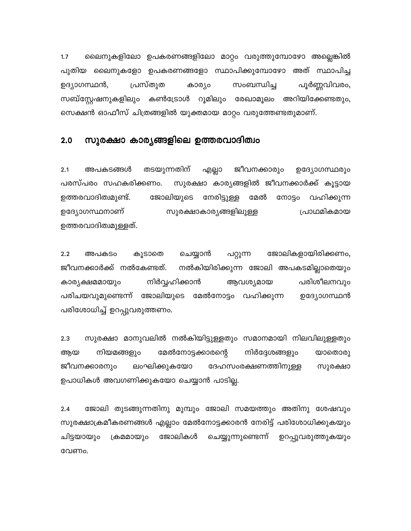$1.7$ ലൈനുകളിലോ ഉപകരണങ്ങളിലോ മാറ്റം വരുത്തുമ്പോഴോ അല്ലെങ്കിൽ പുതിയ ലൈനുകളോ ഉപകരണങ്ങളോ സ്ഥാപിക്കുമ്പോഴോ അത് സ്ഥാപിച്ച പ്രസ്തുത ഉദ്യാഗസ്ഥൻ, കാര്യം സംബന്ധിച്ച പൂർണ്ണവിവരം, സബ്സ്റ്റേഷനുകളിലും കൺട്രോൾ റൂമിലും രേഖാമൂലം അറിയിക്കേണ്ടതും, സെക്ഷൻ ഓഫീസ് ചിത്രങ്ങളിൽ യുക്തമായ മാറ്റം വരുത്തേണ്ടതുമാണ്.

#### സുരക്ഷാ കാര്യങ്ങളിലെ ഉത്തരവാദിത്വം  $2.0$

തടയുന്നതിന്  $2.1$ അപകടങ്ങൾ എല്ലാ ജീവനക്കാരും ഉദ്യോഗസ്ഥരും സുരക്ഷാ കാര്യങ്ങളിൽ ജീവനക്കാർക്ക് കൂട്ടായ പരസ്പരം സഹകരിക്കണം. നോട്ടം വഹിക്കുന്ന ഉത്തരവാദിത്വമുണ്ട്. ജോലിയുടെ നേരിട്ടുള്ള മേൽ ഉദ്യോഗസ്ഥനാണ് സുരക്ഷാകാര്യങ്ങളിലുള്ള പ്രാഥമികമായ ഉത്തരവാദിത്വമുള്ളത്.

 $2.2$ കൂടാതെ ചെയ്യാൻ പറ്റുന്ന ജോലികളായിരിക്കണം, അപകടം ജീവനക്കാർക്ക് നൽകേണ്ടത്. നൽകിയിരിക്കുന്ന ജോലി അപകടമില്ലാതെയും നിർവ്വഹിക്കാൻ ആവശ്യമായ പരിശീലനവും കാര്യക്ഷമമായും പരിചയവുമുണ്ടെന്ന് ജോലിയുടെ മേൽനോട്ടം വഹിക്കുന്ന ഉദ്യോഗസ്ഥൻ പരിശോധിച്ച് ഉറപ്പുവരുത്തണം.

 $2.3$ സുരക്ഷാ മാനുവലിൽ നൽകിയിട്ടുള്ളതും സമാനമായി നിലവിലുള്ളതും നിർദ്ദേശങ്ങളും നിയമങ്ങളും മേൽനോട്ടക്കാരന്റെ ആയ യാതൊരു ജീവനക്കാരനും ലംഘിക്കുകയോ ദേഹസംരക്ഷണത്തിനുള്ള സുരക്ഷാ ഉപാധികൾ അവഗണിക്കുകയോ ചെയ്യാൻ പാടില്ല.

ജോലി തുടങ്ങുന്നതിനു മുമ്പും ജോലി സമയത്തും അതിനു ശേഷവും  $2.4$ സുരക്ഷാക്രമീകരണങ്ങൾ എല്ലാം മേൽനോട്ടക്കാരൻ നേരിട്ട് പരിശോധിക്കുകയും ക്രമമായും ജോലികൾ ചിട്ടയായും ചെയ്യുന്നുണ്ടെന്ന് ഉറപ്പുവരുത്തുകയും വേണം.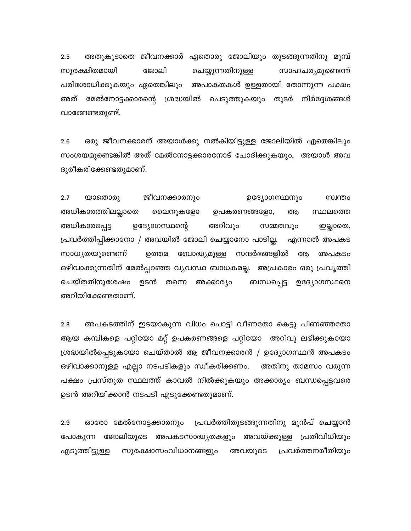അതുകൂടാതെ ജീവനക്കാർ ഏതൊരു ജോലിയും തുടങ്ങുന്നതിനു മുമ്പ്  $2.5$ സുരക്ഷിതമായി ജോലി ചെയ്യുന്നതിനുള്ള സാഹചര്യമുണ്ടെന്ന് പരിശോധിക്കുകയും ഏതെങ്കിലും അപാകതകൾ ഉള്ളതായി തോന്നുന്ന പക്ഷം അത് മേൽനോട്ടക്കാരന്റെ ശ്രദ്ധയിൽ പെടുത്തുകയും തുടർ നിർദ്ദേശങ്ങൾ വാങ്ങേണ്ടതുണ്ട്.

ഒരു ജീവനക്കാരന് അയാൾക്കു നൽകിയിട്ടുള്ള ജോലിയിൽ ഏതെങ്കിലും  $2.6$ സംശയമുണ്ടെങ്കിൽ അത് മേൽനോട്ടക്കാരനോട് ചോദിക്കുകയും, അയാൾ അവ ദൂരീകരിക്കേണ്ടതുമാണ്.

 $2.7$ ജീവനക്കാരനും ഉദ്യോഗസ്ഥനും യാതൊരു സ്വന്തം അധികാരത്തിലല്ലാതെ ലൈനുകളോ ഉപകരണങ്ങളോ, ആ സ്ഥലത്തെ അധികാരപ്പെട്ട ഉദ്യോഗസ്ഥന്റെ അറിവും സമ്മതവും ഇല്ലാതെ, പ്രവർത്തിപ്പിക്കാനോ / അവയിൽ ജോലി ചെയ്യാനോ പാടില്ല. എന്നാൽ അപകട സാധ്യതയുണ്ടെന്ന് ഉത്തമ ബോദ്ധ്യമുള്ള സന്ദർഭങ്ങളിൽ ആ അപകടം ഒഴിവാക്കുന്നതിന് മേൽപ്പറഞ്ഞ വ്യവസ്ഥ ബാധകമല്ല. അപ്രകാരം ഒരു പ്രവൃത്തി ചെയ്തതിനുശേഷം ഉടൻ തന്നെ അക്കാര്യം ബന്ധപ്പെട്ട ഉദ്യോഗസ്ഥനെ അറിയിക്കേണ്ടതാണ്.

 $2.8$ അപകടത്തിന് ഇടയാകുന്ന വിധം പൊട്ടി വീണതോ കെട്ടു പിണഞ്ഞതോ ആയ കമ്പികളെ പറ്റിയോ മറ്റ് ഉപകരണങ്ങളെ പറ്റിയോ അറിവു ലഭിക്കുകയോ ശ്രദ്ധയിൽപ്പെടുകയോ ചെയ്താൽ ആ ജീവനക്കാരൻ / ഉദ്യോഗസ്ഥൻ അപകടം ഒഴിവാക്കാനുള്ള എല്ലാ നടപടികളും സ്വീകരിക്കണം. അതിനു താമസം വരുന്ന പക്ഷം പ്രസ്തുത സ്ഥലത്ത് കാവൽ നിൽക്കുകയും അക്കാര്യം ബന്ധപ്പെട്ടവരെ ഉടൻ അറിയിക്കാൻ നടപടി എടുക്കേണ്ടതുമാണ്.

ഓരോ മേൽനോട്ടക്കാരനും പ്രവർത്തിതുടങ്ങുന്നതിനു മുൻപ് ചെയ്യാൻ  $2.9$ പോകുന്ന ജോലിയുടെ അപകടസാദ്ധ്യതകളും അവയ്ക്കുള്ള പ്രതിവിധിയും പ്രവർത്തനരീതിയും എടുത്തിട്ടുള്ള സുരക്ഷാസംവിധാനങ്ങളും അവയുടെ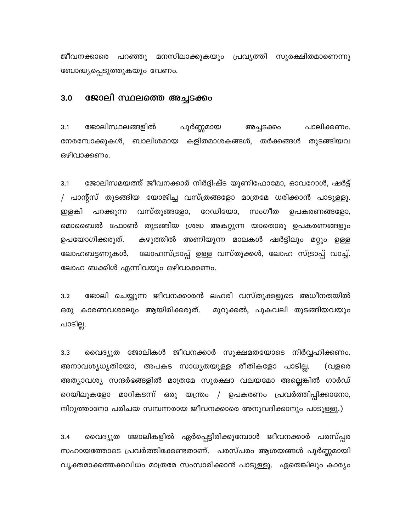ജീവനക്കാരെ പറഞ്ഞു മനസിലാക്കുകയും പ്രവൃത്തി സുരക്ഷിതമാണെന്നു ബോദ്ധ്യപ്പെടുത്തുകയും വേണം.

#### ജോലി സ്ഥലത്തെ അച്ചടക്കം  $3.0$

ജോലിസ്ഥലങ്ങളിൽ  $3.1$ പൂർണ്ണമായ പാലിക്കണം. അച്ചടക്കം നേരമ്പോക്കുകൾ, ബാലിശമായ കളിതമാശകങ്ങൾ, തർക്കങ്ങൾ തുടങ്ങിയവ ഒഴിവാക്കണം.

 $3.1$ ജോലിസമയത്ത് ജീവനക്കാർ നിർദ്ദിഷ്ട യൂണിഫോമോ, ഓവറോൾ, ഷർട്ട് / പാന്റ്സ് തുടങ്ങിയ യോജിച്ച വസ്ത്രങ്ങളോ മാത്രമേ ധരിക്കാൻ പാടുള്ളൂ. വസ്തുങ്ങളോ, റേഡിയോ, സംഗീത ഉപകരണങ്ങളോ, ഇളകി പറക്കുന്ന മൊബൈൽ ഫോൺ തുടങ്ങിയ ശ്രദ്ധ അകറ്റുന്ന യാതൊരു ഉപകരണങ്ങളും ഉപയോഗിക്കരുത്. കഴുത്തിൽ അണിയുന്ന മാലകൾ ഷർട്ടിലും മറ്റും ഉള്ള ലോഹസ്ട്രാപ്പ് ഉള്ള വസ്തുക്കൾ, ലോഹ സ്ട്രാപ്പ് വാച്ച്, ലോഹബട്ടണുകൾ, ലോഹ ബക്കിൾ എന്നിവയും ഒഴിവാക്കണം.

ജോലി ചെയ്യുന്ന ജീവനക്കാരൻ ലഹരി വസ്തുക്കളുടെ അധീനതയിൽ  $3.2$ ഒരു കാരണവശാലും ആയിരിക്കരുത്. മുറുക്കൽ, പുകവലി തുടങ്ങിയവയും പാടില്ല.

വൈദ്യുത ജോലികൾ ജീവനക്കാർ സൂക്ഷമതയോടെ നിർവ്വഹിക്കണം.  $3.3$ അനാവശ്യധൃതിയോ, അപകട സാധ്യതയുള്ള രീതികളോ പാടില്ല. (വളരെ അത്യാവശ്യ സന്ദർഭങ്ങളിൽ മാത്രമേ സുരക്ഷാ വലയമോ അല്ലെങ്കിൽ ഗാർഡ് റെയിലുകളോ മാറികടന്ന് ഒരു യന്ത്രം / ഉപകരണം പ്രവർത്തിപ്പിക്കാനോ, നിറുത്താനോ പരിചയ സമ്പന്നരായ ജീവനക്കാരെ അനുവദിക്കാനും പാടുള്ളൂ.)

വൈദ്യുത ജോലികളിൽ ഏർപ്പെട്ടിരിക്കുമ്പോൾ ജീവനക്കാർ പരസ്പ്പര  $3.4$ സഹായത്തോടെ പ്രവർത്തിക്കേണ്ടതാണ്. പരസ്പരം ആശയങ്ങൾ പൂർണ്ണമായി വ്യക്തമാക്കത്തക്കവിധം മാത്രമേ സംസാരിക്കാൻ പാടുള്ളൂ. ഏതെങ്കിലും കാര്യം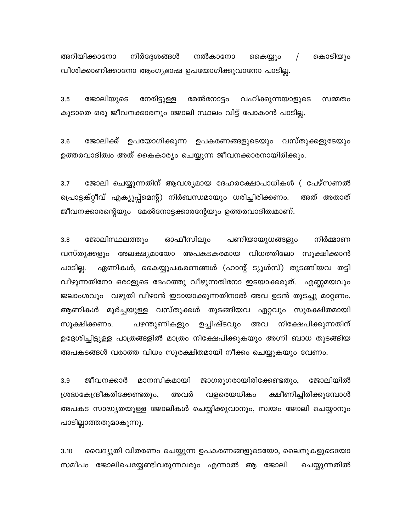അറിയിക്കാനോ നിർദ്ദേശങ്ങൾ നൽകാനോ കൈയ്യും  $\sqrt{2}$ കൊടിയും വീശിക്കാണിക്കാനോ ആംഗ്യഭാഷ ഉപയോഗിക്കുവാനോ പാടില്ല.

 $3.5$ ജോലിയുടെ നേരിട്ടുള്ള മേൽനോട്ടം വഹിക്കുന്നയാളുടെ സമ്മതം കൂടാതെ ഒരു ജീവനക്കാരനും ജോലി സ്ഥലം വിട്ട് പോകാൻ പാടില്ല.

ജോലിക്ക് ഉപയോഗിക്കുന്ന ഉപകരണങ്ങളുടെയും വസ്തുക്കളുടേയും  $3.6$ ഉത്തരവാദിത്വം അത് കൈകാര്യം ചെയ്യുന്ന ജീവനക്കാരനായിരിക്കും.

 $3.7$ ജോലി ചെയ്യുന്നതിന് ആവശ്യമായ ദേഹരക്ഷോപാധികൾ ( പേഴ്സണൽ പ്രൊട്ടക്റ്റീവ് എക്യുപ്പ്മെന്റ്) നിർബന്ധമായും ധരിച്ചിരിക്കണം. അത് അതാത് ജീവനക്കാരന്റെയും മേൽനോട്ടക്കാരന്റേയും ഉത്തരവാദിത്വമാണ്.

പണിയായുധങ്ങളും  $3.8$ ജോലിസ്ഥലത്തും ഓഫീസിലും നിർമ്മാണ വസ്തുക്കളും അലക്ഷ്യമായോ അപകടകരമായ വിധത്തിലോ സൂക്ഷിക്കാൻ പാടില്ല. ഏണികൾ, കൈയ്യുപകരണങ്ങൾ (ഹാന്റ് ട്യൂൾസ്) തുടങ്ങിയവ തട്ടി വീഴുന്നതിനോ ഒരാളുടെ ദേഹത്തു വീഴുന്നതിനോ ഇടയാക്കരുത്. എണ്ണമയവും ജലാംശവും വഴുതി വീഴാൻ ഇടായാക്കുന്നതിനാൽ അവ ഉടൻ തുടച്ചു മാറ്റണം. ആണികൾ മൂർച്ചയുള്ള വസ്തുക്കൾ തുടങ്ങിയവ ഏറ്റവും സുരക്ഷിതമായി സൂക്ഷിക്കണം. പഴന്തുണികളും ഉച്ചിഷ്ടവും അവ നിക്ഷേപിക്കുന്നതിന് ഉദ്ദേശിച്ചിട്ടുള്ള പാത്രങ്ങളിൽ മാത്രം നിക്ഷേപിക്കുകയും അഗ്നി ബാധ തുടങ്ങിയ അപകടങ്ങൾ വരാത്ത വിധം സുരക്ഷിതമായി നീക്കം ചെയ്യുകയും വേണം.

മാനസികമായി 3.9 ജീവനക്കാർ ജാഗരൂഗരായിരിക്കേണ്ടതും, ജോലിയിൽ ശ്രദ്ധകേന്ദ്രീകരിക്കേണ്ടതും, അവർ വളരെയധികം ക്ഷീണിച്ചിരിക്കുമ്പോൾ അപകട സാദ്ധ്യതയുള്ള ജോലികൾ ചെയ്യിക്കുവാനും, സ്വയം ജോലി ചെയ്യാനും പാടില്ലാത്തതുമാകുന്നു.

വൈദ്യുതി വിതരണം ചെയ്യുന്ന ഉപകരണങ്ങളുടെയോ, ലൈനുകളുടെയോ  $3.10$ സമീപം ജോലിചെയ്യേണ്ടിവരുന്നവരും എന്നാൽ ആ ജോലി ചെയ്യുന്നതിൽ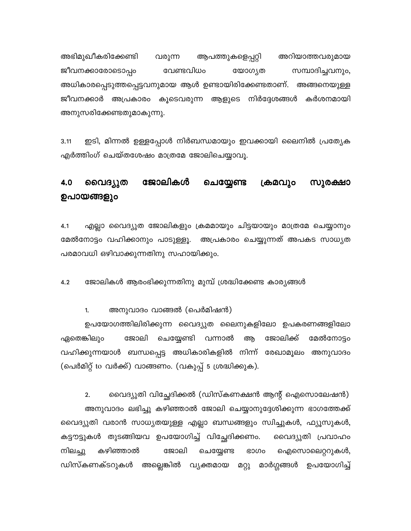അഭിമുഖീകരിക്കേണ്ടി വരുന്ന ആപത്തുകളെപ്പറ്റി അറിയാത്തവരുമായ ജീവനക്കാരോടൊപ്പം വേണ്ടവിധം യോഗ്യത സമ്പാദിച്ചവനും, അധികാരപ്പെടുത്തപ്പെട്ടവനുമായ ആൾ ഉണ്ടായിരിക്കേണ്ടതാണ്. അങ്ങനെയുള്ള ജീവനക്കാർ അപ്രകാരം കൂടെവരുന്ന ആളുടെ നിർദ്ദേശങ്ങൾ കർശനമായി അനുസരിക്കേണ്ടതുമാകുന്നു.

ഇടി, മിന്നൽ ഉള്ളപ്പോൾ നിർബന്ധമായും ഇവക്കായി ലൈനിൽ പ്രത്യേക  $3.11$ എർത്തിംഗ് ചെയ്തശേഷം മാത്രമേ ജോലിചെയ്യാവൂ.

#### ജോലികൾ സുരക്ഷാ 4.0 വൈദ്യുത ചെയ്യേണ്ട ക്രമവും ഉപായങ്ങളും

എല്ലാ വൈദ്യുത ജോലികളും ക്രമമായും ചിട്ടയായും മാത്രമേ ചെയ്യാനും  $4.1$ മേൽനോട്ടം വഹിക്കാനും പാടുള്ളൂ. അപ്രകാരം ചെയ്യുന്നത് അപകട സാധ്യത പരമാവധി ഒഴിവാക്കുന്നതിനു സഹായിക്കും.

ജോലികൾ ആരംഭിക്കുന്നതിനു മുമ്പ് ശ്രദ്ധിക്കേണ്ട കാര്യങ്ങൾ  $4.2$ 

അനുവാദം വാങ്ങൽ (പെർമിഷൻ)  $1.$ 

ഉപയോഗത്തിലിരിക്കുന്ന വൈദ്യുത ലൈനുകളിലോ ഉപകരണങ്ങളിലോ ഏതെങ്കിലും ജോലി ചെയ്യേണ്ടി വന്നാൽ ആ ജോലിക്ക് മേൽനോട്ടം വഹിക്കുന്നയാൾ ബന്ധപ്പെട്ട അധികാരികളിൽ നിന്ന് രേഖാമൂലം അനുവാദം (പെർമിറ്റ് to വർക്ക്) വാങ്ങണം. (വകുപ്പ് 5 ശ്രദ്ധിക്കുക).

വൈദ്യുതി വിച്ഛേദിക്കൽ (ഡിസ്കണക്ഷൻ ആന്റ് ഐസൊലേഷൻ)  $2.$ അനുവാദം ലഭിച്ചു കഴിഞ്ഞാൽ ജോലി ചെയ്യാനുദ്ദേശിക്കുന്ന ഭാഗത്തേക്ക് വൈദ്യുതി വരാൻ സാധ്യതയുള്ള എല്ലാ ബന്ധങ്ങളും സ്വിച്ചുകൾ, ഫ്യൂസുകൾ, കട്ടൗട്ടുകൾ തുടങ്ങിയവ ഉപയോഗിച്ച് വിച്ഛേദിക്കണം. വൈദ്യുതി പ്രവാഹം നിലച്ചു കഴിഞ്ഞാൽ ജോലി ചെയ്യേണ്ട ഭാഗം ഐസൊലെറ്ററുകൾ, ഡിസ്കണക്ടറുകൾ അല്ലെങ്കിൽ വ്യക്തമായ മറ്റു മാർഗ്ഗങ്ങൾ ഉപയോഗിച്ച്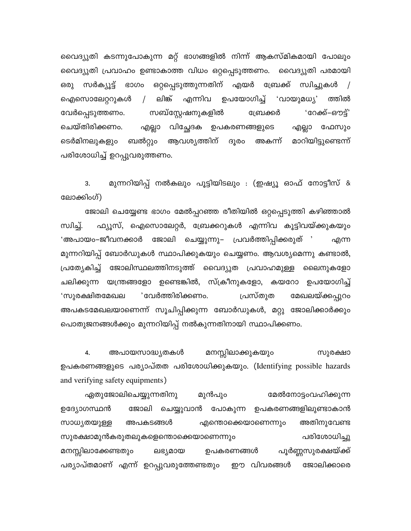വൈദ്യുതി കടന്നുപോകുന്ന മറ്റ് ഭാഗങ്ങളിൽ നിന്ന് ആകസ്മികമായി പോലും വൈദ്യുതി പ്രവാഹം ഉണ്ടാകാത്ത വിധം ഒറ്റപ്പെടുത്തണം. വൈദ്യുതി പരമായി ഒരു സർക്യൂട്ട് ഭാഗം ഒറ്റപ്പെടുത്തുന്നതിന് എയർ ബ്രേക്ക് സ്വിച്ചുകൾ / / ലിങ്ക് എന്നിവ ഉപയോഗിച്ച് 'വായുമധ്യ' ത്തിൽ ഐസൊലേറ്ററുകൾ വേർപ്പെടുത്തണം. സബ്സ്റ്റേഷനുകളിൽ ബ്രേക്കർ 'റേക്ക്–ഔട്ട്' എല്ലാ ഫേസും എല്ലാ വിച്ഛേദക ഉപകരണങ്ങളുടെ ചെയ്തിരിക്കണം. ടെർമിനലുകളും ബൽറ്റും ആവശ്യത്തിന് ദൂരം അകന്ന് മാറിയിട്ടുണ്ടെന്ന് പരിശോധിച്ച് ഉറപ്പുവരുത്തണം.

മുന്നറിയിപ്പ് നൽകലും പൂട്ടിയിടലും : (ഇഷ്യൂ ഓഫ് നോട്ടീസ് & 3. ലോക്കിംഗ്)

ജോലി ചെയ്യേണ്ട ഭാഗം മേൽപ്പറഞ്ഞ രീതിയിൽ ഒറ്റപ്പെടുത്തി കഴിഞ്ഞാൽ ഫ്യൂസ്, ഐസൊലേറ്റർ, ബ്രേക്കറുകൾ എന്നിവ കൂട്ടിവയ്ക്കുകയും സ്വിച്ച്. 'അപായം–ജീവനക്കാർ ജോലി ചെയ്യുന്നു– പ്രവർത്തിപ്പിക്കരുത് ' എന്ന മുന്നറിയിപ്പ് ബോർഡുകൾ സ്ഥാപിക്കുകയും ചെയ്യണം. ആവശ്യമെന്നു കണ്ടാൽ, പ്രത്യേകിച്ച് ജോലിസ്ഥലത്തിനടുത്ത് വൈദ്യുത പ്രവാഹമുള്ള ലൈനുകളോ ചലിക്കുന്ന യന്ത്രങ്ങളോ ഉണ്ടെങ്കിൽ, സ്ക്രീനുകളോ, കയറോ ഉപയോഗിച്ച് 'സുരക്ഷിതമേഖല ് വേർത്തിരിക്കണം. പ്രസ്തുത മേഖലയ്ക്കപ്പുറം അപകടമേഖലയാണെന്ന് സൂചിപ്പിക്കുന്ന ബോർഡുകൾ, മറ്റു ജോലിക്കാർക്കും പൊതുജനങ്ങൾക്കും മുന്നറിയിപ്പ് നൽകുന്നതിനായി സ്ഥാപിക്കണം.

4. അപായസാദ്ധ്യതകൾ മനസ്സിലാക്കുകയും സുരക്ഷാ ഉപകരണങ്ങളുടെ പര്യാപ്തത പരിശോധിക്കുകയും. (Identifying possible hazards and verifying safety equipments)

ഏതുജോലിചെയ്യുന്നതിനു മുൻപും മേൽനോട്ടംവഹിക്കുന്ന ജോലി ചെയ്യുവാൻ പോകുന്ന ഉപകരണങ്ങളിലുണ്ടാകാൻ ഉദ്യോഗസ്ഥൻ അപകടങ്ങൾ എന്തൊക്കെയാണെന്നും അതിനുവേണ്ട സാധ്യതയുള്ള പരിശോധിച്ചു സുരക്ഷാമുൻകരുതലുകളെന്തൊക്കെയാണെന്നും ഉപകരണങ്ങൾ പൂർണ്ണസുരക്ഷയ്ക്ക് മനസ്സിലാക്കേണ്ടതും ലഭ്യമായ പര്യാപ്തമാണ് എന്ന് ഉറപ്പുവരുത്തേണ്ടതും ഈ വിവരങ്ങൾ ജോലിക്കാരെ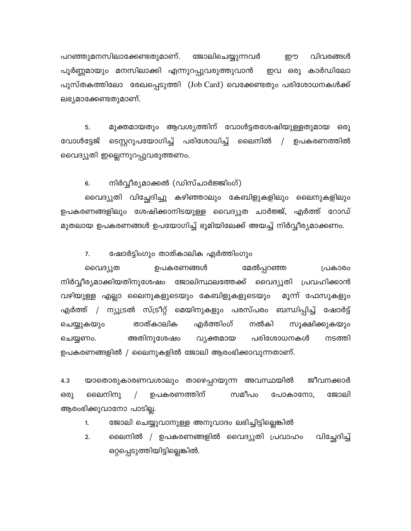പറഞ്ഞുമനസിലാക്കേണ്ടതുമാണ്. ജോലിചെയ്യുന്നവർ றூ വിവരങ്ങൾ പൂർണ്ണമായും മനസിലാക്കി എന്നുറപ്പുവരുത്തുവാൻ ഇവ ഒരു കാർഡിലോ പുസ്തകത്തിലോ രേഖപ്പെടുത്തി (Job Card) വെക്കേണ്ടതും പരിശോധനകൾക്ക് ലഭ്യമാക്കേണ്ടതുമാണ്.

മുക്തമായതും ആവശ്യത്തിന് വോൾട്ടതശേഷിയുള്ളതുമായ ഒരു 5. ടെസ്റ്ററുപയോഗിച്ച് പരിശോധിച്ച് ലൈനിൽ / ഉപകരണത്തിൽ വോൾട്ടേജ് വൈദ്യുതി ഇല്ലെന്നുറപ്പുവരുത്തണം.

നിർവ്വീര്യമാക്കൽ (ഡിസ്ചാർജ്ജിംഗ്) 6.

വൈദ്യുതി വിച്ഛേദിച്ചു കഴിഞ്ഞാലും കേബിളുകളിലും ലൈനുകളിലും ഉപകരണങ്ങളിലും ശേഷിക്കാനിടയുള്ള വൈദ്യുത ചാർജ്ജ്, എർത്ത് റോഡ് മുതലായ ഉപകരണങ്ങൾ ഉപയോഗിച്ച് ഭൂമിയിലേക്ക് അയച്ച് നിർവ്വീര്യമാക്കണം.

 $7.$ ഷോർട്ടിംഗും താത്കാലിക എർത്തിംഗും

വൈദ്യുത ഉപകരണങ്ങൾ മേൽപ്പറഞ്ഞ പ്രകാരം നിർവ്വീര്യമാക്കിയതിനുശേഷം ജോലിസ്ഥലത്തേക്ക് വൈദ്യുതി പ്രവഹിക്കാൻ വഴിയുള്ള എല്ലാ ലൈനുകളുടെയും കേബിളുകളുടെയും മൂന്ന് ഫേസുകളും എർത്ത് / ന്യൂട്രൽ സ്ട്രീറ്റ് മെയിനുകളും പരസ്പരം ബന്ധിപ്പിച്ച് ഷോർട്ട് ചെയ്യുകയും താത്കാലിക എർത്തിംഗ് നൽകി സൂക്ഷിക്കുകയും ചെയ്യണം. അതിനുശേഷം വൃക്തമായ പരിശോധനകൾ നടത്തി ഉപകരണങ്ങളിൽ / ലൈനുകളിൽ ജോലി ആരംഭിക്കാവുന്നതാണ്.

ജീവനക്കാർ  $4.3$ യാതൊരുകാരണവശാലും താഴെപ്പറയുന്ന അവസ്ഥയിൽ ലൈനിനു  $\sqrt{2}$ ഉപകരണത്തിന് സമീപം പോകാനോ, ജോലി ഒരു ആരംഭിക്കുവാനോ പാടില്ല.

ജോലി ചെയ്യുവാനുള്ള അനുവാദം ലഭിച്ചിട്ടില്ലെങ്കിൽ  $1.$ 

ലൈനിൽ / ഉപകരണങ്ങളിൽ വൈദ്യുതി പ്രവാഹം  $2.$ വിച്ചേദിച്ച് ഒറ്റപ്പെടുത്തിയിട്ടില്ലെങ്കിൽ.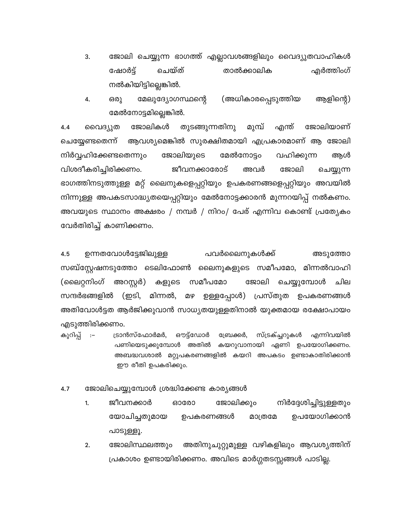ജോലി ചെയ്യുന്ന ഭാഗത്ത് എല്ലാവശങ്ങളിലും വൈദ്യുതവാഹികൾ 3. ഷോർട്ട് ചെയ്ത് താൽക്കാലിക എർത്തിംഗ് നൽകിയിട്ടില്ലെങ്കിൽ.

മേലുദ്യോഗസ്ഥന്റെ (അധികാരപ്പെടുത്തിയ ആളിന്റെ) 4. ഒരു മേൽനോട്ടമില്ലെങ്കിൽ.

തുടങ്ങുന്നതിനു മുമ്പ് ജോലിയാണ് ജോലികൾ എന്ത്  $4.4$ വൈദ്യുത ചെയ്യേണ്ടതെന്ന് ആവശ്യമെങ്കിൽ സുരക്ഷിതമായി എപ്രകാരമാണ് ആ ജോലി നിർവ്വഹിക്കേണ്ടതെന്നും ജോലിയുടെ മേൽനോട്ടം വഹിക്കുന്ന ആൾ ജീവനക്കാരോട് വിശദീകരിച്ചിരിക്കണം. ജോലി അവർ ചെയ്യുന്ന ഭാഗത്തിനടുത്തുള്ള മറ്റ് ലൈനുകളെപ്പറ്റിയും ഉപകരണങ്ങളെപ്പറ്റിയും അവയിൽ നിന്നുള്ള അപകടസാദ്ധ്യതയെപ്പറ്റിയും മേൽനോട്ടക്കാരൻ മുന്നറയിപ്പ് നൽകണം. അവയുടെ സ്ഥാനം അക്ഷരം / നമ്പർ / നിറം/ പേര് എന്നിവ കൊണ്ട് പ്രത്യേകം വേർതിരിച്ച് കാണിക്കണം.

 $4.5$ ഉന്നതവോൾട്ടേജിലുള്ള പവർലൈനുകൾക്ക് അടുത്തോ സബ്സ്റ്റേഷനടുത്തോ ടെലിഫോൺ ലൈനുകളുടെ സമീപമോ, മിന്നൽവാഹി (ലൈറ്റനിംഗ് അറസ്റ്റർ) സമീപമോ ജോലി ചെയ്യുമ്പോൾ ചില കളുടെ മഴ ഉള്ളപ്പോൾ) പ്രസ്തുത ഉപകരണങ്ങൾ സന്ദർഭങ്ങളിൽ (ഇടി, മിന്നൽ, അതിവോൾട്ടത ആർജിക്കുവാൻ സാധ്യതയുള്ളതിനാൽ യുക്തമായ രക്ഷോപായം എടുത്തിരിക്കണം.

കുറിപ്പ്  $\cdot$  :-ട്രാൻസ്ഫോർമർ, ഔട്ട്ഡോർ മ്രേഷക്കർ, സ്ട്രക്ച്ചറുകൾ എന്നിവയിൽ പണിയെടുക്കുമ്പോൾ അതിൽ കയറുവാനായി ഏണി ഉപയോഗിക്കണം. അബദ്ധവശാൽ മറ്റുപകരണങ്ങളിൽ കയറി അപകടം ഉണ്ടാകാതിരിക്കാൻ ഈ രീതി ഉപകരിക്കും.

- ജോലിചെയ്യുമ്പോൾ ശ്രദ്ധിക്കേണ്ട കാര്യങ്ങൾ  $4.7$ 
	- ജീവനക്കാർ ജോലിക്കും നിർദ്ദേശിച്ചിട്ടുള്ളതും ഓരോ 1. യോചിച്ചതുമായ ഉപയോഗിക്കാൻ ഉപകരണങ്ങൾ മാത്രമേ പാടുള്ളൂ.
	- $2.$ ജോലിസ്ഥലത്തും അതിനുചുറ്റുമുള്ള വഴികളിലും ആവശ്യത്തിന് പ്രകാശം ഉണ്ടായിരിക്കണം. അവിടെ മാർഗ്ഗതടസ്സങ്ങൾ പാടില്ല.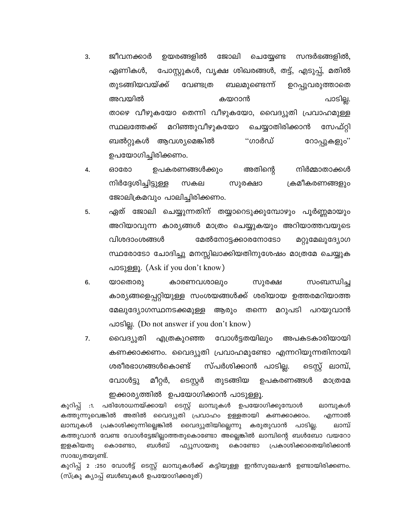- ഉയരങ്ങളിൽ ജോലി 3. ജീവനക്കാർ ചെയ്യേണ്ട സന്ദർഭങ്ങളിൽ, ഏണികൾ, പോസ്റ്റുകൾ, വൃക്ഷ ശിഖരങ്ങൾ, തട്ട്, എടുപ്പ്, മതിൽ തുടങ്ങിയവയ്ക്ക് വേണ്ടത്ര ബലമുണ്ടെന്ന് ഉറപ്പുവരുത്താതെ അവയിൽ കയറാൻ പാടില്ല. താഴെ വീഴുകയോ തെന്നി വീഴുകയോ, വൈദ്യുതി പ്രവാഹമുള്ള മറിഞ്ഞുവീഴുകയോ ചെയ്യാതിരിക്കാൻ സ്ഥലത്തേക്ക് സേഫ്റ്റി "ഗാർഡ് ബൽറ്റുകൾ ആവശ്യമെങ്കിൽ റോപ്പുകളും'' ഉപയോഗിച്ചിരിക്കണം.
- അതിന്റെ നിർമ്മാതാക്കൾ 4. ഓരോ ഉപകരണങ്ങൾക്കും നിർദ്ദേശിച്ചിട്ടുള്ള സകല സുരക്ഷാ ക്രമീകരണങ്ങളും ജോലിക്രമവും പാലിച്ചിരിക്കണം.
- ഏത് ജോലി ചെയ്യുന്നതിന് തയ്യാറെടുക്കുമ്പോഴും പൂർണ്ണമായും 5. അറിയാവുന്ന കാര്യങ്ങൾ മാത്രം ചെയ്യുകയും അറിയാത്തവയുടെ വിശദാംശങ്ങൾ മേൽനോട്ടക്കാരനോടോ മറ്റുമേലുദ്യോഗ സ്ഥരോടോ ചോദിച്ചു മനസ്സിലാക്കിയതിനുശേഷം മാത്രമേ ചെയ്യുക പാടുള്ളൂ. (Ask if you don't know)
- കാരണവശാലും 6. സംബന്ധിച്ച യാതൊരു സുരക്ഷ കാര്യങ്ങളെപ്പറ്റിയുള്ള സംശയങ്ങൾക്ക് ശരിയായ ഉത്തരമറിയാത്ത മേലുദ്യോഗസ്ഥനടക്കമുള്ള ആരും തന്നെ മറുപടി പറയുവാൻ പാടില്ല. (Do not answer if you don't know)
- 7. വൈദ്യുതി എത്രകുറഞ്ഞ വോൾട്ടതയിലും അപകടകാരിയായി കണക്കാക്കണം. വൈദ്യുതി പ്രവാഹമുണ്ടോ എന്നറിയുന്നതിനായി ടെസ്റ്റ് ലാമ്പ്, സ്പർശിക്കാൻ പാടില്ല. ശരീരഭാഗങ്ങൾകൊണ്ട് മീറ്റർ, വോൾട്ടു ടെസ്റ്റർ തുടങ്ങിയ ഉപകരണങ്ങൾ മാത്രമേ ഇക്കാര്യത്തിൽ ഉപയോഗിക്കാൻ പാടുള്ളൂ.

കുറിപ്പ് :1. പരിശോധനയ്ക്കായി ടെസ്റ്റ് ലാമ്പുകൾ ഉപയോഗിക്കുമ്പോൾ ലാമ്പുകൾ കത്തുന്നുവെങ്കിൽ അതിൽ വൈദ്യുതി പ്രവാഹം ഉള്ളതായി കണക്കാക്കാം. എന്നാൽ പ്രകാശിക്കുന്നില്ലെങ്കിൽ വൈദ്യുതിയില്ലെന്നു കരുതുവാൻ പാടില്ല. ലാമ്പ് ലാമ്പുകൾ കത്തുവാൻ വേണ്ട വോൾട്ടേജില്ലാത്തതുകൊണ്ടോ അല്ലെങ്കിൽ ലാമ്പിന്റെ ബൾബോ വയറോ ബൾബ് ഇളകിയതു കൊണ്ടോ, ഫ്യൂസായതു കൊണ്ടോ പ്രകാശിക്കാതെയിരിക്കാൻ സാദ്ധ്യതയുണ്ട്.

കുറിപ്പ് 2 :250 വോൾട്ട് ടെസ്റ്റ് ലാമ്പുകൾക്ക് കട്ടിയുള്ള ഇൻസുലേഷൻ ഉണ്ടായിരിക്കണം. (സ്ക്രൂ ക്യാപ്പ് ബൾബുകൾ ഉപയോഗിക്കരുത്)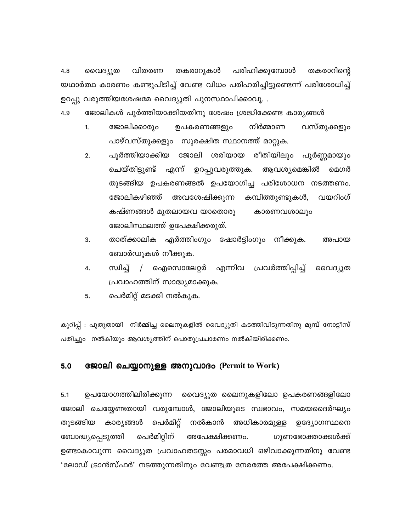വിതരണ പരിഹിക്കുമ്പോൾ 4.8 വൈദ്യുത തകരാറുകൾ തകരാറിന്റെ യഥാർത്ഥ കാരണം കണ്ടുപിടിച്ച് വേണ്ട വിധം പരിഹരിച്ചിട്ടുണ്ടെന്ന് പരിശോധിച്ച് ഉറപ്പു വരുത്തിയശേഷമേ വൈദ്യുതി പുനസ്ഥാപിക്കാവൂ. .

4.9 ജോലികൾ പൂർത്തിയാക്കിയതിനു ശേഷം ശ്രദ്ധിക്കേണ്ട കാര്യങ്ങൾ

- നിർമ്മാണ ജോലിക്കാരും ഉപകരണങ്ങളും വസ്തുക്കളും  $1.$ പാഴ്വസ്തുക്കളും സുരക്ഷിത സ്ഥാനത്ത് മാറ്റുക.
- പൂർത്തിയാക്കിയ ജോലി ശരിയായ രീതിയിലും പൂർണ്ണമായും  $2.$ ചെയ്തിട്ടുണ്ട് എന്ന് ഉറപ്പുവരുത്തുക. ആവശ്യമെങ്കിൽ മെഗർ തുടങ്ങിയ ഉപകരണങ്ങൽ ഉപയോഗിച്ച പരിശോധന നടത്തണം. ജോലികഴിഞ്ഞ് വയറിംഗ് അവശേഷിക്കുന്ന കമ്പിത്തുണ്ടുകൾ, കഷ്ണങ്ങൾ മുതലായവ യാതൊരു കാരണവശാലും ജോലിസ്ഥലത്ത് ഉപേക്ഷിക്കരുത്.
- 3. താത്ക്കാലിക എർത്തിംഗും ഷോർട്ടിംഗും നീക്കുക. അപായ ബോർഡുകൾ നീക്കുക.
- സിച്ച് ഐസൊലേറ്റർ എന്നിവ പ്രവർത്തിപ്പിച്ച് 4.  $\frac{1}{2}$ വൈദ്യുത പ്രവാഹത്തിന് സാദ്ധ്യമാക്കുക.
- പെർമിറ്റ് മടക്കി നൽകുക. 5.

കുറിപ്പ് : പുതുതായി നിർമ്മിച്ച ലൈനുകളിൽ വൈദ്യുതി കടത്തിവിടുന്നതിനു മുമ്പ് നോട്ടീസ് പതിച്ചും നൽകിയും ആവശ്യത്തിന് പൊതുപ്രചാരണം നൽകിയിരിക്കണം.

#### $5.0$ ജോലി ചെയ്യാനുള്ള അനുവാദം (Permit to Work)

 $5.1$ ഉപയോഗത്തിലിരിക്കുന്ന വൈദ്യുത ലൈനുകളിലോ ഉപകരണങ്ങളിലോ ജോലി ചെയ്യേണ്ടതായി വരുമ്പോൾ, ജോലിയുടെ സ്വഭാവം, സമയദൈർഘ്യം തുടങ്ങിയ കാര്യങ്ങൾ പെർമിറ്റ് നൽകാൻ അധികാരമുള്ള ഉദ്യോഗസ്ഥനെ പെർമിറ്റിന് ബോദ്ധ്യപ്പെടുത്തി അപേക്ഷിക്കണം. ഗുണഭോക്താക്കൾക്ക് ഉണ്ടാകാവുന്ന വൈദ്യുത പ്രവാഹതടസ്സം പരമാവധി ഒഴിവാക്കുന്നതിനു വേണ്ട 'ലോഡ് ട്രാൻസ്ഫർ' നടത്തുന്നതിനും വേണ്ടത്ര നേരത്തേ അപേക്ഷിക്കണം.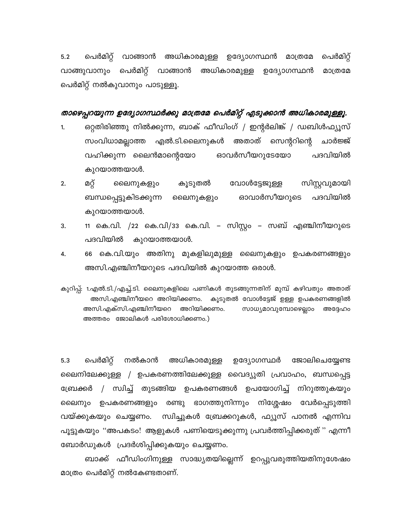പെർമിറ്റ് വാങ്ങാൻ അധികാരമുള്ള ഉദ്യോഗസ്ഥൻ മാത്രമേ പെർമിറ്റ്  $5.2$ വാങ്ങുവാനും പെർമിറ്റ് വാങ്ങാൻ അധികാരമുള്ള ഉദ്യോഗസ്ഥൻ മാത്രമേ പെർമിറ്റ് നൽകുവാനും പാടുള്ളൂ.

### താഴെപ്പറയുന്ന ഉദ്യോഗസ്ഥർക്കു മാത്രമേ പെർമിറ്റ് എടുക്കാൻ അധികാരമുള്ളൂ.

- ഒറ്റതിരിഞ്ഞു നിൽക്കുന്ന, ബാക് ഫീഡിംഗ് / ഇന്റർലിങ്ക് / ഡബിൾഫ്യൂസ് 1. എൽ.ടി.ലൈനുകൾ അതാത് സെന്ററിന്റെ സംവിധാമല്ലാത്ത ചാർജ്ജ് പദവിയിൽ വഹിക്കുന്ന ലൈൻമാന്റെയോ ഓവർസീയറുടേയോ കുറയാത്തയാൾ.
- സിസ്റ്റവുമായി  $2.$ മറ്റ് ലൈനുകളും കൂടുതൽ വോൾട്ടേജുള്ള ഓവാർസീയറുടെ പദവിയിൽ ബന്ധപ്പെട്ടുകിടക്കുന്ന ലൈനുകളും കുറയാത്തയാൾ.
- 11 കെ.വി. /22 കെ.വി/33 കെ.വി. സിസ്റ്റം സബ് എഞ്ചിനീയറുടെ 3. കുറയാത്തയാൾ. പദവിയിൽ
- 4. 66 കെ.വി.യും അതിനു മുകളിലുമുള്ള ലൈനുകളും ഉപകരണങ്ങളും അസി.എഞ്ചിനീയറുടെ പദവിയിൽ കുറയാത്ത ഒരാൾ.

കുറിപ്പ്: 1.എൽ.ടി./എച്ച്.ടി. ലൈനുകളിലെ പണികൾ തുടങ്ങുന്നതിന് മുമ്പ് കഴിവതും അതാത് കൂടുതൽ വോൾട്ടേജ് ഉള്ള ഉപകരണങ്ങളിൽ അസി.എഞ്ചിനീയറെ അറിയിക്കണം. അസി.എക്സി.എഞ്ചിനീയറെ അറിയിക്കണം. സാധ്യമാവുമ്പോഴെല്ലാം അദ്ദേഹം അത്തരം ജോലികൾ പരിശോധിക്കണം.)

പെർമിറ്റ്  $5.3$ നൽകാൻ അധികാരമുള്ള ഉദ്യോഗസ്ഥർ ജോലിചെയ്യേണ്ട ലൈനിലേക്കുള്ള / ഉപകരണത്തിലേക്കുള്ള വൈദ്യുതി പ്രവാഹം, ബന്ധപ്പെട്ട / സ്വിച്ച് തുടങ്ങിയ ഉപകരണങ്ങൾ ഉപയോഗിച്ച് നിറുത്തുകയും ബ്രേക്കർ ലൈനും ഉപകരണങ്ങളും രണ്ടു ഭാഗത്തുനിന്നും നിശ്ശേഷം വേർപ്പെടുത്തി വയ്ക്കുകയും ചെയ്യണം. സ്വിച്ചുകൾ ബ്രേക്കറുകൾ, ഫ്യൂസ് പാനൽ എന്നിവ പൂട്ടുകയും "അപകടം! ആളുകൾ പണിയെടുക്കുന്നു പ്രവർത്തിപ്പിക്കരുത് " എന്നീ ബോർഡുകൾ പ്രദർശിപ്പിക്കുകയും ചെയ്യണം.

ബാക്ക് ഫീഡിംഗിനുള്ള സാദ്ധ്യതയില്ലെന്ന് ഉറപ്പുവരുത്തിയതിനുശേഷം മാത്രം പെർമിറ്റ് നൽകേണ്ടതാണ്.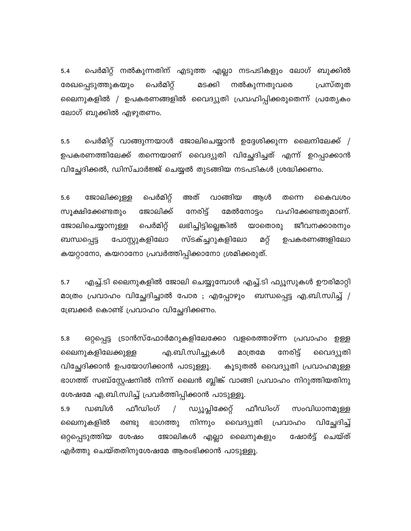പെർമിറ്റ് നൽകുന്നതിന് എടുത്ത എല്ലാ നടപടികളും ലോഗ് ബുക്കിൽ  $5.4$ പെർമിറ്റ് മടക്കി നൽകുന്നതുവരെ രേഖപ്പെടുത്തുകയും പ്രസ്തുത ലൈനുകളിൽ / ഉപകരണങ്ങളിൽ വൈദ്യുതി പ്രവഹിപ്പിക്കരുതെന്ന് പ്രത്യേകം ലോഗ് ബുക്കിൽ എഴുതണം.

പെർമിറ്റ് വാങ്ങുന്നയാൾ ജോലിചെയ്യാൻ ഉദ്ദേശിക്കുന്ന ലൈനിലേക്ക് /  $5.5$ ഉപകരണത്തിലേക്ക് തന്നെയാണ് വൈദ്യുതി വിച്ചേദിച്ചത് എന്ന് ഉറപ്പാക്കാൻ വിച്ഛേദിക്കൽ, ഡിസ്ചാർജ്ജ് ചെയ്യൽ തുടങ്ങിയ നടപടികൾ ശ്രദ്ധിക്കണം.

പെർമിറ്റ് അത് വാങ്ങിയ ആൾ 5.6 ജോലിക്കുള്ള തന്നെ കൈവശം ജോലിക്ക് നേരിട്ട് വഹിക്കേണ്ടതുമാണ്. സൂക്ഷിക്കേണ്ടതും മേൽനോട്ടം പെർമിറ്റ് ലഭിച്ചിട്ടില്ലെങ്കിൽ യാതൊരു ജീവനക്കാരനും ജോലിചെയ്യാനുള്ള പോസ്റ്റുകളിലോ സ്ടക്ച്ചറുകളിലോ മറ്റ് ഉപകരണങ്ങളിലോ ബന്ധപ്പെട്ട കയറ്റാനോ, കയറാനോ പ്രവർത്തിപ്പിക്കാനോ ശ്രമിക്കരുത്.

എച്ച്.ടി ലൈനുകളിൽ ജോലി ചെയ്യുമ്പോൾ എച്ച്.ടി ഫ്യൂസുകൾ ഊരിമാറ്റി  $5.7$ മാത്രം പ്രവാഹം വിച്ഛേദിച്ചാൽ പോര ; എപ്പോഴും ബന്ധപ്പെട്ട എ.ബി.സ്വിച്ച് / ബ്രേക്കർ കൊണ്ട് പ്രവാഹം വിച്ഛേദിക്കണം.

5.8 ഒറ്റപ്പെട്ട ട്രാൻസ്ഫോർമറുകളിലേക്കോ വളരെത്താഴ്ന്ന പ്രവാഹം ഉള്ള ലൈനുകളിലേക്കുള്ള എ.ബി.സ്വിച്ചുകൾ മാത്രമേ നേരിട്ട് വൈദ്യുതി വിച്ഛേദിക്കാൻ ഉപയോഗിക്കാൻ പാടുള്ളൂ. കൂടുതൽ വൈദ്യുതി പ്രവാഹമുള്ള ഭാഗത്ത് സബ്സ്റ്റേഷനിൽ നിന്ന് ലൈൻ ബ്ലിങ്ക് വാങ്ങി പ്രവാഹം നിറുത്തിയതിനു ശേഷമേ എ.ബി.സ്വിച്ച് പ്രവർത്തിപ്പിക്കാൻ പാടുള്ളൂ.

ഡബിൾ ഫീഡിംഗ്  $\sqrt{ }$ ഡ്യൂപ്ലിക്കേറ്റ് ഫീഡിംഗ് സംവിധാനമുള്ള 5.9 നിന്നും വൈദ്യുതി പ്രവാഹം വിച്ചേദിച്ച് ലൈനുകളിൽ രണ്ടു ഭാഗത്തു ഷോർട്ട് ചെയ്ത് ഒറ്റപ്പെടുത്തിയ ശേഷം ജോലികൾ എല്ലാ ലൈനുകളും എർത്തു ചെയ്തതിനുശേഷമേ ആരംഭിക്കാൻ പാടുള്ളൂ.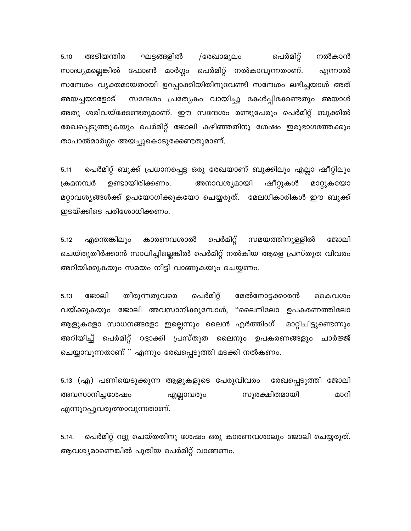പെർമിറ്റ് ഘട്ടങ്ങളിൽ 5.10 അടിയന്തിര /രേഖാമൂലം നൽകാൻ സാദ്ധ്യമല്ലെങ്കിൽ ഫോൺ മാർഗ്ഗം പെർമിറ്റ് നൽകാവുന്നതാണ്. എന്നാൽ സന്ദേശം വ്യക്തമായതായി ഉറപ്പാക്കിയിതിനുവേണ്ടി സന്ദേശം ലഭിച്ചയാൾ അത് അയച്ചയാളോട് സന്ദേശം പ്രത്യേകം വായിച്ചു കേൾപ്പിക്കേണ്ടതും അയാൾ അതു ശരിവയ്ക്കേണ്ടതുമാണ്. ഈ സന്ദേശം രണ്ടുപേരും പെർമിറ്റ് ബുക്കിൽ രേഖപ്പെടുത്തുകയും പെർമിറ്റ് ജോലി കഴിഞ്ഞതിനു ശേഷം ഇരുഭാഗത്തേക്കും താപാൽമാർഗ്ഗം അയച്ചുകൊടുക്കേണ്ടതുമാണ്.

പെർമിറ്റ് ബുക്ക് പ്രധാനപ്പെട്ട ഒരു രേഖയാണ് ബുക്കിലും എല്ലാ ഷീറ്റിലും 5.11 ക്രമനമ്പർ ഉണ്ടായിരിക്കണം. അനാവശ്യമായി ഷീറ്റുകൾ മാറ്റുകയോ മറ്റാവശ്യങ്ങൾക്ക് ഉപയോഗിക്കുകയോ ചെയ്യരുത്. മേലധികാരികൾ ഈ ബുക്ക് ഇടയ്ക്കിടെ പരിശോധിക്കണം.

എന്തെങ്കിലും കാരണവശാൽ പെർമിറ്റ് സമയത്തിനുള്ളിൽ ജോലി 5.12 ചെയ്തുതീർക്കാൻ സാധിച്ചില്ലെങ്കിൽ പെർമിറ്റ് നൽകിയ ആളെ പ്രസ്തുത വിവരം അറിയിക്കുകയും സമയം നീട്ടി വാങ്ങുകയും ചെയ്യണം.

5.13 ജോലി തീരുന്നതുവരെ പെർമിറ്റ് മേൽനോട്ടക്കാരൻ കൈവശം വയ്ക്കുകയും ജോലി അവസാനിക്കുമ്പോൾ, ''ലൈനിലോ ഉപകരണത്തിലോ ആളുകളോ സാധനങ്ങളോ ഇല്ലെന്നും ലൈൻ എർത്തിംഗ് മാറ്റിചിട്ടുണ്ടെന്നും അറിയിച്ച് പെർമിറ്റ് റദ്ദാക്കി പ്രസ്തുത ലൈനും ഉപകരണങ്ങളും ചാർജ്ജ് ചെയ്യാവുന്നതാണ് " എന്നും രേഖപ്പെടുത്തി മടക്കി നൽകണം.

5.13 (എ) പണിയെടുക്കുന്ന ആളുകളുടെ പേരുവിവരം രേഖപ്പെടുത്തി ജോലി അവസാനിച്ചശേഷം എല്ലാവരും സുരക്ഷിതമായി മാറി എന്നുറപ്പുവരുത്താവുന്നതാണ്.

പെർമിറ്റ് റദ്ദു ചെയ്തതിനു ശേഷം ഒരു കാരണവശാലും ജോലി ചെയ്യരുത്.  $5.14.$ ആവശ്യമാണെങ്കിൽ പുതിയ പെർമിറ്റ് വാങ്ങണം.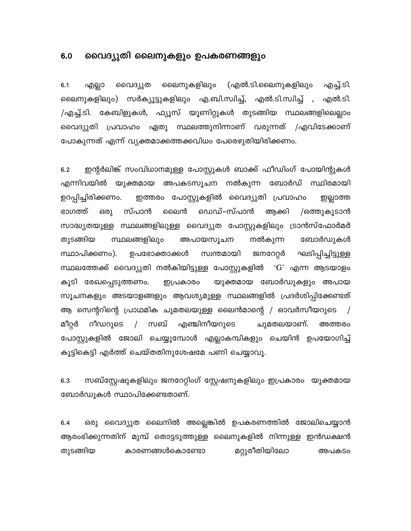#### $6.0$ വൈദ്യുതി ലൈനുകളും ഉപകരണങ്ങളും

ലൈനുകളിലും (എൽ.ടി.ലൈനുകളിലും എച്ച്.ടി.  $6.1$ എല്ലാ വൈദ്യുത ലൈനുകളിലും) സർക്യൂട്ടുകളിലും എ.ബി.സ്വിച്ച്, എൽ.ടി.സ്വിച്ച് , എൽ.ടി. /എച്ച്.ടി. കേബിളുകൾ, ഫ്യൂസ് യൂണിറ്റുകൾ തുടങ്ങിയ സ്ഥലങ്ങളിലെല്ലാം വൈദ്യുതി പ്രവാഹം ഏതു സ്ഥലത്തുനിന്നാണ് വരുന്നത് /എവിടേക്കാണ് പോകുന്നത് എന്ന് വ്യക്തമാക്കത്തക്കവിധം പേരെഴുതിയിരിക്കണം.

ഇന്റർലിങ്ക് സംവിധാനമുള്ള പോസ്റ്റുകൾ ബാക്ക് ഫീഡിംഗ് പോയിന്റുകൾ  $6.2$ എന്നിവയിൽ യുക്തമായ അപകടസൂചന നൽകുന്ന ബോർഡ് സ്ഥിരമായി ഇത്തരം പോസ്റ്റുകളിൽ വൈദ്യുതി പ്രവാഹം ഉറപ്പിച്ചിരിക്കണം. ഇല്ലാത്ത സ്പാൻ ലൈൻ ഡെഡ്–സ്പാൻ ഭാഗത്ത് ഒരു ആക്കി /ഒത്തുകൂടാൻ സാദ്ധ്യതയുള്ള സ്ഥലങ്ങളിലുള്ള വൈദ്യുത പോസ്റ്റുകളിലും ട്രാൻസ്ഫോർമർ തുടങ്ങിയ സ്ഥലങ്ങളിലും അപായസൂചന നൽകുന്ന ബോർഡുകൾ സ്ഥാപിക്കണം). ഉപഭോക്താക്കൾ സ്വന്തമായി ജനറേറ്റർ ഘടിപ്പിച്ചിട്ടുള്ള സ്ഥലത്തേക്ക് വൈദ്യുതി നൽകിയിട്ടുള്ള പോസ്റ്റുകളിൽ 'G' എന്ന ആടയാളം യുക്തമായ ബോർഡുകളും അപായ കൂടി രേഖപ്പെടുത്തണം. ഇപ്രകാരം സൂചനകളും അടയാളങ്ങളും ആവശ്യമുള്ള സ്ഥലങ്ങളിൽ പ്രദർശിപ്പിക്കേണ്ടത് ആ സെന്ററിന്റെ പ്രാഥമിക ചുമതലയുള്ള ലൈൻമാന്റെ / ഓവർസീയറുടെ  $\sqrt{ }$ ചുമതലയാണ്. മീറ്റർ റീഡറുടെ / സബ് എഞ്ചിനീയറുടെ അത്തരം പോസ്റ്റുകളിൽ ജോലി ചെയ്യുമ്പോൾ എല്ലാകമ്പികളും ചെയിൻ ഉപയോഗിച്ച് കൂട്ടികെട്ടി എർത്ത് ചെയ്തതിനുശേഷമേ പണി ചെയ്യാവൂ.

സബ്സ്റ്റേഷുകളിലും ജനറേറ്റിംഗ് സ്റ്റേഷനുകളിലും ഇപ്രകാരം യുക്തമായ  $6.3$ ബോർഡുകൾ സ്ഥാപിക്കേണ്ടതാണ്.

ഒരു വൈദ്യുത ലൈനിൽ അല്ലെങ്കിൽ ഉപകരണത്തിൽ ജോലിചെയ്യാൻ  $6.4$ ആരംഭിക്കുന്നതിന് മുമ്പ് തൊട്ടടുത്തുള്ള ലൈനുകളിൽ നിന്നുള്ള ഇൻഡക്ഷൻ മറ്റുരീതിയിലോ തുടങ്ങിയ കാരണങ്ങൾകൊണ്ടോ അപകടം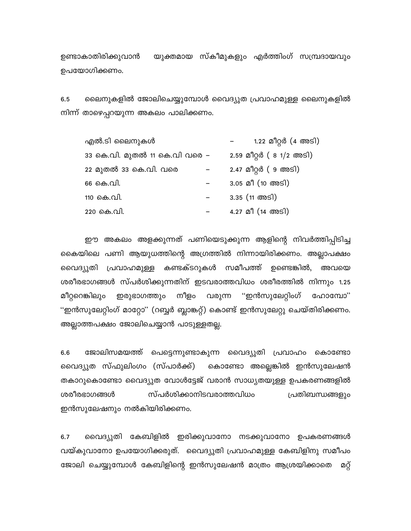യുക്തമായ സ്കീമുകളും എർത്തിംഗ് സമ്പ്രദായവും ഉണ്ടാകാതിരിക്കുവാൻ ഉപയോഗിക്കണം.

ലൈനുകളിൽ ജോലിചെയ്യുമ്പോൾ വൈദ്യുത പ്രവാഹമുള്ള ലൈനുകളിൽ 6.5 നിന്ന് താഴെപ്പറയുന്ന അകലം പാലിക്കണം.

| എൽ.ടി ലൈനുകൾ                  |  | 1.22 മീറ്റർ (4 അടി)                 |
|-------------------------------|--|-------------------------------------|
| 33 കെ.വി. മുതൽ 11 കെ.വി വരെ – |  | 2.59 മീറ്റർ ( 8 1/2 അടി)            |
| 22 മുതൽ 33 കെ.വി. വരെ         |  | 2.47 മീറ്റർ ( 9 അടി)                |
| 66 കെ.വി.                     |  | $3.05$ മീ $(10 \text{ } \text{60})$ |
| 110 കെ.വി.                    |  | $3.35$ (11 Mms)                     |
| 220 കെ.വി.                    |  | 4.27 മീ (14 അടി)                    |

ഈ അകലം അളക്കുന്നത് പണിയെടുക്കുന്ന ആളിന്റെ നിവർത്തിപ്പിടിച്ച കൈയിലെ പണി ആയുധത്തിന്റെ അഗ്രത്തിൽ നിന്നായിരിക്കണം. അല്ലാപക്ഷം വൈദ്യുതി പ്രവാഹമുള്ള കണ്ടക്ടറുകൾ സമീപത്ത് ഉണ്ടെങ്കിൽ, അവയെ ശരീരഭാഗങ്ങൾ സ്പർശിക്കുന്നതിന് ഇടവരാത്തവിധം ശരീരത്തിൽ നിന്നും 1.25 ഇരുഭാഗത്തും നീളം വരുന്ന "ഇൻസുലേറ്റിംഗ് ഹോമ്പോ" മീറ്ററെങ്കിലും "ഇൻസുലേറ്റിംഗ് മാറ്റോ" (റബ്ബർ ബ്ലാങ്കറ്റ്) കൊണ്ട് ഇൻസുലേറ്റു ചെയ്തിരിക്കണം. അല്ലാത്തപക്ഷം ജോലിചെയ്യാൻ പാടുള്ളതല്ല.

 $6.6$ ജോലിസമയത്ത് പെട്ടെന്നുണ്ടാകുന്ന വൈദ്യുതി പ്രവാഹം കൊണ്ടോ കൊണ്ടോ അല്ലെങ്കിൽ ഇൻസുലേഷൻ വൈദ്യുത സ്ഫുലിംഗം (സ്പാർക്ക്) തകാറുകൊണ്ടോ വൈദ്യുത വോൾട്ടേജ് വരാൻ സാധ്യതയുള്ള ഉപകരണങ്ങളിൽ ശരീരഭാഗങ്ങൾ സ്പർശിക്കാനിടവരാത്തവിധം പ്രതിബന്ധങ്ങളും ഇൻസുലേഷനും നൽകിയിരിക്കണം.

വൈദ്യുതി കേബിളിൽ ഇരിക്കുവാനോ നടക്കുവാനോ ഉപകരണങ്ങൾ  $6.7$ വയ്കുവാനോ ഉപയോഗിക്കരുത്. വൈദ്യുതി പ്രവാഹമുള്ള കേബിളിനു സമീപം ജോലി ചെയ്യുമ്പോൾ കേബിളിന്റെ ഇൻസുലേഷൻ മാത്രം ആശ്രയിക്കാതെ മറ്റ്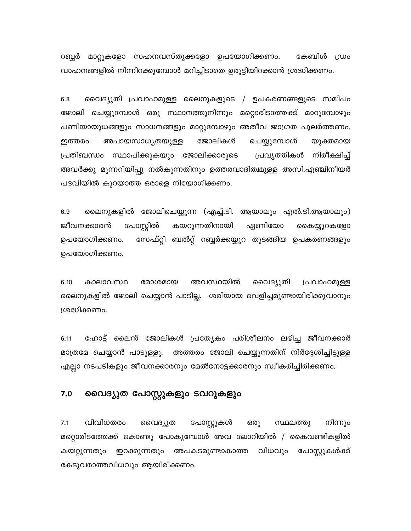റബ്ബർ മാറ്റുകളോ സഹനവസ്തുക്കളോ ഉപയോഗിക്കണം. കേബിൾ ഡ്രം വാഹനങ്ങളിൽ നിന്നിറക്കുമ്പോൾ മറിച്ചിടാതെ ഉരുട്ടിയിറക്കാൻ ശ്രദ്ധിക്കണം.

വൈദ്യുതി പ്രവാഹമുള്ള ലൈനുകളുടെ / ഉപകരണങ്ങളുടെ സമീപം  $6.8$ ജോലി ചെയ്യുമ്പോൾ ഒരു സ്ഥാനത്തുനിന്നും മറ്റൊരിടത്തേക്ക് മാറുമ്പോഴും പണിയായുധങ്ങളും സാധനങ്ങളും മാറ്റുമ്പോഴും അതീവ ജാഗ്രത പുലർത്തണം. ജോലികൾ അപായസാധ്യതയുള്ള ചെയ്യുമ്പോൾ ഇത്തരം യുക്തമായ പ്രതിബന്ധം സ്ഥാപിക്കുകയും ജോലിക്കാരുടെ പ്രവൃത്തികൾ നിരീക്ഷിച്ച് അവർക്കു മുന്നറിയിപ്പു നൽകുന്നതിനും ഉത്തരവാദിത്വമുള്ള അസി.എഞ്ചിനീയർ പദവിയിൽ കുറയാത്ത ഒരാളെ നിയോഗിക്കണം.

ലൈനുകളിൽ ജോലിചെയ്യുന്ന (എച്ച്.ടി. ആയാലും എൽ.ടി.ആയാലും)  $6.9$ പോസ്റ്റിൽ കയറുന്നതിനായി ഏണിയോ ജീവനക്കാരൻ കൈയ്യുറകളോ സേഫ്റ്റി ബൽറ്റ് റബ്ബർക്കയ്യുറ തുടങ്ങിയ ഉപകരണങ്ങളും ഉപയോഗിക്കണം. ഉപയോഗിക്കണം.

അവസ്ഥയിൽ 6.10 കാലാവസ്ഥ മോശമായ വൈദ്യുതി പ്രവാഹമുള്ള ലൈനുകളിൽ ജോലി ചെയ്യാൻ പാടില്ല. ശരിയായ വെളിച്ചമുണ്ടായിരിക്കുവാനും ശ്രദ്ധിക്കണം.

ഹോട്ട് ലൈൻ ജോലികൾ പ്രത്യേകം പരിശീലനം ലഭിച്ച ജീവനക്കാർ  $6.11$ മാത്രമേ ചെയ്യാൻ പാടുള്ളൂ. അത്തരം ജോലി ചെയ്യുന്നതിന് നിർദ്ദേശിച്ചിട്ടുള്ള എല്ലാ നടപടികളും ജീവനക്കാരനും മേൽനോട്ടക്കാരനും സ്വീകരിച്ചിരിക്കണം.

#### വൈദ്യുത പോസ്റ്റുകളും ടവറുകളും  $7.0$

വിവിധതരം  $7.1$ വൈദ്യുത പോസ്റ്റുകൾ ഒരു സ്ഥലത്തു നിന്നും മറ്റൊരിടത്തേക്ക് കൊണ്ടു പോകുമ്പോൾ അവ ലോറിയിൽ / കൈവണ്ടികളിൽ കയറ്റുന്നതും ഇറക്കുന്നതും അപകടമുണ്ടാകാത്ത വിധവും പോസ്റ്റുകൾക്ക് കേടുവരാത്തവിധവും ആയിരിക്കണം.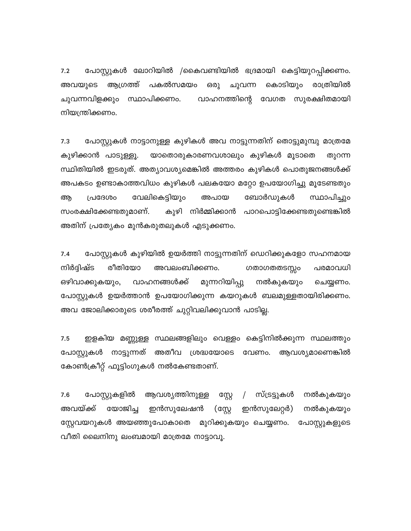പോസ്റ്റുകൾ ലോറിയിൽ /കൈവണ്ടിയിൽ ഭദ്രമായി കെട്ടിയുറപ്പിക്കണം.  $7.2$ ആഗ്രത്ത് പകൽസമയം കൊടിയും രാത്രിയിൽ അവയുടെ ഒരു ചുവന്ന ചുവന്നവിളക്കും സ്ഥാപിക്കണം. വാഹനത്തിന്റെ വേഗത സുരക്ഷിതമായി നിയന്ത്രിക്കണം.

പോസ്റ്റുകൾ നാട്ടാനുള്ള കുഴികൾ അവ നാട്ടുന്നതിന് തൊട്ടുമുമ്പു മാത്രമേ  $7.3$ കുഴിക്കാൻ പാടുള്ളൂ. യാതൊരുകാരണവശാലും കുഴികൾ മൂടാതെ തുറന്ന സ്ഥിതിയിൽ ഇടരുത്. അത്യാവശ്യമെങ്കിൽ അത്തരം കുഴികൾ പൊതുജനങ്ങൾക്ക് അപകടം ഉണ്ടാകാത്തവിധം കുഴികൾ പലകയോ മറ്റോ ഉപയോഗിച്ചു മൂടേണ്ടതും സ്ഥാപിച്ചും വേലികെട്ടിയും ബോർഡുകൾ അ പ്രദേശം അപായ കുഴി നിർമ്മിക്കാൻ പാറപൊട്ടിക്കേണ്ടതുണ്ടെങ്കിൽ സംരക്ഷിക്കേണ്ടതുമാണ്. അതിന് പ്രത്യേകം മുൻകരുതലുകൾ എടുക്കണം.

 $7.4$ പോസ്റ്റുകൾ കുഴിയിൽ ഉയർത്തി നാട്ടുന്നതിന് ഡെറിക്കുകളോ സഹനമായ രീതിയോ നിർദ്ദിഷ്ട അവലംബിക്കണം. പരമാവധി ഗതാഗതതടസ്സം ഒഴിവാക്കുകയും, വാഹനങ്ങൾക്ക് മുന്നറിയിപ്പു നൽകുകയും ചെയ്യണം. പോസ്റ്റുകൾ ഉയർത്താൻ ഉപയോഗിക്കുന്ന കയറുകൾ ബലമുള്ളതായിരിക്കണം. അവ ജോലിക്കാരുടെ ശരീരത്ത് ചുറ്റിവലിക്കുവാൻ പാടില്ല.

 $7.5$ ഇളകിയ മണ്ണുള്ള സ്ഥലങ്ങളിലും വെള്ളം കെട്ടിനിൽക്കുന്ന സ്ഥലത്തും പോസ്റ്റുകൾ നാട്ടുന്നത് അതീവ ശ്രദ്ധയോടെ വേണം. ആവശ്യമാണെങ്കിൽ കോൺക്രീറ്റ് ഫൂട്ടിംഗുകൾ നൽകേണ്ടതാണ്.

7.6 പോസ്റ്റുകളിൽ ആവശ്യത്തിനുള്ള സ്റ്റേ  $\sqrt{2}$ സ്ട്രട്ടുകൾ നൽകുകയും യോജിച്ച അവയ്ക്ക് ഇൻസുലേഷൻ ഇൻസുലേറ്റർ) (സ്റ്റേ നൽകുകയും സ്റ്റേവയറുകൾ അയഞ്ഞുപോകാതെ മുറിക്കുകയും ചെയ്യണം. പോസ്റ്റുകളുടെ വീതി ലൈനിനു ലംബമായി മാത്രമേ നാട്ടാവൂ.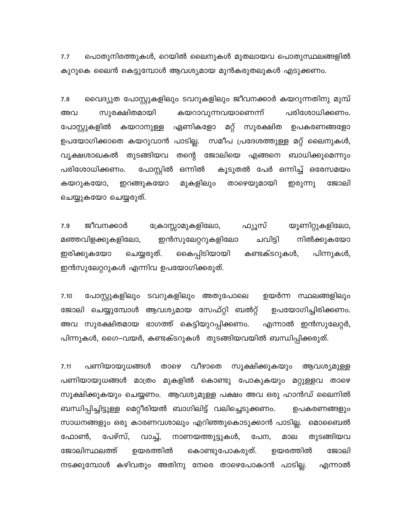പൊതുനിരത്തുകൾ, റെയിൽ ലൈനുകൾ മുതലായവ പൊതുസ്ഥലങ്ങളിൽ  $7.7$ കുറുകെ ലൈൻ കെട്ടുമ്പോൾ ആവശ്യമായ മുൻകരുതലുകൾ എടുക്കണം.

വൈദ്യുത പോസ്റ്റുകളിലും ടവറുകളിലും ജീവനക്കാർ കയറുന്നതിനു മുമ്പ്  $7.8$ സുരക്ഷിതമായി കയറാവുന്നവയാണെന്ന് പരിശോധിക്കണം. അവ പോസ്റ്റുകളിൽ ഏണികളോ മറ്റ് കയറാനുള്ള സുരക്ഷിത ഉപകരണങ്ങളോ സമീപ പ്രദേശത്തുള്ള മറ്റ് ലൈനുകൾ, ഉപയോഗിക്കാതെ കയറുവാൻ പാടില്ല. വൃക്ഷശാഖകൽ തുടങ്ങിയവ തന്റെ ജോലിയെ എങ്ങനെ ബാധിക്കുമെന്നും പോസ്റ്റിൽ ഒന്നിൽ കൂടുതൽ പേർ ഒന്നിച്ച് ഒരേസമയം പരിശോധിക്കണം. കയറുകയോ, ഇറങ്ങുകയോ മുകളിലും താഴെയുമായി ഇരുന്നു ജോലി ചെയ്യുകയോ ചെയ്യരുത്.

ജീവനക്കാർ യൂണിറ്റുകളിലോ, 7.9 ക്രോസ്സാമുകളിലോ, ഫ്യൂസ് ചവിട്ടി മഞ്ഞവിളക്കുകളിലോ, ഇൻസുലേറ്ററുകളിലോ നിൽക്കുകയോ ഇരിക്കുകയോ ചെയ്യരുത്. കൈപ്പിടിയായി കണ്ടക്ടറുകൾ, പിന്നുകൾ, ഇൻസുലേറ്ററുകൾ എന്നിവ ഉപയോഗിക്കരുത്.

7.10 പോസ്റ്റുകളിലും ടവറുകളിലും അതുപോലെ ഉയർന്ന സ്ഥലങ്ങളിലും ജോലി ചെയ്യുമ്പോൾ ആവശ്യമായ സേഫ്റ്റി ബൽറ്റ് ഉപയോഗിച്ചിരിക്കണം. അവ സുരക്ഷിതമായ ഭാഗത്ത് കെട്ടിയുറപ്പിക്കണം. എന്നാൽ ഇൻസുലേറ്റർ, പിന്നുകൾ, ഗൈ–വയർ, കണ്ടക്ടറുകൾ തുടങ്ങിയവയിൽ ബന്ധിപ്പിക്കരുത്.

 $7.11$ പണിയായുധങ്ങൾ താഴെ വീഴാതെ സൂക്ഷിക്കുകയും ആവശ്യമുള്ള പണിയായുധങ്ങൾ മാത്രം മുകളിൽ കൊണ്ടു പോകുകയും മറ്റുള്ളവ താഴെ സൂക്ഷിക്കുകയും ചെയ്യണം. ആവശ്യമുള്ള പക്ഷം അവ ഒരു ഹാൻഡ് ലൈനിൽ ബന്ധിപ്പിച്ചിട്ടുള്ള മെറ്റീരിയൽ ബാഗിലിട്ട് വലിച്ചെടുക്കണം. ഉപകരണങ്ങളും സാധനങ്ങളും ഒരു കാരണവശാലും എറിഞ്ഞുകൊടുക്കാൻ പാടില്ല. മൊബൈൽ പേഴ്സ്. തുടങ്ങിയവ ഫോൺ, വാച്ച്, നാണയത്തുട്ടുകൾ, പേന, മാല ജോലിസ്ഥലത്ത് ഉയരത്തിൽ ജോലി ഉയരത്തിൽ കൊണ്ടുപോകരുത്. നടക്കുമ്പോൾ കഴിവതും അതിനു നേരെ താഴെപോകാൻ പാടില്ല. എന്നാൽ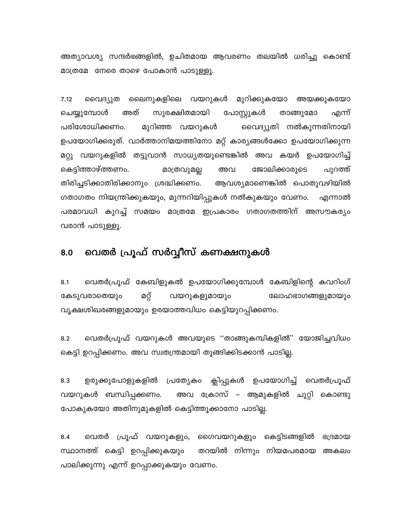അത്യാവശ്യ സന്ദർഭങ്ങളിൽ, ഉചിതമായ ആവരണം തലയിൽ ധരിച്ചു കൊണ്ട് മാത്രമേ നേരെ താഴെ പോകാൻ പാടുള്ളൂ.

ലൈനുകളിലെ വയറുകൾ മുറിക്കുകയോ  $7.12$ വൈദ്യുത അയക്കുകയോ ചെയ്യുമ്പോൾ അത് സുരക്ഷിതമായി പോസ്റ്റുകൾ താങ്ങുമോ എന്ന് പരിശോധിക്കണം. മുറിഞ്ഞ വയറുകൾ വൈദ്യുതി നൽകുന്നതിനായി ഉപയോഗിക്കരുത്. വാർത്താനിമയത്തിനോ മറ്റ് കാര്യങ്ങൾക്കോ ഉപയോഗിക്കുന്ന മറ്റു വയറുകളിൽ തട്ടുവാൻ സാധ്യതയുണ്ടെങ്കിൽ അവ കയർ ഉപയോഗിച്ച് കെട്ടിത്താഴ്ത്തണം. ജോലിക്കാരുടെ മാത്രവുമല്ല അവ പുറത്ത് തിരിച്ചടിക്കാതിരിക്കാനും ശ്രദ്ധിക്കണം. ആവശ്യമാണെങ്കിൽ പൊതുവഴിയിൽ ഗതാഗതം നിയന്ത്രിക്കുകയും, മുന്നറിയിപ്പുകൾ നൽകുകയും വേണം. എന്നാൽ പരമാവധി കുറച്ച് സമയം മാത്രമേ ഇപ്രകാരം ഗതാഗതത്തിന് അസൗകര്യം വരാൻ പാടുള്ളൂ.

### വെതർ പ്രൂഫ് സർവ്വീസ് കണക്ഷനുകൾ 8.0

വെതർപ്രൂഫ് കേബിളുകൽ ഉപയോഗിക്കുമ്പോൾ കേബിളിന്റെ കവറിംഗ്  $8.1$ മറ്റ് കേടുവരാതെയും വയറുകളുമായും ലോഹഭാഗങ്ങളുമായും വൃക്ഷശിഖരങ്ങളുമായും ഉരയാത്തവിധം കെട്ടിയുറപ്പിക്കണം.

വെതർപ്രൂഫ് വയറുകൾ അവയുടെ ''താങ്ങുകമ്പികളിൽ'' യോജിച്ചവിധം  $8.2$ കെട്ടി ഉറപ്പിക്കണം. അവ സ്വതന്ത്രമായി തൂങ്ങിക്കിടക്കാൻ പാടില്ല.

ഉരുക്കുപോളുകളിൽ പ്രത്യേകം ക്ലിപ്പുകൾ ഉപയോഗിച്ച് വെതർപ്രൂഫ് 8.3 വയറുകൾ ബന്ധിപ്പക്കണം. അവ ക്രോസ് – ആമുകളിൽ ചുറ്റി കൊണ്ടു പോകുകയോ അതിനുമുകളിൽ കെട്ടിത്തൂക്കാനോ പാടില്ല.

വെതർ പ്രൂഫ് വയറുകളും, ഗൈവയറുകളും കെട്ടിടങ്ങളിൽ  $8.4$ ഭദ്രമായ സ്ഥാനത്ത് കെട്ടി ഉറപ്പിക്കുകയും തറയിൽ നിന്നും നിയമപരമായ അകലം പാലിക്കുന്നു എന്ന് ഉറപ്പാക്കുകയും വേണം.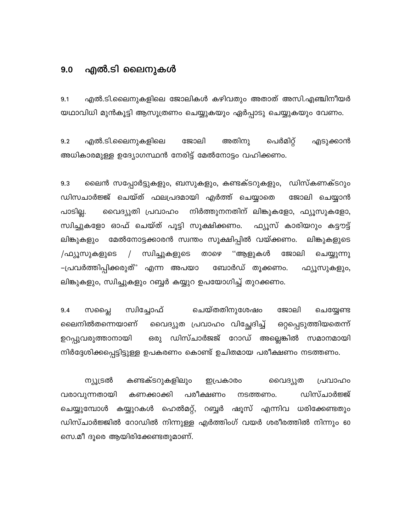#### എൽ.ടി ലൈനുകൾ  $9.0$

എൽ.ടി.ലൈനുകളിലെ ജോലികൾ കഴിവതും അതാത് അസി.എഞ്ചിനീയർ  $9.1$ യഥാവിധി മുൻകൂട്ടി ആസൂത്രണം ചെയ്യുകയും ഏർപ്പാടു ചെയ്യുകയും വേണം.

എൽ.ടി.ലൈനുകളിലെ ജോലി അതിനു പെർമിറ്റ്  $9.2$ എടുക്കാൻ അധികാരമുള്ള ഉദ്യോഗസ്ഥൻ നേരിട്ട് മേൽനോട്ടം വഹിക്കണം.

9.3 ലൈൻ സപ്പോർട്ടുകളും, ബസുകളും, കണ്ടക്ടറുകളും, ഡിസ്കണക്ടറും ഡിസചാർജ്ജ് ചെയ്ത് ഫലപ്രദമായി എർത്ത് ചെയ്യാതെ ജോലി ചെയ്യാൻ പാടില്ല. വൈദ്യുതി പ്രവാഹം നിർത്തുനനതിന് ലിങ്കുകളോ, ഫ്യൂസുകളോ, സ്വിച്ചുകളോ ഓഫ് ചെയ്ത് പൂട്ടി സൂക്ഷിക്കണം. ഫ്യൂസ് കാരിയറും കട്ടൗട്ട് മേൽനോട്ടക്കാരൻ സ്വന്തം സൂക്ഷിപ്പിൽ വയ്ക്കണം. ലിങ്കുകളും ലിങ്കുകളുടെ /ഫ്യൂസുകളുടെ  $\sqrt{2}$ സ്വിച്ചുകളുടെ താഴെ ''ആളുകൾ ജോലി ചെയ്യുന്നു –പ്രവർത്തിപ്പിക്കരുത്" എന്ന അപയാ ബോർഡ് തൂക്കണം. ഫ്യൂസുകളും, ലിങ്കുകളും, സ്വിച്ചുകളും റബ്ബർ കയ്യുറ ഉപയോഗിച്ച് തുറക്കണം.

സ്വിച്ചോഫ് ചെയ്തതിനുശേഷം ജോലി  $9.4$ സപ്ലൈ ചെയ്യേണ്ട വൈദ്യുത പ്രവാഹം വിച്ഛേദിച്ച് ലൈനിൽതന്നെയാണ് ഒറ്റപ്പെടുത്തിയതെന്ന് ഒരു ഡിസ്ചാർജജ് റോഡ് അല്ലെങ്കിൽ സമാനമായി ഉറപ്പുവരുത്താനായി നിർദ്ദേശിക്കപ്പെട്ടിട്ടുള്ള ഉപകരണം കൊണ്ട് ഉചിതമായ പരീക്ഷണം നടത്തണം.

കണ്ടക്ടറുകളിലും ന്യൂട്രൽ വൈദ്യുത പ്രവാഹം ഇപ്രകാരം വരാവുന്നതായി ഡിസ്ചാർജ്ജ് കണക്കാക്കി പരീക്ഷണം നടത്തണം. ചെയ്യുമ്പോൾ കയ്യുറകൾ ഹെൽമറ്റ്, റബ്ബർ ഷൂസ് എന്നിവ ധരിക്കേണ്ടതും ഡിസ്ചാർജ്ജിൽ റോഡിൽ നിന്നുള്ള എർത്തിംഗ് വയർ ശരീരത്തിൽ നിന്നും 60 സെ.മീ ദൂരെ ആയിരിക്കേണ്ടതുമാണ്.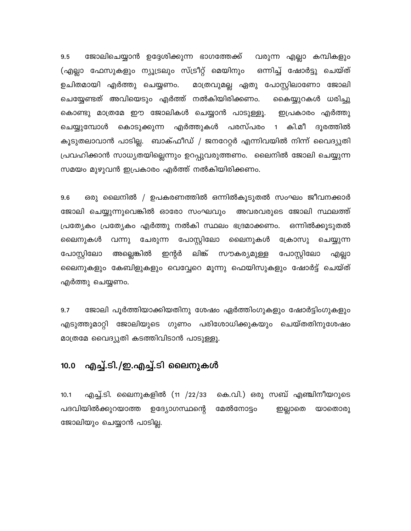ജോലിചെയ്യാൻ ഉദ്ദേശിക്കുന്ന ഭാഗത്തേക്ക് 9.5 വരുന്ന എല്ലാ കമ്പികളും (എല്ലാ ഫേസുകളും ന്യൂട്രലും സ്ട്രീറ്റ് മെയിനും ഒന്നിച്ച് ഷോർട്ടു ചെയ്ത് ഉചിതമായി എർത്തു ചെയ്യണം. മാത്രവുമല്ല ഏതു പോസ്റ്റിലാണോ ജോലി ചെയ്യേണ്ടത് അവിയെടും എർത്ത് നൽകിയിരിക്കണം. കൈയ്യുറകൾ ധരിച്ചു കൊണ്ടു മാത്രമേ ഈ ജോലികൾ ചെയ്യാൻ പാടുള്ളൂ. ഇപ്രകാരം എർത്തു ചെയ്യുമ്പോൾ കൊടുക്കുന്ന എർത്തുകൾ പരസ്പരം 1 കി.മീ ദൂരത്തിൽ കൂടുതലാവാൻ പാടില്ല. ബാക്ഫീഡ് / ജനറേറ്റർ എന്നിവയിൽ നിന്ന് വൈദ്യുതി പ്രവഹിക്കാൻ സാധ്യതയില്ലെന്നും ഉറപ്പുവരുത്തണം. ലൈനിൽ ജോലി ചെയ്യുന്ന സമയം മുഴുവൻ ഇപ്രകാരം എർത്ത് നൽകിയിരിക്കണം.

ഒരു ലൈനിൽ / ഉപകരണത്തിൽ ഒന്നിൽകൂടുതൽ സംഘം ജീവനക്കാർ 9.6 ജോലി ചെയ്യുന്നുവെങ്കിൽ ഓരോ സംഘവും അവരവരുടെ ജോലി സ്ഥലത്ത് പ്രത്യേകം പ്രത്യേകം എർത്തു നൽകി സ്ഥലം ഭദ്രമാക്കണം. ഒന്നിൽക്കൂടുതൽ ലൈനുകൾ വന്നു ചേരുന്ന പോസ്റ്റിലോ ലൈനുകൾ ക്രോസു ചെയ്യുന്ന അല്ലെങ്കിൽ ഇന്റർ ലിങ്ക് പോസ്റ്റിലോ സൗകര്യമുള്ള പോസ്റ്റിലോ എല്ലാ ലൈനുകളും കേബിളുകളും വെവ്വേറെ മൂന്നു ഫെയിസുകളും ഷോർട്ട് ചെയ്ത് എർത്തു ചെയ്യണം.

 $9.7$ ജോലി പൂർത്തിയാക്കിയതിനു ശേഷം ഏർത്തിംഗുകളും ഷോർട്ടിംഗുകളും എടുത്തുമാറ്റി ജോലിയുടെ ഗുണം പരിശോധിക്കുകയും ചെയ്തതിനുശേഷം മാത്രമേ വൈദ്യുതി കടത്തിവിടാൻ പാടുള്ളൂ.

### എച്ച്.ടി./ഇ.എച്ച്.ടി ലൈനുകൾ  $10.0$

എച്ച്.ടി. ലൈനുകളിൽ (11 /22/33  $10.1$ കെ.വി.) ഒരു സബ് എഞ്ചിനീയറുടെ പദവിയിൽക്കുറയാത്ത ഉദ്യോഗസ്ഥന്റെ മേൽനോട്ടം ഇല്ലാതെ യാതൊരു ജോലിയും ചെയ്യാൻ പാടില്ല.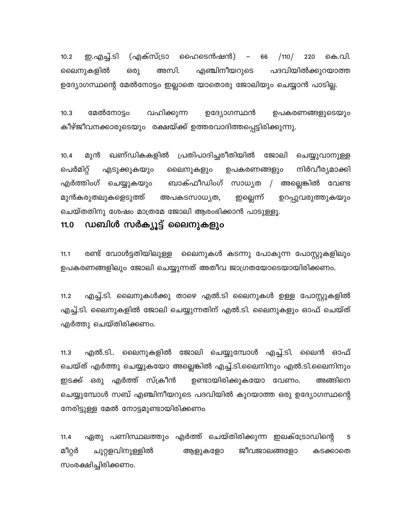(എക്സ്ട്രാ ഹൈടെൻഷൻ)  $10.2$ ഇ.എച്ച്.ടി  $/110/$ 220 കെ.വി. - 66 അസി. എഞ്ചിനീയറുടെ പദവിയിൽക്കുറയാത്ത ലൈനുകളിൽ ഒരു ഉദ്യോഗസ്ഥന്റെ മേൽനോട്ടം ഇല്ലാതെ യാതൊരു ജോലിയും ചെയ്യാൻ പാടില്ല.

 $10.3$ മേൽനോട്ടം വഹിക്കുന്ന ഉദ്യോഗസ്ഥൻ ഉപകരണങ്ങളുടെയും കീഴ്ജീവനക്കാരുടെയും രക്ഷയ്ക്ക് ഉത്തരവാദിത്തപ്പെട്ടിരിക്കുന്നു.

മുൻ ഖണ്ഡികകളിൽ പ്രതിപാദിച്ചരീതിയിൽ ജോലി ചെയ്യുവാനുള്ള  $10.4$ പെർമിറ്റ് നിർവീര്യമാക്കി എടുക്കുകയും ലൈനുകളും ഉപകരണങ്ങളും ബാക്ഫീഡിംഗ് സാധ്യത / അല്ലെങ്കിൽ വേണ്ട എർത്തിംഗ് ചെയ്യുകയും ഇല്ലെന്ന് മുൻകരുതലുകളെടുത്ത് അപകടസാധ്യത, ഉറപ്പുവരുത്തുകയും ചെയ്തതിനു ശേഷം മാത്രമേ ജോലി ആരംഭിക്കാൻ പാടുള്ളൂ.

#### ഡബിൾ സർക്യൂട്ട് ലൈനുകളും  $11.0$

 $11.1$ രണ്ട് വോൾട്ടതിയിലുള്ള ലൈനുകൾ കടന്നു പോകുന്ന പോസ്റ്റുകളിലും ഉപകരണങ്ങളിലും ജോലി ചെയ്യുന്നത് അതീവ ജാഗ്രതയോടെയായിരിക്കണം.

എച്ച്.ടി. ലൈനുകൾക്കു താഴെ എൽ.ടി ലൈനുകൾ ഉള്ള പോസ്റ്റുകളിൽ  $11.2$ എച്ച്.ടി. ലൈനുകളിൽ ജോലി ചെയ്യുന്നതിന് എൽ.ടി. ലൈനുകളും ഓഫ് ചെയ്ത് എർത്തു ചെയ്തിരിക്കണം.

എൽ.ടി.. ലൈനുകളിൽ ജോലി ചെയ്യുമ്പോൾ എച്ച്.ടി. ലൈൻ ഓഫ്  $11.3$ ചെയ്ത് എർത്തു ചെയ്യുകയോ അല്ലെങ്കിൽ എച്ച്.ടി.ലൈനിനും എൽ.ടി.ലൈനിനും ഇടക്ക് ഒരു എർത്ത് സ്ക്രീൻ ഉണ്ടായിരിക്കുകയോ വേണം. അങ്ങിനെ ചെയ്യുമ്പോൾ സബ് എഞ്ചിനീയറുടെ പദവിയിൽ കുറയാത്ത ഒരു ഉദ്യോഗസ്ഥന്റെ നേരിട്ടുള്ള മേൽ നോട്ടമുണ്ടായിരിക്കണം

ഏതു പണിസ്ഥലത്തും എർത്ത് ചെയ്തിരിക്കുന്ന ഇലക്ട്രോഡിന്റെ  $11.4$ 5 മീറ്റർ ജീവജാലങ്ങളോ ചുറ്റളവിനുള്ളിൽ ആളുകളോ കടക്കാതെ സംരക്ഷിച്ചിരിക്കണം.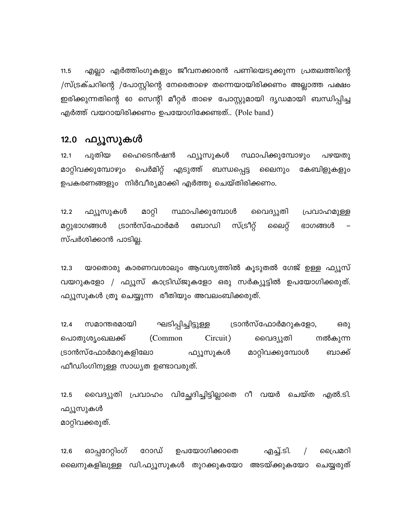എല്ലാ എർത്തിംഗുകളും ജീവനക്കാരൻ പണിയെടുക്കുന്ന പ്രതലത്തിന്റെ  $11.5$ /സ്ട്രക്ചറിന്റെ /പോസ്റ്റിന്റെ നേരെതാഴെ തന്നെയായിരിക്കണം അല്ലാത്ത പക്ഷം ഇരിക്കുന്നതിന്റെ 60 സെന്റി മീറ്റർ താഴെ പോസ്റ്റുമായി ദൃഡമായി ബന്ധിപ്പിച്ച എർത്ത് വയറായിരിക്കണം ഉപയോഗിക്കേണ്ടത്.. (Pole band)

### 12.0 ഫ്യൂസുകൾ

പുതിയ  $12.1$ ഹൈടെൻഷൻ ഫ്യൂസുകൾ സ്ഥാപിക്കുമ്പോഴും പഴയതു മാറ്റിവക്കുമ്പോഴും പെർമിറ്റ് എടുത്ത് ബന്ധപ്പെട്ട ലൈനും കേബിളുകളും ഉപകരണങ്ങളും നിർവീര്യമാക്കി എർത്തു ചെയ്തിരിക്കണം.

മാറ്റി സ്ഥാപിക്കുമ്പോൾ  $12.2$ ഫ്യൂസുകൾ വൈദ്യുതി പ്രവാഹമുള്ള മറ്റുഭാഗങ്ങൾ ട്രാൻസ്ഫോർമർ ബോഡി സ്ട്രീറ്റ് ലൈറ്റ് ഭാഗങ്ങൾ സ്പർശിക്കാൻ പാടില്ല.

യാതൊരു കാരണവശാലും ആവശ്യത്തിൽ കൂടുതൽ ഗേജ് ഉള്ള ഫ്യൂസ്  $12.3$ വയറുകളോ / ഫ്യൂസ് കാട്രിഡ്ജുകളോ ഒരു സർക്യൂട്ടിൽ ഉപയോഗിക്കരുത്. ഫ്യൂസുകൾ ത്രൂ ചെയ്യുന്ന രീതിയും അവലംബിക്കരുത്.

 $12.4$ സമാന്തരമായി ഘടിപ്പിച്ചിട്ടുള്ള ട്രാൻസ്ഫോർമറുകളോ, ഒരു പൊതുശൃംഖലക്ക് (Common Circuit) വൈദ്യുതി നൽകുന്ന ട്രാൻസ്ഫോർമറുകളിലോ ഫ്യൂസുകൾ മാറ്റിവക്കുമ്പോൾ ബാക്ക് ഫീഡിംഗിനുള്ള സാധ്യത ഉണ്ടാവരുത്.

വൈദ്യുതി പ്രവാഹം വിച്ഛേദിച്ചിട്ടില്ലാതെ റീ വയർ ചെയ്ത എൽ.ടി.  $12.5$ ഫ്യൂസുകൾ മാറ്റിവക്കരുത്.

ഓപ്പറേറ്റിംഗ് റോഡ് ഉപയോഗിക്കാതെ എച്ച്.ടി.  $\sqrt{ }$  $12.6$ പ്രൈമറി ലൈനുകളിലുള്ള ഡി.ഫ്യൂസുകൾ തുറക്കുകയോ അടയ്ക്കുകയോ ചെയ്യരുത്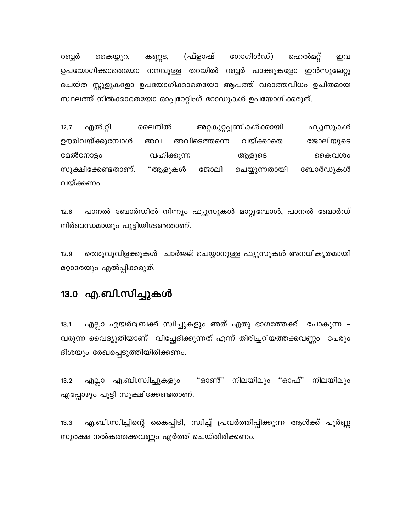കണ്ണട, (ഫ്ളാഷ് ഗോഗിൾഡ്) റബ്ബർ ഹെൽമറ്റ് കൈയ്യുറ, ഇവ ഉപയോഗിക്കാതെയോ നനവുള്ള തറയിൽ റബ്ബർ പാക്കുകളോ ഇൻസുലേറ്റു ചെയ്ത സ്റ്റൂളുകളോ ഉപയോഗിക്കാതെയോ ആപത്ത് വരാത്തവിധം ഉചിതമായ സ്ഥലത്ത് നിൽക്കാതെയോ ഓപ്പറേറ്റിംഗ് റോഡുകൾ ഉപയോഗിക്കരുത്.

 $12.7$ എൽ.റ്റി. ലൈനിൽ അറ്റകുറ്റപ്പണികൾക്കായി ഫ്യൂസുകൾ ഊരിവയ്ക്കുമ്പോൾ വയ്ക്കാതെ ജോലിയുടെ അവ അവിടെത്തന്നെ മേൽനോട്ടം വഹിക്കുന്ന ആളുടെ കൈവശം ''ആളുകൾ സൂക്ഷിക്കേണ്ടതാണ്. ജോലി ചെയ്യുന്നതായി ബോർഡുകൾ വയ്ക്കണം.

പാനൽ ബോർഡിൽ നിന്നും ഫ്യൂസുകൾ മാറ്റുമ്പോൾ, പാനൽ ബോർഡ്  $12.8$ നിർബന്ധമായും പൂട്ടിയിടേണ്ടതാണ്.

12.9 തെരുവുവിളക്കുകൾ ചാർജ്ജ് ചെയ്യാനുള്ള ഫ്യൂസുകൾ അനധികൃതമായി മറ്റാരേയും എൽപ്പിക്കരുത്.

## 13.0 എ.ബി.സിച്ചുകൾ

 $13.1$ എല്ലാ എയർബ്രേക്ക് സ്വിച്ചുകളും അത് ഏതു ഭാഗത്തേക്ക് പോകുന്ന – വരുന്ന വൈദ്യുതിയാണ് വിച്ഛേദിക്കുന്നത് എന്ന് തിരിച്ചറിയത്തക്കവണ്ണം പേരും ദിശയും രേഖപ്പെടുത്തിയിരിക്കണം.

എല്ലാ എ.ബി.സ്വിച്ചുകളും "ഓൺ" നിലയിലും "ഓഫ്" നിലയിലും  $13.2$ എപ്പോഴും പൂട്ടി സൂക്ഷിക്കേണ്ടതാണ്.

എ.ബി.സ്വിച്ചിന്റെ കൈപ്പിടി, സ്വിച്ച് പ്രവർത്തിപ്പിക്കുന്ന ആൾക്ക് പൂർണ്ണ  $13.3$ സുരക്ഷ നൽകത്തക്കവണ്ണം എർത്ത് ചെയ്തിരിക്കണം.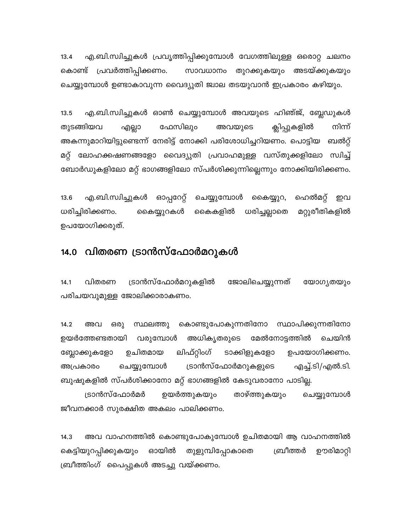എ.ബി.സ്വിച്ചുകൾ പ്രവൃത്തിപ്പിക്കുമ്പോൾ വേഗത്തിലുള്ള ഒരൊറ്റ ചലനം  $13.4$ കൊണ്ട് പ്രവർത്തിപ്പിക്കണം. സാവധാനം തുറക്കുകയും അടയ്ക്കുകയും ചെയ്യുമ്പോൾ ഉണ്ടാകാവുന്ന വൈദ്യുതി ജ്വാല തടയുവാൻ ഇപ്രകാരം കഴിയും.

എ.ബി.സ്വിച്ചുകൾ ഓൺ ചെയ്യുമ്പോൾ അവയുടെ ഹിഞ്ജ്, ബ്ലേഡുകൾ  $13.5$ നിന്ന് തുടങ്ങിയവ ഫേസിലും അവയുടെ ക്ലിപ്പുകളിൽ എല്ലാ അകന്നുമാറിയിട്ടുണ്ടെന്ന് നേരിട്ട് നോക്കി പരിശോധിച്ചറിയണം. പൊട്ടിയ ബൽറ്റ് മറ്റ് ലോഹക്കഷണങ്ങളോ വൈദ്യുതി പ്രവാഹമുള്ള വസ്തുക്കളിലോ സ്വിച്ച് ബോർഡുകളിലോ മറ്റ് ഭാഗങ്ങളിലോ സ്പർശിക്കുന്നില്ലെന്നും നോക്കിയിരിക്കണം.

എ.ബി.സ്വിച്ചുകൾ ഓപ്പറേറ്റ് ചെയ്യുമ്പോൾ ഹെൽമറ്റ്  $13.6$ കൈയ്യുറ, ഇവ ധരിച്ചിരിക്കണം. മറ്റുരീതികളിൽ കൈയ്യുറകൾ കൈകളിൽ ധരിച്ചല്ലാതെ ഉപയോഗിക്കരുത്.

## 14.0 വിതരണ ട്രാൻസ്ഫോർമറുകൾ

ട്രാൻസ്ഫോർമറുകളിൽ ജോലിചെയ്യുന്നത്  $14.1$ വിതരണ യോഗ്യതയും പരിചയവുമുള്ള ജോലിക്കാരാകണം.

 $14.2$ അവ ഒരു സ്ഥലത്തു കൊണ്ടുപോകുന്നതിനോ സ്ഥാപിക്കുന്നതിനോ ഉയർത്തേണ്ടതായി വരുമ്പോൾ അധികൃതരുടെ മേൽനോട്ടത്തിൽ ചെയിൻ ലിഫ്റ്റിംഗ് ഉചിതമായ ടാക്കിളുകളോ ഉപയോഗിക്കണം. ബ്ലോക്കുകളോ ട്രാൻസ്ഫോർമറുകളുടെ എച്ച്.ടി/എൽ.ടി. അപ്രകാരം ചെയ്യുമ്പോൾ ബുഷുകളിൽ സ്പർശിക്കാനോ മറ്റ് ഭാഗങ്ങളിൽ കേടുവരാനോ പാടില്ല.

താഴ്ത്തുകയും ട്രാൻസ്ഫോർമർ ഉയർത്തുകയും ചെയ്യുമ്പോൾ ജീവനക്കാർ സുരക്ഷിത അകലം പാലിക്കണം.

അവ വാഹനത്തിൽ കൊണ്ടുപോകുമ്പോൾ ഉചിതമായി ആ വാഹനത്തിൽ  $14.3$ ഊരിമാറ്റി ഓയിൽ തുളുമ്പിപ്പോകാതെ ബ്രീത്തർ കെട്ടിയുറപ്പിക്കുകയും ബ്രീത്തിംഗ് പൈപ്പുകൾ അടച്ചു വയ്ക്കണം.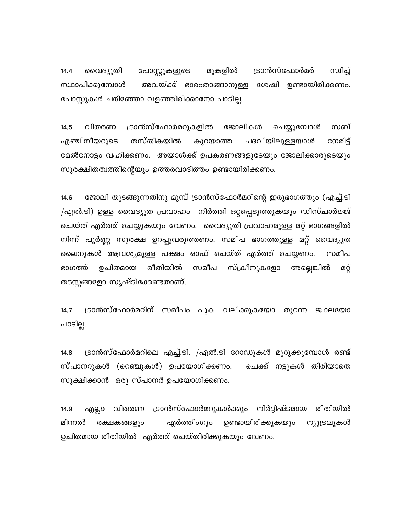ട്രാൻസ്ഫോർമർ സ്വിച്ച് വൈദ്യുതി പോസ്റ്റുകളുടെ മുകളിൽ  $14.4$ അവയ്ക്ക് ഭാരംതാങ്ങാനുള്ള ശേഷി ഉണ്ടായിരിക്കണം. സ്ഥാപിക്കുമ്പോൾ പോസ്റ്റുകൾ ചരിഞ്ഞോ വളഞ്ഞിരിക്കാനോ പാടില്ല.

ട്രാൻസ്ഫോർമറുകളിൽ വിതരണ ജോലികൾ ചെയ്യുമ്പോൾ സബ്  $14.5$ എഞ്ചിനീയറുടെ തസ്തികയിൽ പദവിയിലുള്ളയാൾ നേരിട് കുറയാത്ത മേൽനോട്ടം വഹിക്കണം. അയാൾക്ക് ഉപകരണങ്ങളുടേയും ജോലിക്കാരുടെയും സുരക്ഷിതത്വത്തിന്റെയും ഉത്തരവാദിത്തം ഉണ്ടായിരിക്കണം.

ജോലി തുടങ്ങുന്നതിനു മുമ്പ് ട്രാൻസ്ഫോർമറിന്റെ ഇരുഭാഗത്തും (എച്ച്.ടി  $14.6$ /എൽ.ടി) ഉള്ള വൈദ്യുത പ്രവാഹം നിർത്തി ഒറ്റപ്പെടുത്തുകയും ഡിസ്ചാർജ്ജ് ചെയ്ത് എർത്ത് ചെയ്യുകയും വേണം. വൈദ്യുതി പ്രവാഹമുള്ള മറ്റ് ഭാഗങ്ങളിൽ നിന്ന് പൂർണ്ണ സുരക്ഷ ഉറപ്പുവരുത്തണം. സമീപ ഭാഗത്തുള്ള മറ്റ് വൈദ്യുത ലൈനുകൾ ആവശ്യമുള്ള പക്ഷം ഓഫ് ചെയ്ത് എർത്ത് ചെയ്യണം. സമീപ സമീപ സ്ക്രീനുകളോ രീതിയിൽ ഭാഗത്ത് ഉചിതമായ അല്ലെങ്കിൽ മറ്റ് തടസ്സങ്ങളോ സൃഷ്ടിക്കേണ്ടതാണ്.

ട്രാൻസ്ഫോർമറിന് സമീപം പുക വലിക്കുകയോ തുറന്ന ജ്വാലയോ  $14.7$ പാടില്ല.

ട്രാൻസ്ഫോർമറിലെ എച്ച്.ടി. /എൽ.ടി റോഡുകൾ മുറുക്കുമ്പോൾ രണ്ട്  $14.8$ സ്പാനറുകൾ (റെഞ്ചുകൾ) ഉപയോഗിക്കണം. ചെക്ക് നട്ടുകൾ തിരിയാതെ സൂക്ഷിക്കാൻ ഒരു സ്പാനർ ഉപയോഗിക്കണം.

ട്രാൻസ്ഫോർമറുകൾക്കും നിർദ്ദിഷ്ടമായ എല്ലാ വിതരണ രീതിയിൽ 14.9 മിന്നൽ ഉണ്ടായിരിക്കുകയും എർത്തിംഗും ന്യൂട്രലുകൾ രക്ഷകങ്ങളും ഉചിതമായ രീതിയിൽ എർത്ത് ചെയ്തിരിക്കുകയും വേണം.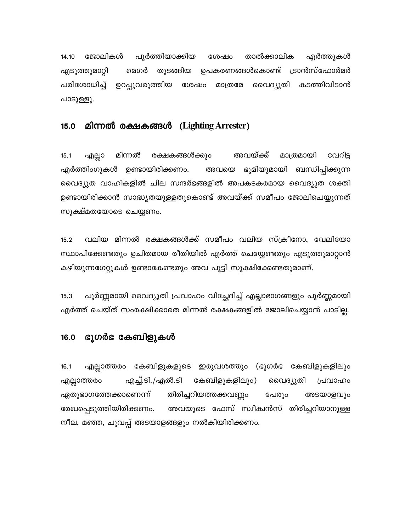ജോലികൾ പൂർത്തിയാക്കിയ 14.10 ശേഷം താൽക്കാലിക എർത്തുകൾ മെഗർ തുടങ്ങിയ ഉപകരണങ്ങൾകൊണ്ട് ട്രാൻസ്ഫോർമർ എടുത്തുമാറ്റി പരിശോധിച്ച് ഉറപ്പുവരുത്തിയ വൈദ്യുതി കടത്തിവിടാൻ ശേഷം മാത്രമേ പാടുള്ളൂ.

#### $15.0$ മിന്നൽ രക്ഷകങ്ങൾ (Lighting Arrester)

മിന്നൽ രക്ഷകങ്ങൾക്കും അവയ്ക്ക് മാത്രമായി  $15.1$ എല്ലാ വേറിട്ട എർത്തിംഗുകൾ ഉണ്ടായിരിക്കണം. അവയെ ഭൂമിയുമായി ബന്ധിപ്പിക്കുന്ന വൈദ്യുത വാഹികളിൽ ചില സന്ദർഭങ്ങളിൽ അപകടകരമായ വൈദ്യുത ശക്തി ഉണ്ടായിരിക്കാൻ സാദ്ധ്യതയുള്ളതുകൊണ്ട് അവയ്ക്ക് സമീപം ജോലിചെയ്യുന്നത് സൂക്ഷ്മതയോടെ ചെയ്യണം.

വലിയ മിന്നൽ രക്ഷകങ്ങൾക്ക് സമീപം വലിയ സ്ക്രീനോ, വേലിയോ  $15.2$ സ്ഥാപിക്കേണ്ടതും ഉചിതമായ രീതിയിൽ എർത്ത് ചെയ്യേണ്ടതും എടുത്തുമാറ്റാൻ കഴിയുന്നഗേറ്റുകൾ ഉണ്ടാകേണ്ടതും അവ പൂട്ടി സൂക്ഷിക്കേണ്ടതുമാണ്.

പൂർണ്ണമായി വൈദ്യുതി പ്രവാഹം വിച്ഛേദിച്ച് എല്ലാഭാഗങ്ങളും പൂർണ്ണമായി  $15.3$ എർത്ത് ചെയ്ത് സംരക്ഷിക്കാതെ മിന്നൽ രക്ഷകങ്ങളിൽ ജോലിചെയ്യാൻ പാടില്ല.

#### ഭൂഗർഭ കേബിളുകൾ 16.0

എല്ലാത്തരം കേബിളുകളുടെ ഇരുവശത്തും (ഭൂഗർഭ കേബിളുകളിലും  $16.1$ എല്ലാത്തരം എച്ച്.ടി./എൽ.ടി കേബിളുകളിലും) വൈദ്യുതി പ്രവാഹം ഏതുഭാഗത്തേക്കാണെന്ന് തിരിച്ചറിയത്തക്കവണ്ണം പേരും അടയാളവും അവയുടെ ഫേസ് സ്വീക്വൻസ് തിരിച്ചറിയാനുള്ള രേഖപ്പെടുത്തിയിരിക്കണം. നീല, മഞ്ഞ, ചുവപ്പ് അടയാളങ്ങളും നൽകിയിരിക്കണം.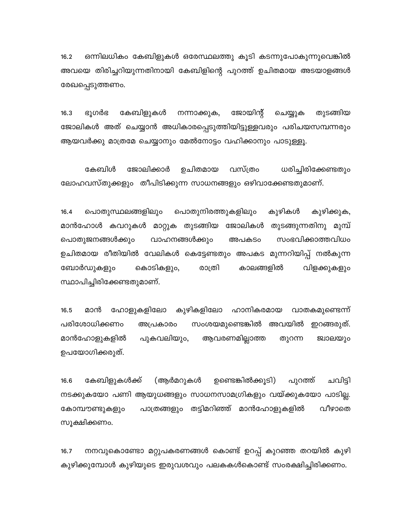ഒന്നിലധികം കേബിളുകൾ ഒരേസ്ഥലത്തു കൂടി കടന്നുപോകുന്നുവെങ്കിൽ  $16.2$ അവയെ തിരിച്ചറിയുന്നതിനായി കേബിളിന്റെ പുറത്ത് ഉചിതമായ അടയാളങ്ങൾ രേഖപ്പെടുത്തണം.

കേബിളുകൾ ജോയിന്റ് തുടങ്ങിയ  $16.3$ ഭൂഗർഭ നന്നാക്കുക, ചെയ്യുക ജോലികൾ അത് ചെയ്യാൻ അധികാരപ്പെടുത്തിയിട്ടുള്ളവരും പരിചയസമ്പന്നരും ആയവർക്കു മാത്രമേ ചെയ്യാനും മേൽനോട്ടം വഹിക്കാനും പാടുള്ളൂ.

ജോലിക്കാർ കേബിൾ ഉചിതമായ വസ്ത്രം ധരിച്ചിരിക്കേണ്ടതും ലോഹവസ്തുക്കളും തീപിടിക്കുന്ന സാധനങ്ങളും ഒഴിവാക്കേണ്ടതുമാണ്.

കുഴികൾ കുഴിക്കുക,  $16.4$ പൊതുസ്ഥലങ്ങളിലും പൊതുനിരത്തുകളിലും മാൻഹോൾ കവറുകൾ മാറ്റുക തുടങ്ങിയ ജോലികൾ തുടങ്ങുന്നതിനു മുമ്പ് സംഭവിക്കാത്തവിധം പൊതുജനങ്ങൾക്കും വാഹനങ്ങൾക്കും അപകടം ഉചിതമായ രീതിയിൽ വേലികൾ കെട്ടേണ്ടതും അപകട മുന്നറിയിപ്പ് നൽകുന്ന കൊടികളും, രാത്രി കാലങ്ങളിൽ വിളക്കുകളും ബോർഡുകളും സ്ഥാപിച്ചിരിക്കേണ്ടതുമാണ്.

ഹോളുകളിലോ കുഴികളിലോ ഹാനികരമായ വാതകമുണ്ടെന്ന്  $16.5$ മാൻ പരിശോധിക്കണം അപ്രകാരം സംശയമുണ്ടെങ്കിൽ അവയിൽ ഇറങ്ങരുത്. മാൻഹോളുകളിൽ പുകവലിയും, ആവരണമില്ലാത്ത തുറന്ന ജ്വാലയും ഉപയോഗിക്കരുത്.

കേബിളുകൾക്ക് (ആർമറുകൾ ഉണ്ടെങ്കിൽക്കൂടി) ചവിട്ടി 16.6 പുറത്ത് നടക്കുകയോ പണി ആയുധങ്ങളും സാധനസാമഗ്രികളും വയ്ക്കുകയോ പാടില്ല. പാത്രങ്ങളും തട്ടിമറിഞ്ഞ് മാൻഹോളുകളിൽ വീഴാതെ കോമ്പൗണ്ടുകളും സൂക്ഷിക്കണം.

നനവുകൊണ്ടോ മറ്റുപകരണങ്ങൾ കൊണ്ട് ഉറപ്പ് കുറഞ്ഞ തറയിൽ കുഴി  $16.7$ കുഴിക്കുമ്പോൾ കുഴിയുടെ ഇരുവശവും പലകകൾകൊണ്ട് സംരക്ഷിച്ചിരിക്കണം.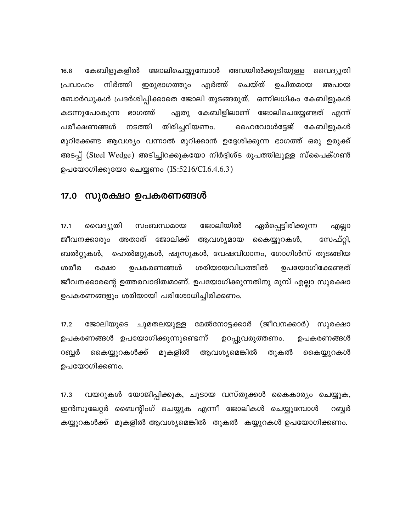കേബിളുകളിൽ ജോലിചെയ്യുമ്പോൾ അവയിൽക്കൂടിയുള്ള വൈദ്യുതി  $16.8$ നിർത്തി എർത്ത് ചെയ്ത് ഉചിതമായ പ്രവാഹം ഇരുഭാഗത്തും അപായ ബോർഡുകൾ പ്രദർശിപ്പിക്കാതെ ജോലി തുടങ്ങരുത്. ഒന്നിലധികം കേബിളുകൾ കടന്നുപോകുന്ന ഭാഗത്ത് ഏതു കേബിളിലാണ് ജോലിചെയ്യേണ്ടത് എന്ന് നടത്തി തിരിച്ചറിയണം. പരീക്ഷണങ്ങൾ ഹൈവോൾട്ടേജ് കേബിളുകൾ മുറിക്കേണ്ട ആവശ്യം വന്നാൽ മുറിക്കാൻ ഉദ്ദേശിക്കുന്ന ഭാഗത്ത് ഒരു ഉരുക്ക് അടപ്പ് (Steel Wedge) അടിച്ചിറക്കുകയോ നിർദ്ദിശ്ട രൂപത്തിലുള്ള സ്പൈക്ഗൺ ഉപയോഗിക്കുയോ ചെയ്യണം (IS:5216/CI.6.4.6.3)

### 17.0 സുരക്ഷാ ഉപകരണങ്ങൾ

ജോലിയിൽ  $17.1$ വൈദ്യുതി സംബന്ധമായ ഏർപ്പെട്ടിരിക്കുന്ന എല്ലാ ജീവനക്കാരും അതാത് ജോലിക്ക് ആവശ്യമായ കൈയ്യുറകൾ, സേഫ്റ്റി, ബൽറ്റുകൾ, ഹെൽമറ്റുകൾ, ഷൂസുകൾ, വേഷവിധാനം, ഗോഗിൾസ് തുടങ്ങിയ ശരീര ശരിയായവിധത്തിൽ ഉപയോഗിക്കേണ്ടത് രക്ഷാ ഉപകരണങ്ങൾ ജീവനക്കാരന്റെ ഉത്തരവാദിത്വമാണ്. ഉപയോഗിക്കുന്നതിനു മുമ്പ് എല്ലാ സുരക്ഷാ ഉപകരണങ്ങളും ശരിയായി പരിശോധിച്ചിരിക്കണം.

 $17.2$ ജോലിയുടെ ചുമതലയുള്ള മേൽനോട്ടക്കാർ (ജീവനക്കാർ) സുരക്ഷാ ഉപകരണങ്ങൾ ഉപയോഗിക്കുന്നുണ്ടെന്ന് ഉറപ്പുവരുത്തണം. ഉപകരണങ്ങൾ കൈയ്യുറകൾക്ക് ആവശ്യമെങ്കിൽ റബ്ബർ മുകളിൽ തുകൽ കൈയ്യുറകൾ ഉപയോഗിക്കണം.

 $17.3$ വയറുകൾ യോജിപ്പിക്കുക, ചൂടായ വസ്തുക്കൾ കൈകാര്യം ചെയ്യുക, ഇൻസുലേറ്റർ ബൈന്റിംഗ് ചെയ്യുക എന്നീ ജോലികൾ ചെയ്യുമ്പോൾ റബ്ബർ കയ്യുറകൾക്ക് മുകളിൽ ആവശ്യമെങ്കിൽ തുകൽ കയ്യുറകൾ ഉപയോഗിക്കണം.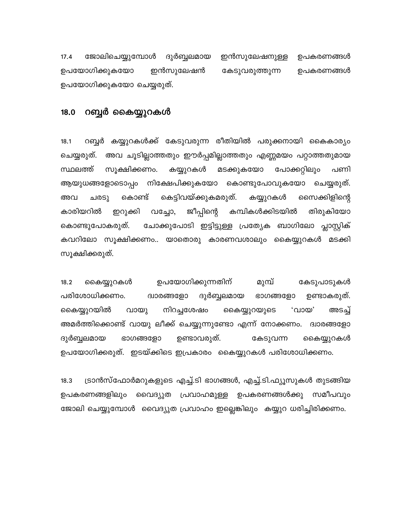$17.4$ ജോലിചെയ്യുമ്പോൾ ദുർബ്ബലമായ ഇൻസുലേഷനുള്ള ഉപകരണങ്ങൾ ഉപയോഗിക്കുകയോ ഇൻസുലേഷൻ കേടുവരുത്തുന്ന ഉപകരണങ്ങൾ ഉപയോഗിക്കുകയോ ചെയ്യരുത്.

#### റബ്ബർ കൈയ്യുറകൾ  $18.0$

റബ്ബർ കയ്യുറകൾക്ക് കേടുവരുന്ന രീതിയിൽ പരുക്കനായി കൈകാര്യം  $18.1$ ചെയ്യരുത്. അവ ചൂടില്ലാത്തതും ഈർപ്പമില്ലാത്തതും എണ്ണമയം പറ്റാത്തതുമായ സ്ഥലത്ത് സൂക്ഷിക്കണം. മടക്കുകയോ പോക്കറ്റിലും കയ്യുറകൾ പണി ആയുധങ്ങളോടൊപ്പം നിക്ഷേപിക്കുകയോ കൊണ്ടുപോവുകയോ ചെയ്യരുത്. കെട്ടിവയ്ക്കുകമരുത്. കൊണ്ട് കയ്യുറകൾ സൈക്കിളിന്റെ അവ ചരടു കാരിയറിൽ ജീപ്പിന്റെ കമ്പികൾക്കിടയിൽ ഇറുക്കി തിരുകിയോ വച്ചോ, ചോക്കുപോടി ഇട്ടിട്ടുള്ള പ്രത്യേക ബാഗിലോ പ്ലാസ്റ്റിക് കൊണ്ടുപോകരുത്. കവറിലോ സൂക്ഷിക്കണം.. യാതൊരു കാരണവശാലും കൈയ്യുറകൾ മടക്കി സൂക്ഷിക്കരുത്.

ഉപയോഗിക്കുന്നതിന് മുമ്പ് കൈയ്യുറകൾ കേടുപാടുകൾ  $18.2$ പരിശോധിക്കണം. ദ്വാരങ്ങളോ ദുർബ്ബലമായ ഭാഗങ്ങളോ ഉണ്ടാകരുത്. നിറച്ചശേഷം ,ഗാത, കൈയ്യുറയിൽ വായു കൈയ്യുറയുടെ അടച്ച് അമർത്തിക്കൊണ്ട് വായു ലീക്ക് ചെയ്യുന്നുണ്ടോ എന്ന് നോക്കണം. ദ്വാരങ്ങളോ ദുർബ്ബലമായ ഭാഗങ്ങളോ ഉണ്ടാവരുത്. കേടുവന്ന കൈയ്യുറകൾ ഉപയോഗിക്കരുത്. ഇടയ്ക്കിടെ ഇപ്രകാരം കൈയ്യുറകൾ പരിശോധിക്കണം.

ട്രാൻസ്ഫോർമറുകളുടെ എച്ച്.ടി ഭാഗങ്ങൾ, എച്ച്.ടി.ഫ്യൂസുകൾ തുടങ്ങിയ  $18.3$ ഉപകരണങ്ങളിലും വൈദ്യുത പ്രവാഹമുള്ള ഉപകരണങ്ങൾക്കു സമീപവും ജോലി ചെയ്യുമ്പോൾ വൈദ്യുത പ്രവാഹം ഇല്ലെങ്കിലും കയ്യുറ ധരിച്ചിരിക്കണം.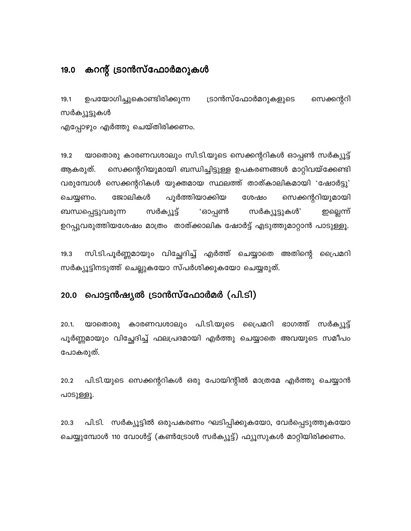### കറന്റ് ട്രാൻസ്ഫോർമറുകൾ 19.0

ഉപയോഗിച്ചുകൊണ്ടിരിക്കുന്ന ട്രാൻസ്ഫോർമറുകളുടെ സെക്കന്ററി  $19.1$ സർക്യൂട്ടുകൾ എപ്പോഴും എർത്തു ചെയ്തിരിക്കണം.

യാതൊരു കാരണവശാലും സി.ടി.യുടെ സെക്കന്ററികൾ ഓപ്പൺ സർക്യൂട്ട്  $19.2$ സെക്കന്ററിയുമായി ബന്ധിച്ചിട്ടുള്ള ഉപകരണങ്ങൾ മാറ്റിവയ്ക്കേണ്ടി ആകരുത്. വരുമ്പോൾ സെക്കന്ററികൾ യുക്തമായ സ്ഥലത്ത് താത്കാലികമായി 'ഷോർട്ടു' ജോലികൾ പൂർത്തിയാക്കിയ സെക്കന്ററിയുമായി ചെയ്യണം. ശേഷം സർക്യൂട്ട് ബന്ധപ്പെട്ടുവരുന്ന 'ഓപ്പൺ സർക്യൂട്ടുകൾ' ഇല്ലെന്ന് ഉറപ്പുവരുത്തിയശേഷം മാത്രം താത്ക്കാലിക ഷോർട്ട് എടുത്തുമാറ്റാൻ പാടുള്ളൂ.

സി.ടി.പൂർണ്ണമായും വിച്ഛേദിച്ച് എർത്ത് ചെയ്യാതെ അതിന്റെ പ്രൈമറി  $19.3$ സർക്യൂട്ടിനടുത്ത് ചെല്ലുകയോ സ്പർശിക്കുകയോ ചെയ്യരുത്.

#### പൊട്ടൻഷ്യൽ ട്രാൻസ്ഫോർമർ (പി.ടി)  $20.0$

 $20.1.$ യാതൊരു കാരണവശാലും പി.ടി.യുടെ പ്രൈമറി ഭാഗത്ത് സർക്യൂട്ട് പൂർണ്ണമായും വിച്ഛേദിച്ച് ഫലപ്രദമായി എർത്തു ചെയ്യാതെ അവയുടെ സമീപം പോകരുത്.

പി.ടി.യുടെ സെക്കന്ററികൾ ഒരു പോയിന്റിൽ മാത്രമേ എർത്തു ചെയ്യാൻ 20.2 പാടുള്ളൂ.

പി.ടി. സർക്യൂട്ടിൽ ഒരുപകരണം ഘടിപ്പിക്കുകയോ, വേർപ്പെടുത്തുകയോ 20.3 ചെയ്യുമ്പോൾ 110 വോൾട്ട് (കൺട്രോൾ സർക്യൂട്ട്) ഫ്യൂസുകൾ മാറ്റിയിരിക്കണം.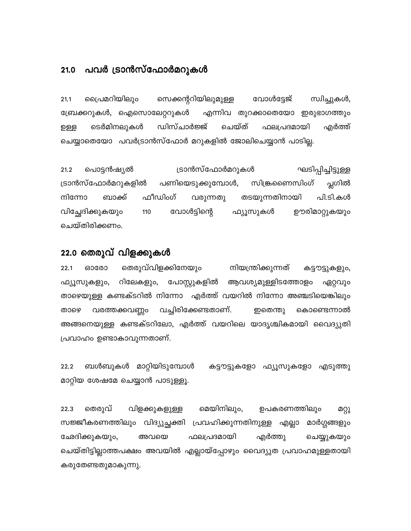#### പവർ ട്രാൻസ്ഫോർമറുകൾ  $21.0$

പ്രൈമറിയിലും സെക്കന്ററിയിലുമുള്ള വോൾട്ടേജ് സ്വിച്ചുകൾ,  $21.1$ ബ്രേക്കറുകൾ, ഐസൊലേറ്ററുകൾ എന്നിവ തുറക്കാതെയോ ഇരുഭാഗത്തും ചെയ്ത് ടെർമിനലുകൾ ഡിസ്ചാർജ്ജ് ഫലപ്രദമായി എർത്ത് ഉള്ള ചെയ്യാതെയോ പവർട്രാൻസ്ഫോർ മറുകളിൽ ജോലിചെയ്യാൻ പാടില്ല.

ട്രാൻസ്ഫോർമറുകൾ ഘടിപ്പിച്ചിട്ടുള്ള പൊട്ടൻഷ്യൽ  $21.2$ പ്ലഗിൽ സിങ്ക്രണെസിംഗ് ട്രാൻസ്ഫോർമറുകളിൽ പണിയെടുക്കുമ്പോൾ, ഫീഡിംഗ് നിന്നോ ബാക്ക് വരുന്നതു തടയുന്നതിനായി പി.ടി.കൾ വിച്ഛേദിക്കുകയും വോൾട്ടിന്റെ 110 ഫ്യൂസുകൾ ഊരിമാറ്റുകയും ചെയ്തിരിക്കണം.

### 22.0 തെരുവ് വിളക്കുകൾ

തെരുവ്വിളക്കിനേയും  $22.1$ ഓരോ നിയന്ത്രിക്കുന്നത് കട്ടൗട്ടുകളും, റിലേകളും, പോസ്റ്റുകളിൽ ആവശ്യമുള്ളിടത്തോളം ഫ്യൂസുകളും, ഏറ്റവും താഴെയുള്ള കണ്ടക്ടറിൽ നിന്നോ എർത്ത് വയറിൽ നിന്നോ അഞ്ചടിയെങ്കിലും വച്ചിരിക്കേണ്ടതാണ്. വരത്തക്കവണ്ണം ഇതെന്തു കൊണ്ടെന്നാൽ താഴെ അങ്ങനെയുള്ള കണ്ടക്ടറിലോ, എർത്ത് വയറിലെ യാദൃശ്ചികമായി വൈദ്യുതി പ്രവാഹം ഉണ്ടാകാവുന്നതാണ്.

ബൾബുകൾ മാറ്റിയിടുമ്പോൾ 22.2 കട്ടൗട്ടുകളോ ഫ്യൂസുകളോ എടുത്തു മാറ്റിയ ശേഷമേ ചെയ്യാൻ പാടുള്ളൂ.

തെരുവ് മെയിനിലും, 22.3 വിളക്കുകളുള്ള ഉപകരണത്തിലും മറ്റു സജ്ജീകരണത്തിലും വിദ്യുച്ഛക്തി പ്രവഹിക്കുന്നതിനുള്ള എല്ലാ മാർഗ്ഗങ്ങളും ഫലപ്രദമായി ഛേദിക്കുകയും, അവയെ എർത്തു ചെയ്യുകയും ചെയ്തിട്ടില്ലാത്തപക്ഷം അവയിൽ എല്ലായ്പ്പോഴും വൈദ്യുത പ്രവാഹമുള്ളതായി കരുതേണ്ടതുമാകുന്നു.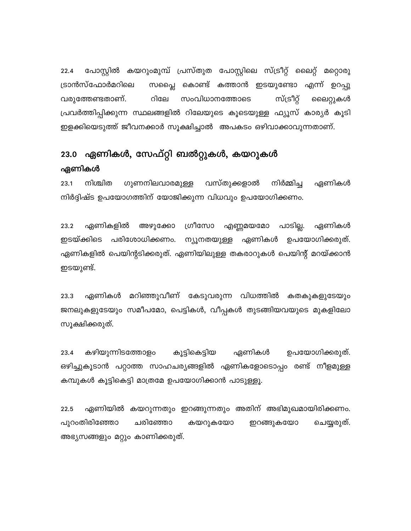പോസ്റ്റിൽ കയറുംമുമ്പ് പ്രസ്തുത പോസ്റ്റിലെ സ്ട്രീറ്റ് ലൈറ്റ് മറ്റൊരു  $22.4$ സപ്ലൈ കൊണ്ട് കത്താൻ ഇടയുണ്ടോ എന്ന് ഉറപ്പു ട്രാൻസ്ഫോർമറിലെ സ്ട്രീറ്റ് വരുത്തേണ്ടതാണ്. റിലേ സംവിധാനത്തോടെ ലൈറ്റുകൾ പ്രവർത്തിപ്പിക്കുന്ന സ്ഥലങ്ങളിൽ റിലേയുടെ കൂടെയുള്ള ഫ്യൂസ് കാര്യർ കൂടി ഇളക്കിയെടുത്ത് ജീവനക്കാർ സൂക്ഷിച്ചാൽ അപകടം ഒഴിവാക്കാവുന്നതാണ്.

# 23.0 ഏണികൾ, സേഫ്റ്റി ബൽറ്റുകൾ, കയറുകൾ ഏണികൾ

ഗുണനിലവാരമുള്ള 23.1 നിശ്ചിത വസ്തുക്കളാൽ നിർമ്മിച്ച ഏണികൾ നിർദ്ദിഷ്ട ഉപയോഗത്തിന് യോജിക്കുന്ന വിധവും ഉപയോഗിക്കണം.

ഏണികളിൽ ഗ്രീസോ 23.2 അഴുക്കോ എണ്ണമയമോ പാടില്ല. ഏണികൾ ഇടയ്ക്കിടെ പരിശോധിക്കണം. ന്യൂനതയുള്ള ഏണികൾ ഉപയോഗിക്കരുത്. ഏണികളിൽ പെയിന്റടിക്കരുത്. ഏണിയിലുള്ള തകരാറുകൾ പെയിന്റ് മറയ്ക്കാൻ ഇടയുണ്ട്.

മറിഞ്ഞുവീണ് കേടുവരുന്ന വിധത്തിൽ കതകുകളുടേയും 23.3 ഏണികൾ ജനലുകളുടേയും സമീപമോ, പെട്ടികൾ, വീപ്പകൾ തുടങ്ങിയവയുടെ മുകളിലോ സൂക്ഷിക്കരുത്.

കഴിയുന്നിടത്തോളം 23.4 കൂട്ടികെട്ടിയ ഏണികൾ ഉപയോഗിക്കരുത്. ഒഴിച്ചുകൂടാൻ പറ്റാത്ത സാഹചര്യങ്ങളിൽ ഏണികളോടൊപ്പം രണ്ട് നീളമുള്ള കമ്പുകൾ കൂട്ടികെട്ടി മാത്രമേ ഉപയോഗിക്കാൻ പാടുള്ളൂ.

ഏണിയിൽ കയറുന്നതും ഇറങ്ങുന്നതും അതിന് അഭിമുഖമായിരിക്കണം. 22.5 പുറംതിരിഞ്ഞോ ചരിഞ്ഞോ കയറുകയോ ചെയ്യരുത്. ഇറങ്ങുകയോ അഭ്യസങ്ങളും മറ്റും കാണിക്കരുത്.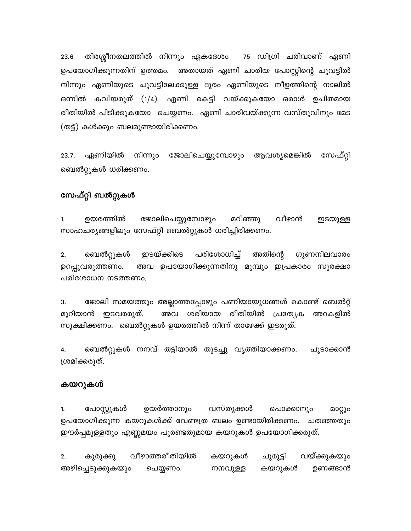23.6 തിരശ്ശീനതലത്തിൽ നിന്നും ഏകദേശം 75 ഡിഗ്രി ചരിവാണ് ഏണി ഉപയോഗിക്കുന്നതിന് ഉത്തമം. അതായത് ഏണി ചാരിയ പോസ്റ്റിന്റെ ചുവട്ടിൽ നിന്നും ഏണിയുടെ ചുവട്ടിലേക്കുള്ള ദൂരം ഏണിയുടെ നീളത്തിന്റെ നാലിൽ ഒന്നിൽ കവിയരുത് (1/4). ഏണി കെട്ടി വയ്ക്കുകയോ ഒരാൾ ഉചിതമായ രീതിയിൽ പിടിക്കുകയോ ചെയ്യണം. ഏണി ചാരിവയ്ക്കുന്ന വസ്തുവിനും മേട (തട്ട്) കൾക്കും ബലമുണ്ടായിരിക്കണം.

നിന്നും ജോലിചെയ്യുമ്പോഴും ആവശ്യമെങ്കിൽ  $23.7.$ ഏണിയിൽ സേഫ്റ്റി ബെൽറ്റുകൾ ധരിക്കണം.

### സേഫ്റ്റി ബൽറ്റുകൾ

ജോലിചെയ്യുമ്പോഴും വീഴാൻ 1. ഉയരത്തിൽ മറിഞ്ഞു ഇടയുള്ള സാഹചര്യങ്ങളിലും സേഫ്റ്റി ബെൽറ്റുകൾ ധരിച്ചിരിക്കണം.

ഇടയ്ക്കിടെ പരിശോധിച്ച് അതിന്റെ  $2.$ ബെൽറ്റുകൾ ഗുണനിലവാരം അവ ഉപയോഗിക്കുന്നതിനു മുമ്പും ഇപ്രകാരം സുരക്ഷാ ഉറപ്പുവരുത്തണം. പരിശോധന നടത്തണം.

3. ജോലി സമയത്തും അല്ലാത്തപ്പോഴും പണിയായുധങ്ങൾ കൊണ്ട് ബെൽറ്റ് മുറിയാൻ ഇടവരരുത്. അവ ശരിയായ രീതിയിൽ പ്രത്യേക അറകളിൽ സൂക്ഷിക്കണം. ബെൽറ്റുകൾ ഉയരത്തിൽ നിന്ന് താഴേക്ക് ഇടരുത്.

ബെൽറ്റുകൾ നനവ് തട്ടിയാൽ തുടച്ചു വൃത്തിയാക്കണം. 4. ചൂടാക്കാൻ ശ്രമിക്കരുത്.

### കയറുകൾ

വസ്തുക്കൾ 1. പോസ്റ്റുകൾ ഉയർത്താനും പൊക്കാനും മാറ്റും ഉപയോഗിക്കുന്ന കയറുകൾക്ക് വേണ്ടത്ര ബലം ഉണ്ടായിരിക്കണം. ചതഞ്ഞതും ഈർപ്പമുള്ളതും എണ്ണമയം പുരണ്ടതുമായ കയറുകൾ ഉപയോഗിക്കരുത്.

വീഴാത്തരീതിയിൽ  $2.$ കയറുകൾ ചുരുട്ടി വയ്ക്കുകയും കുരുക്കു അഴിച്ചെടുക്കുകയും കയറുകൾ ഉണങ്ങാൻ ചെയ്യണം. നനവുള്ള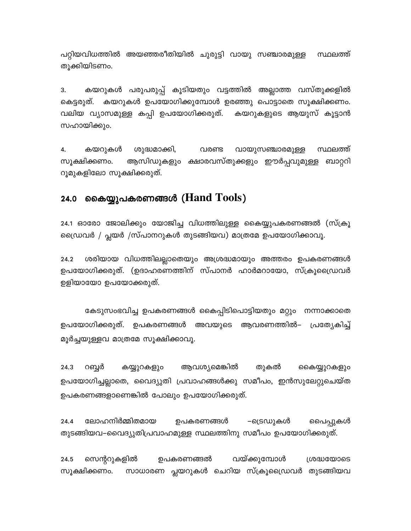പറ്റിയവിധത്തിൽ അയഞ്ഞരീതിയിൽ ചുരുട്ടി വായു സഞ്ചാരമുള്ള സ്ഥലത്ത് തൂക്കിയിടണം.

കയറുകൾ പരുപരുപ്പ് കൂടിയതും വട്ടത്തിൽ അല്ലാത്ത വസ്തുക്കളിൽ 3. കെട്ടരുത്. കയറുകൾ ഉപയോഗിക്കുമ്പോൾ ഉരഞ്ഞു പൊട്ടാതെ സൂക്ഷിക്കണം. വലിയ വ്യാസമുള്ള കപ്പി ഉപയോഗിക്കരുത്. കയറുകളുടെ ആയുസ് കൂട്ടാൻ സഹായിക്കും.

വായുസഞ്ചാരമുള്ള സ്ഥലത്ത് 4. കയറുകൾ ശുദ്ധമാക്കി, വരണ്ട സൂക്ഷിക്കണം. ആസിഡുകളും ക്ഷാരവസ്തുക്കളും ഈർപ്പവുമുള്ള ബാറ്ററി റൂമുകളിലോ സൂക്ഷിക്കരുത്.

#### കൈയ്യുപകരണങ്ങൾ (Hand Tools) 24.0

24.1 ഓരോ ജോലിക്കും യോജിച്ച വിധത്തിലുള്ള കൈയ്യുപകരണങ്ങൽ (സ്ക്രൂ ഡ്രൈവർ / പ്ലയർ /സ്പാനറുകൾ തുടങ്ങിയവ) മാത്രമേ ഉപയോഗിക്കാവൂ.

ശരിയായ വിധത്തിലല്ലാതെയും അശ്രദ്ധമായും അത്തരം ഉപകരണങ്ങൾ 24.2 ഉപയോഗിക്കരുത്. (ഉദാഹരണത്തിന് സ്പാനർ ഹാർമറായോ, സ്ക്രൂഡ്രൈവർ ഉളിയായോ ഉപയോക്കരുത്.

കേടുസംഭവിച്ച ഉപകരണങ്ങൾ കൈപ്പിടിപൊട്ടിയതും മറ്റും നന്നാക്കാതെ ഉപയോഗിക്കരുത്. ഉപകരണങ്ങൾ അവയുടെ ആവരണത്തിൽ– പ്രത്യേകിച്ച് മൂർച്ചയുള്ളവ മാത്രമേ സൂക്ഷിക്കാവൂ.

തുകൽ 24.3 റബ്ബർ കയ്യുറകളും ആവശ്യമെങ്കിൽ കൈയ്യുറകളും ഉപയോഗിച്ചല്ലാതെ, വൈദ്യുതി പ്രവാഹങ്ങൾക്കു സമീപം, ഇൻസുലേറ്റുചെയ്ത ഉപകരണങ്ങളാണെങ്കിൽ പോലും ഉപയോഗിക്കരുത്.

ലോഹനിർമ്മിതമായ ഉപകരണങ്ങൾ –ട്രെഡുകൾ 24.4 പൈപ്പുകൾ തുടങ്ങിയവ–വൈദ്യുതിപ്രവാഹമുള്ള സ്ഥലത്തിനു സമീപം ഉപയോഗിക്കരുത്.

ഉപകരണങ്ങൽ വയ്ക്കുമ്പോൾ 24.5 സെന്ററുകളിൽ ശ്രദ്ധയോടെ സൂക്ഷിക്കണം. സാധാരണ പ്ലയറുകൾ ചെറിയ സ്ക്രൂഡ്രൈവർ തുടങ്ങിയവ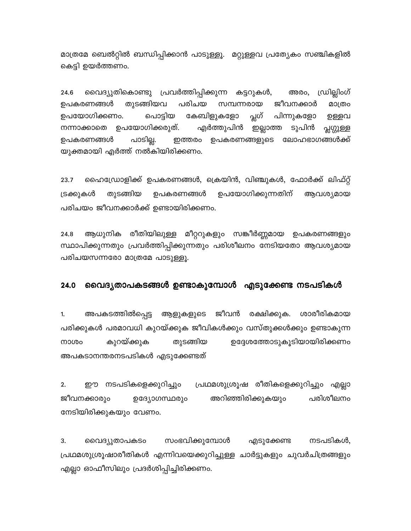മാത്രമേ ബെൽറ്റിൽ ബന്ധിപ്പിക്കാൻ പാടുള്ളൂ. മറ്റുള്ളവ പ്രത്യേകം സഞ്ചികളിൽ കെട്ടി ഉയർത്തണം.

ഡ്രില്ലിംഗ് വൈദ്യുതികൊണ്ടു പ്രവർത്തിപ്പിക്കുന്ന കട്ടറുകൾ, 24.6 അരം, പരിചയ ഉപകരണങ്ങൾ തുടങ്ങിയവ സമ്പന്നരായ ജീവനക്കാർ മാത്രം പ്ലഗ് പിന്നുകളോ ഉപയോഗിക്കണം. പൊട്ടിയ കേബിളുകളോ ഉള്ളവ നന്നാക്കാതെ ഉപയോഗിക്കരുത്. എർത്തുപിൻ ഇല്ലാത്ത ടുപിൻ പ്സ്റ്റുള്ള പാടില്ല. ഇത്തരം ഉപകരണങ്ങളുടെ ലോഹഭാഗങ്ങൾക്ക് ഉപകരണങ്ങൾ യുക്തമായി എർത്ത് നൽകിയിരിക്കണം.

23.7 ഹൈഡ്രോളിക്ക് ഉപകരണങ്ങൾ, ക്രെയിൻ, വിഞ്ചുകൾ, ഫോർക്ക് ലിഫ്റ്റ് തുടങ്ങിയ ഉപകരണങ്ങൾ ഉപയോഗിക്കുന്നതിന് ട്രക്കുകൾ ആവശ്യമായ പരിചയം ജീവനക്കാർക്ക് ഉണ്ടായിരിക്കണം.

ആധുനിക രീതിയിലുള്ള മീറ്ററുകളും സങ്കീർണ്ണമായ ഉപകരണങ്ങളും 24.8 സ്ഥാപിക്കുന്നതും പ്രവർത്തിപ്പിക്കുന്നതും പരിശീലനം നേടിയതോ ആവശ്യമായ പരിചയസന്നരോ മാത്രമേ പാടുള്ളൂ.

#### വൈദ്യതാപകടങ്ങൾ ഉണ്ടാകുമ്പോൾ എടുക്കേണ്ട നടപടികൾ 24.0

അപകടത്തിൽപ്പെട്ട ജീവൻ രക്ഷിക്കുക. ശാരീരികമായ 1. ആളുകളുടെ പരിക്കുകൾ പരമാവധി കുറയ്ക്കുക ജീവികൾക്കും വസ്തുക്കൾക്കും ഉണ്ടാകുന്ന കുറയ്ക്കുക ഉദ്ദേശത്തോടുകൂടിയായിരിക്കണം നാശം തുടങ്ങിയ അപകടാനന്തരനടപടികൾ എടുക്കേണ്ടത്

 $2.$ ഈ നടപടികളെക്കുറിച്ചും പ്രഥമശുശ്രൂഷ രീതികളെക്കുറിച്ചും എല്ലാ അറിഞ്ഞിരിക്കുകയും പരിശീലനം ജീവനക്കാരും ഉദ്യോഗസ്ഥരും നേടിയിരിക്കുകയും വേണം.

3. സംഭവിക്കുമ്പോൾ നടപടികൾ, വൈദ്യുതാപകടം എടുക്കേണ്ട പ്രഥമശുശ്രൂഷാരീതികൾ എന്നിവയെക്കുറിച്ചുള്ള ചാർട്ടുകളും ചുവർചിത്രങ്ങളും എല്ലാ ഓഫീസിലും പ്രദർശിപ്പിച്ചിരിക്കണം.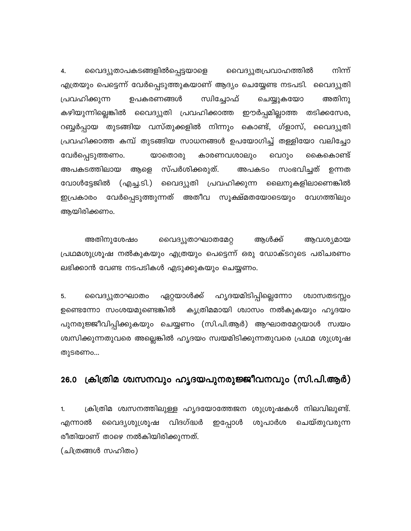നിന്ന് വൈദ്യുതാപകടങ്ങളിൽപ്പെട്ടയാളെ വൈദ്യുതപ്രവാഹത്തിൽ 4. എത്രയും പെട്ടെന്ന് വേർപ്പെടുത്തുകയാണ് ആദ്യം ചെയ്യേണ്ട നടപടി. വൈദ്യുതി ഉപകരണങ്ങൾ സ്വിച്ചോഫ് അതിനു പ്രവഹിക്കുന്ന ചെയ്യുകയോ കഴിയുന്നില്ലെങ്കിൽ വൈദ്യുതി പ്രവഹിക്കാത്ത ഈർപ്പമില്ലാത്ത തടിക്കസേര, റബ്ബർപ്പായ തുടങ്ങിയ വസ്തുക്കളിൽ നിന്നും കൊണ്ട്, ഗ്ളാസ്, വൈദ്യുതി പ്രവഹിക്കാത്ത കമ്പ് തുടങ്ങിയ സാധനങ്ങൾ ഉപയോഗിച്ച് തള്ളിയോ വലിച്ചോ കൈകൊണ്ട് വേർപ്പെടുത്തണം. യാതൊരു കാരണവശാലും വെറും അപകടത്തിലായ ആളെ സ്പർശിക്കരുത്. അപകടം സംഭവിച്ചത് ഉന്നത വോൾട്ടേജിൽ (എച്ച.ടി.) വൈദ്യുതി പ്രവഹിക്കുന്ന ലൈനുകളിലാണെങ്കിൽ ഇപ്രകാരം വേർപ്പെടുത്തുന്നത് അതീവ സൂക്ഷ്മതയോടെയും വേഗത്തിലും ആയിരിക്കണം.

അതിനുശേഷം വൈദ്യുതാഘാതമേറ്റ ആൾക്ക് ആവശ്യമായ പ്രഥമശുശ്രൂഷ നൽകുകയും എത്രയും പെട്ടെന്ന് ഒരു ഡോക്ടറുടെ പരിചരണം ലഭിക്കാൻ വേണ്ട നടപടികൾ എടുക്കുകയും ചെയ്യണം.

5. വൈദ്യുതാഘാതം ഏറ്റയാൾക്ക് ഹൃദയമിടിപ്പില്ലെന്നോ ശ്വാസതടസ്സം കൃത്രിമമായി ശ്വാസം നൽകുകയും ഹൃദയം ഉണ്ടെന്നോ സംശയമുണ്ടെങ്കിൽ പുനരുജ്ജീവിപ്പിക്കുകയും ചെയ്യണം (സി.പി.ആർ) ആഘാതമേറ്റയാൾ സ്വയം ശ്വസിക്കുന്നതുവരെ അല്ലെങ്കിൽ ഹൃദയം സ്വയമിടിക്കുന്നതുവരെ പ്രഥമ ശുശ്രൂഷ തുടരണം...

#### ക്രിത്രിമ ശ്വസനവും ഹൃദയപുനരുജ്ജീവനവും (സി.പി.ആർ)  $26.0$

ക്രിത്രിമ ശ്വസനത്തിലുള്ള ഹൃദയോത്തേജന ശുശ്രൂഷകൾ നിലവിലുണ്ട്.  $1.$ വൈദ്യശുശ്രൂഷ വിദഗ്ദ്ധർ ഇപ്പോൾ ശുപാർശ ചെയ്തുവരുന്ന എന്നാൽ രീതിയാണ് താഴെ നൽകിയിരിക്കുന്നത്.

(ചിത്രങ്ങൾ സഹിതം)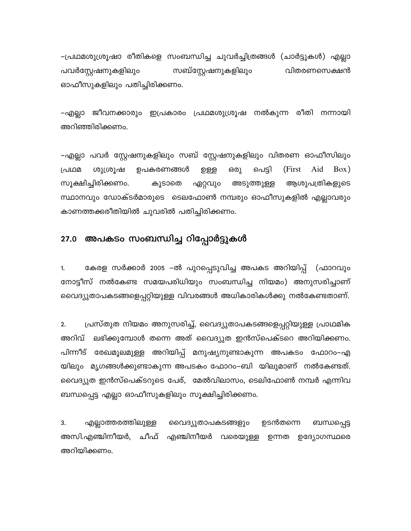–പ്രഥമശുശ്രൂഷാ രീതികളെ സംബന്ധിച്ച ചുവർച്ചിത്രങ്ങൾ (ചാർട്ടുകൾ) എല്ലാ പവർസ്റ്റേഷനുകളിലും സബ്സ്റ്റേഷനുകളിലും വിതരണസെക്ഷൻ ഓഫീസുകളിലും പതിച്ചിരിക്കണം.

–എല്ലാ ജീവനക്കാരും ഇപ്രകാരം പ്രഥമശുശ്രൂഷ നൽകുന്ന രീതി നന്നായി അറിഞ്ഞിരിക്കണം.

–എല്ലാ പവർ സ്റ്റേഷനുകളിലും സബ് സ്റ്റേഷനുകളിലും വിതരണ ഓഫീസിലും പെട്ടി (First Box) പ്രഥമ ശുശ്രൂഷ ഉപകരണങ്ങൾ ഉള്ള ഒരു Aid സൂക്ഷിച്ചിരിക്കണം. കൂടാതെ ഏറ്റവും അടുത്തുള്ള ആശുപത്രികളുടെ സ്ഥാനവും ഡോക്ടർമാരുടെ ടെലഫോൺ നമ്പരും ഓഫീസുകളിൽ എല്ലാവരും കാണത്തക്കരീതിയിൽ ചുവരിൽ പതിച്ചിരിക്കണം.

### 27.0 അപകടം സംബന്ധിച്ച റിപ്പോർട്ടുകൾ

കേരള സർക്കാർ 2005 –ൽ പുറപ്പെടുവിച്ച അപകട അറിയിപ്പ് (ഫാറവും 1. നോട്ടീസ് നൽകേണ്ട സമയപരിധിയും സംബന്ധിച്ച നിയമം) അനുസരിച്ചാണ് വൈദ്യുതാപകടങ്ങളെപ്പറ്റിയുള്ള വിവരങ്ങൾ അധികാരികൾക്കു നൽകേണ്ടതാണ്.

പ്രസ്തുത നിയമം അനുസരിച്ച്, വൈദ്യുതാപകടങ്ങളെപ്പറ്റിയുള്ള പ്രാഥമിക  $2.$ അറിവ് ലഭിക്കുമ്പോൾ തന്നെ അത് വൈദ്യുത ഇൻസ്പെക്ടറെ അറിയിക്കണം. പിന്നീട് രേഖമൂലമുള്ള അറിയിപ്പ് മനുഷ്യനുണ്ടാകുന്ന അപകടം ഫോറം–എ യിലും മൃഗങ്ങൾക്കുണ്ടാകുന്ന അപടകം ഫോറം–ബി യിലുമാണ് നൽകേണ്ടത്. വൈദ്യുത ഇൻസ്പെക്ടറുടെ പേര്, മേൽവിലാസം, ടെലിഫോൺ നമ്പർ എന്നിവ ബന്ധപ്പെട്ട എല്ലാ ഓഫീസുകളിലും സൂക്ഷിച്ചിരിക്കണം.

ബന്ധപ്പെട്ട എല്ലാത്തരത്തിലുള്ള ഉടൻതന്നെ 3. വൈദ്യുതാപകടങ്ങളും അസി.എഞ്ചിനീയർ, ചീഫ് എഞ്ചിനീയർ വരെയുള്ള ഉന്നത ഉദ്യോഗസ്ഥരെ അറിയിക്കണം.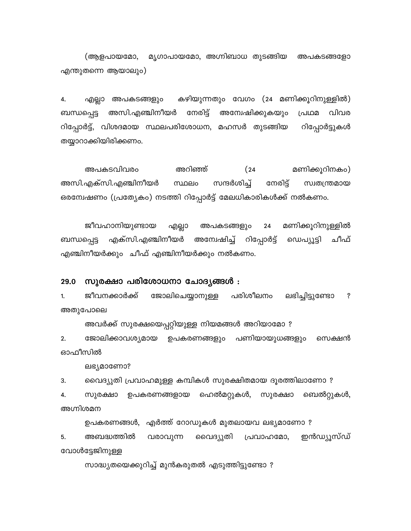(ആളപായമോ, മൃഗാപായമോ, അഗ്നിബാധ തുടങ്ങിയ അപകടങ്ങളോ എന്തുതന്നെ ആയാലും)

കഴിയുന്നതും വേഗം (24 മണിക്കൂറിനുള്ളിൽ) 4. എല്ലാ അപകടങ്ങളും അസി.എഞ്ചിനീയർ നേരിട്ട് അന്വേഷിക്കുകയും പ്രഥമ വിവര ബന്ധപ്പെട്ട റിപ്പോർട്ട്, വിശദമായ സ്ഥലപരിശോധന, മഹസർ തുടങ്ങിയ റിപ്പോർട്ടുകൾ തയ്യാറാക്കിയിരിക്കണം.

മണിക്കൂറിനകം) അപകടവിവരം അറിഞ്ഞ്  $(24)$ അസി.എക്സി.എഞ്ചിനീയർ സ്ഥലം സന്ദർശിച്ച് നേരിട്ട് സ്വതന്ത്രമായ ഒരന്വേഷണം (പ്രത്യേകം) നടത്തി റിപ്പോർട്ട് മേലധികാരികൾക്ക് നൽകണം.

ജീവഹാനിയുണ്ടായ മണിക്കൂറിനുള്ളിൽ എല്ലാ അപകടങ്ങളും 24 എക്സി.എഞ്ചിനീയർ അന്വേഷിച്ച് റിപ്പോർട്ട് ഡെപ്യൂട്ടി ചീഫ് ബന്ധപ്പെട്ട എഞ്ചിനീയർക്കും ചീഫ് എഞ്ചിനീയർക്കും നൽകണം.

#### സുരക്ഷാ പരിശോധനാ ചോദ്യങ്ങൾ : 29.0

ജീവനക്കാർക്ക് ജോലിചെയ്യാനുള്ള പരിശീലനം ലഭിച്ചിട്ടുണ്ടോ  $\ddot{\text{?}}$  $1.$ അതുപോലെ

അവർക്ക് സുരക്ഷയെപ്പറ്റിയുള്ള നിയമങ്ങൾ അറിയാമോ ?

 $2.$ ജോലിക്കാവശ്യമായ ഉപകരണങ്ങളും പണിയായുധങ്ങളും സെക്ഷൻ ഓഫീസിൽ

ലഭ്യമാണോ?

വൈദ്യുതി പ്രവാഹമുള്ള കമ്പികൾ സുരക്ഷിതമായ ദൂരത്തിലാണോ ? 3.

ബെൽറ്റുകൾ, സുരക്ഷാ ഉപകരണങ്ങളായ ഹെൽമറ്റുകൾ, സുരക്ഷാ 4. അഗ്നിശമന

ഉപകരണങ്ങൾ, എർത്ത് റോഡുകൾ മുതലായവ ലഭ്യമാണോ ?

ഇൻഡ്യൂസ്ഡ് അബദ്ധത്തിൽ വൈദ്യുതി 5. വരാവുന്ന പ്രവാഹമോ, വോൾട്ടേജിനുള്ള

സാദ്ധ്യതയെക്കുറിച്ച് മുൻകരുതൽ എടുത്തിട്ടുണ്ടോ ?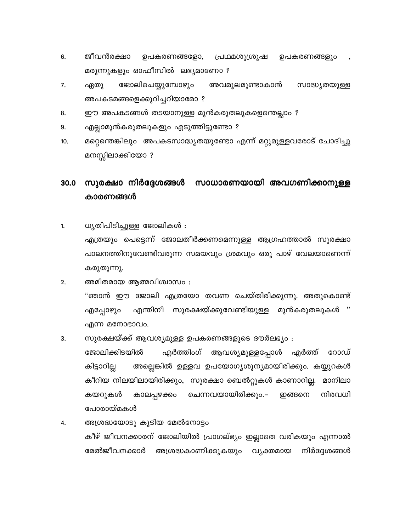- ജീവൻരക്ഷാ 6. ഉപകരണങ്ങളോ, പ്രഥമശുശ്രൂഷ ഉപകരണങ്ങളും മരുന്നുകളും ഓഫീസിൽ ലഭ്യമാണോ ?
- 7. ഏതു ജോലിചെയ്യുമ്പോഴും അവമുലമുണ്ടാകാൻ സാദ്ധ്യതയുള്ള അപകടമങ്ങളെക്കുറിച്ചറിയാമോ ?
- ഈ അപകടങ്ങൾ തടയാനുള്ള മുൻകരുതലുകളെന്തെല്ലാം ? 8.
- 9. എല്ലാമുൻകരുതലുകളും എടുത്തിട്ടുണ്ടോ ?
- മറ്റെന്തെങ്കിലും അപകടസാദ്ധ്യതയുണ്ടോ എന്ന് മറ്റുമുള്ളവരോട് ചോദിച്ചു  $10.$ മനസ്സിലാക്കിയോ?

### സുരക്ഷാ നിർദ്ദേശങ്ങൾ സാധാരണയായി അവഗണിക്കാനുള്ള 30.0 കാരണങ്ങൾ

- ധൃതിപിടിച്ചുള്ള ജോലികൾ :  $1.$ എത്രയും പെട്ടെന്ന് ജോലതീർക്കണമെന്നുള്ള ആഗ്രഹത്താൽ സുരക്ഷാ പാലനത്തിനുവേണ്ടിവരുന്ന സമയവും ശ്രമവും ഒരു പാഴ് വേലയാണെന്ന് കരുതുന്നു.
- അമിതമായ ആത്മവിശ്വാസം :  $2.$ ''ഞാൻ ഈ ജോലി എത്രയോ തവണ ചെയ്തിരിക്കുന്നു. അതുകൊണ്ട് എന്തിനീ സുരക്ഷയ്ക്കുവേണ്ടിയുള്ള മുൻകരുതലുകൾ എപ്പോഴുഠ എന്ന മനോഭാവം.
- സുരക്ഷയ്ക്ക് ആവശ്യമുള്ള ഉപകരണങ്ങളുടെ ദൗർലഭ്യം : 3.

ജോലിക്കിടയിൽ എർത്തിംഗ് ആവശ്യമുള്ളപ്പോൾ എർത്ത് റോഡ് അല്ലെങ്കിൽ ഉള്ളവ ഉപയോഗ്യശൂന്യമായിരിക്കും. കയ്യുറകൾ കിട്ടാറില്ല കീറിയ നിലയിലായിരിക്കും, സുരക്ഷാ ബെൽറ്റുകൾ കാണാറില്ല. മാനിലാ കയറുകൾ കാലപ്പഴക്കം ചെന്നവയായിരിക്കും.– ഇങ്ങനെ നിരവധി പോരായ്മകൾ

അശ്രദ്ധയോടു കൂടിയ മേൽനോട്ടം 4. കീഴ് ജീവനക്കാരന് ജോലിയിൽ പ്രാഗല്ഭ്യം ഇല്ലാതെ വരികയും എന്നാൽ മേൽജീവനക്കാർ അശ്രദ്ധകാണിക്കുകയും വ്യക്തമായ നിർദ്ദേശങ്ങൾ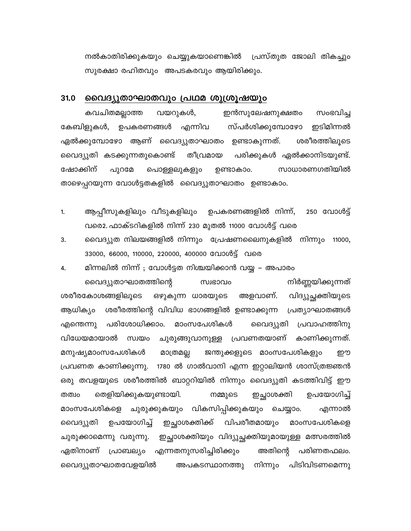നൽകാതിരിക്കുകയും ചെയ്യുകയാണെങ്കിൽ പ്രസ്തുത ജോലി തികച്ചും സുരക്ഷാ രഹിതവും അപടകരവും ആയിരിക്കും.

#### 31.0 <u>വൈദ്യുതാഘാതവും പ്രഥമ ശുശ്രൂഷയും</u>

കവചിതമല്ലാത്ത വയറുകൾ, ഇൻസുലേഷനുക്ഷതം സംഭവിച്ച കേബിളുകൾ, ഉപകരണങ്ങൾ എന്നിവ സ്പർശിക്കുമ്പോഴോ ഇടിമിന്നൽ ശരീരത്തിലൂടെ ഏൽക്കുമ്പോഴോ ആണ് വൈദ്യുതാഘാതം ഉണ്ടാകുന്നത്. വൈദ്യുതി കടക്കുന്നതുകൊണ്ട് തീവ്രമായ പരിക്കുകൾ ഏൽക്കാനിടയുണ്ട്. ഷോക്കിന് പുറമേ സാധാരണഗതിയിൽ പൊള്ളലുകളും ഉണ്ടാകാം. താഴെപ്പറയുന്ന വോൾട്ടതകളിൽ വൈദ്യുതാഘാതം ഉണ്ടാകാം.

- ആപ്പീസുകളിലും വീടുകളിലും  $1.$ ഉപകരണങ്ങളിൽ നിന്ന്, 250 വോൾട് വരെ2. ഫാക്ടറികളിൽ നിന്ന് 230 മുതൽ 11000 വോൾട്ട് വരെ
- വൈദ്യുത നിലയങ്ങളിൽ നിന്നും പ്രേഷണലൈനുകളിൽ നിന്നും 11000, 3. 33000, 66000, 110000, 220000, 400000 വോൾട്ട് വരെ

4. മിന്നലിൽ നിന്ന് ; വോൾട്ടത നിശ്ചയിക്കാൻ വയ്യ – അപാരം

നിർണ്ണയിക്കുന്നത് വൈദ്യുതാഘാതത്തിന്റെ സ്വഭാവം അളവാണ്. ശരീരകോശങ്ങളിലൂടെ ഒഴുകുന്ന ധാരയുടെ വിദ്യുച്ഛക്തിയുടെ ശരീരത്തിന്റെ വിവിധ ഭാഗങ്ങളിൽ ഉണ്ടാക്കുന്ന ആധിക്യം പ്രത്യാഘാതങ്ങൾ പരിശോധിക്കാം. മാംസപേശികൾ വൈദ്യുതി പ്രവാഹത്തിനു എന്തെന്നു വിധേയമായാൽ സ്വയം ചുരുങ്ങുവാനുള്ള പ്രവണതയാണ് കാണിക്കുന്നത്. മനുഷ്യമാംസപേശികൾ മാത്രമല്ല ജന്തുക്കളുടെ മാംസപേശികളും றற പ്രവണത കാണിക്കുന്നു. 1780 ൽ ഗാൽവാനി എന്ന ഇറ്റാലിയൻ ശാസ്ത്രജ്ഞൻ ഒരു തവളയുടെ ശരീരത്തിൽ ബാറ്ററിയിൽ നിന്നും വൈദ്യുതി കടത്തിവിട്ട് ഈ തെളിയിക്കുകയുണ്ടായി. നമ്മുടെ ഇച്ഛാശക്തി ഉപയോഗിച്ച് തത്വം മാംസപേശികളെ ചുരുക്കുകയും വികസിപ്പിക്കുകയും ചെയ്യാം. എന്നാൽ വിപരീതമായും മാംസപേശികളെ ഉപയോഗിച്ച് ഇച്ഛാശക്തിക്ക് വൈദ്യുതി ചുരുക്കാമെന്നു വരുന്നു. ഇച്ഛാശക്തിയും വിദ്യുച്ഛക്തിയുമായുള്ള മത്സരത്തിൽ അതിന്റെ ഏതിനാണ് പ്രാബല്യം എന്നതനുസരിച്ചിരിക്കും പരിണതഫലം. വൈദ്യുതാഘാതവേളയിൽ അപകടസ്ഥാനത്തു നിന്നും പിടിവിടണമെന്നു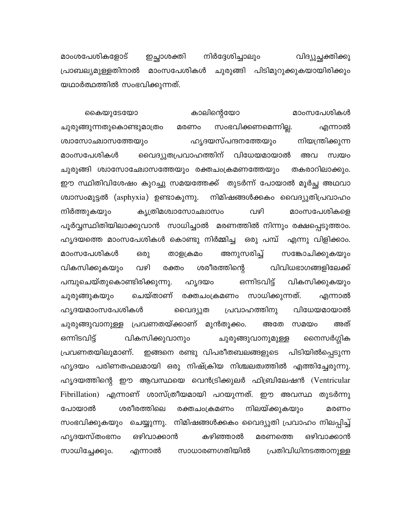മാംശപേശികളോട് നിർദ്ദേശിച്ചാലും ഇച്ഛാശക്തി വിദ്യുച്ഛക്തിക്കു പ്രാബല്യമുള്ളതിനാൽ മാംസപേശികൾ ചുരുങ്ങി പിടിമുറുക്കുകയായിരിക്കും യഥാർത്ഥത്തിൽ സംഭവിക്കുന്നത്.

കാലിന്റെയോ കൈയുടേയോ മാംസപേശികൾ സംഭവിക്കണമെന്നില്ല. ചുരുങ്ങുന്നതുകൊണ്ടുമാത്രം മരണം എന്നാൽ ഹൃദയസ്പന്ദനത്തേയും നിയന്ത്രിക്കുന്ന ശ്വാസോഛ്വാസത്തേയും വൈദ്യുതപ്രവാഹത്തിന് വിധേയമായാൽ മാംസപേശികൾ അവ സ്വയം ചുരുങ്ങി ശ്വാസോഛ്വോസത്തേയും രക്തചംക്രമണത്തേയും തകരാറിലാക്കും. ഈ സ്ഥിതിവിശേഷം കുറച്ചു സമയത്തേക്ക് തുടർന്ന് പോയാൽ മൂർച്ഛ അഥവാ ശ്വാസംമുട്ടൽ (asphyxia) ഉണ്ടാകുന്നു. നിമിഷങ്ങൾക്കകം വൈദ്യുതിപ്രവാഹം കൃത്രിമശ്വാസോഛ്വാസം വഴി നിർത്തുകയും മാംസപേശികളെ പൂർവ്വസ്ഥിതിയിലാക്കുവാൻ സാധിച്ചാൽ മരണത്തിൽ നിന്നും രക്ഷപ്പെടുത്താം. ഹ്യദയത്തെ മാംസപേശികൾ കൊണ്ടു നിർമ്മിച്ച ഒരു പമ്പ് എന്നു വിളിക്കാം. അനുസരിച്ച് മാംസപേശികൾ ഒരു താളക്രമം സങ്കോചിക്കുകയും വികസിക്കുകയും വഴി ശരീരത്തിന്റെ വിവിധഭാഗങ്ങളിലേക്ക് രക്തം പമ്പുചെയ്തുകൊണ്ടിരിക്കുന്നു. ഒന്നിടവിട്ട് വികസിക്കുകയും ഹൃദയം ചെയ്താണ് രക്തചംക്രമണം സാധിക്കുന്നത്. ചുരുങ്ങുകയും എന്നാൽ ഹ്യദയമാംസപേശികൾ വൈദ്യുത പ്രവാഹത്തിനു വിധേയമായാൽ ചുരുങ്ങുവാനുള്ള പ്രവണതയ്ക്കാണ് മുൻതൂക്കം. അതേ സമയം അത് ഒന്നിടവിട്ട് വികസിക്കുവാനും ചുരുങ്ങുവാനുമുള്ള സൈർഗ്ഗിക ഇങ്ങനെ രണ്ടു വിപരീതബലങ്ങളുടെ പിടിയിൽപ്പെടുന്ന പ്രവണതയിലുമാണ്. ഹൃദയം പരിണതഫലമായി ഒരു നിഷ്ക്രിയ നിശ്ചലത്വത്തിൽ എത്തിച്ചേരുന്നു. ഹ്യദയത്തിന്റെ ഈ ആവസ്ഥയെ വെൻട്രിക്കുലർ ഫിബ്രിലേഷൻ (Ventricular Fibrillation) എന്നാണ് ശാസ്ത്രീയമായി പറയുന്നത്. ഈ അവസ്ഥ തുടർന്നു പോയാൽ ശരീരത്തിലെ രക്തചംക്രമണം നിലയ്ക്കുകയും മരണം ചെയ്യുന്നു. നിമിഷങ്ങൾക്കകം വൈദ്യുതി പ്രവാഹം നിലപ്പിച്ച് സംഭവിക്കുകയും ഹ്യദയസ്തംഭനം ഒഴിവാക്കാൻ കഴിഞ്ഞാൽ ഒഴിവാക്കാൻ മരണത്തെ സാധിച്ചേക്കും. പ്രതിവിധിനടത്താനുള്ള സാധാരണഗതിയിൽ എന്നാൽ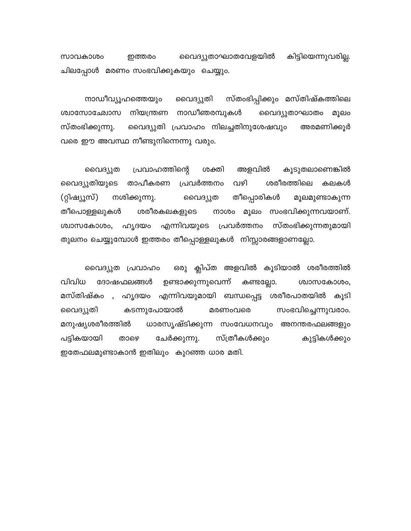വൈദ്യുതാഘാതവേളയിൽ കിട്ടിയെന്നുവരില്ല. സാവകാശം ഇത്തരം ചിലപ്പോൾ മരണം സംഭവിക്കുകയും ചെയ്യും.

സ്താഭിപ്പിക്കും മസ്തിഷ്കത്തിലെ നാഡീവ്യൂഹത്തെയും വൈദ്യുതി ശ്വാസോഛോസ നിയന്ത്രണ നാഡീഞരമ്പുകൾ വൈദ്യുതാഘാതം മൂലം സ്തംഭിക്കുന്നു. വൈദ്യുതി പ്രവാഹം നിലച്ചതിനുശേഷവും അരമണിക്കൂർ വരെ ഈ അവസ്ഥ നീണ്ടുനിന്നെന്നു വരും.

പ്രവാഹത്തിന്റെ അളവിൽ കൂടുതലാണെങ്കിൽ വൈദ്യുത ശക്തി വൈദ്യുതിയുടെ താപീകരണ പ്രവർത്തനം വഴി ശരീരത്തിലെ കലകൾ നശിക്കുന്നു. തീപ്പൊരികൾ (റ്റിഷ്യൂസ്) വൈദ്യുത മൂലമുണ്ടാകുന്ന ശരീരകലകളുടെ നാശം മൂലം സംഭവിക്കുന്നവയാണ്. തീപൊള്ളലുകൾ ശ്വാസകോശം, ഹൃദയം എന്നിവയുടെ പ്രവർത്തനം സ്തംഭിക്കുന്നതുമായി തുലനം ചെയ്യുമ്പോൾ ഇത്തരം തീപ്പൊള്ളലുകൾ നിസ്സാരങ്ങളാണല്ലോ.

ഒരു ക്ലിപ്ത അളവിൽ കൂടിയാൽ ശരീരത്തിൽ വൈദ്യുത പ്രവാഹം വിവിധ ദോഷഫലങ്ങൾ ഉണ്ടാക്കുന്നുവെന്ന് കണ്ടല്ലോ. ശ്വാസകോശം, മസ്തിഷ്കം , ഹൃദയം എന്നിവയുമായി ബന്ധപ്പെട്ട ശരീരപാതയിൽ കൂടി കടന്നുപോയാൽ വൈദ്യുതി മരണംവരെ സംഭവിച്ചെന്നുവരാം. മനുഷ്യശരീരത്തിൽ ധാരസൃഷ്ടിക്കുന്ന സംവേധനവും അനന്തരഫലങ്ങളും സ്ത്രീകൾക്കും പട്ടികയായി താഴെ ചേർക്കുന്നു. കുട്ടികൾക്കും ഇതേഫലമുണ്ടാകാൻ ഇതിലും കുറഞ്ഞ ധാര മതി.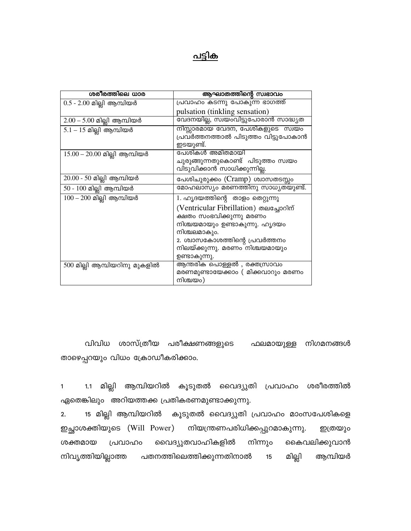## പട്ടിക

| ശരീരത്തിലെ ധാര                 | ആഘാതത്തിന്റെ സ്വഭാവം                                                                                                                                                                                     |
|--------------------------------|----------------------------------------------------------------------------------------------------------------------------------------------------------------------------------------------------------|
| $0.5 - 2.00$ മില്ലി ആമ്പിയർ    | പ്രവാഹം കടന്നു പോകുന്ന ഭാഗത്ത്                                                                                                                                                                           |
|                                | pulsation (tinkling sensation)                                                                                                                                                                           |
| $2.00 - 5.00$ മില്ലി ആമ്പിയർ   | വേദനയില്ല, സ്വയംവിട്ടുപോരാൻ സാദ്ധ്യത                                                                                                                                                                     |
| $5.1 - 15$ മില്ലി ആമ്പിയർ      | നിസ്സാരമായ വേദന, പേശികളുടെ സ്വയം<br>പ്രവർത്തനത്താൽ പിടുത്തം വിട്ടുപോകാൻ<br>ഇടയുണ്ട്.                                                                                                                     |
| $15.00 - 20.00$ മില്ലി ആമ്പിയർ | പേശികൾ അമിതമായി<br>ചുരുങ്ങുന്നതുകൊണ്ട്  പിടുത്തം സ്വയം<br>വിടുവിക്കാൻ സാധിക്കുന്നില്ല.                                                                                                                   |
| $20.00 - 50$ മില്ലി ആമ്പിയർ    | പേശിചുരുക്കം (Cramp) ശ്വാസതടസ്സം                                                                                                                                                                         |
| 50 - 100 മില്ലി ആമ്പിയർ        | മോഹലാസ്യം മരണത്തിനു സാധ്യതയുണ്ട്.                                                                                                                                                                        |
| $100 - 200$ മില്ലി ആമ്പിയർ     | 1. ഹൃദയത്തിന്റെ താളം തെറ്റുന്നു                                                                                                                                                                          |
|                                | (Ventricular Fibrillation) തലച്ചോറിന്<br>ക്ഷതം സംഭവിക്കുന്നു മരണം<br>നിശ്ചയമായും ഉണ്ടാകുന്നു. ഹൃദയം<br>നിശ്ചലമാകും.<br>2. ശ്വാസകോശത്തിന്റെ പ്രവർത്തനം<br>നിലയ്ക്കുന്നു. മരണം നിശ്ചയമായും<br>ഉണ്ടാകുന്നു. |
| 500 മില്ലി ആമ്പിയറിനു മുകളിൽ   | ആന്തരിക പൊള്ളൽ , രക്തസ്രാവം<br>മരണമുണ്ടായേക്കാം ( മിക്കവാറും മരണം<br>നിശ്ചയം)                                                                                                                            |

വിവിധ ശാസ്ത്രീയ പരീക്ഷണങ്ങളുടെ ഫലമായുള്ള നിഗമനങ്ങൾ താഴെപ്പറയും വിധം ക്രോഡീകരിക്കാം.

1.1 മില്ലി ആമ്പിയറിൽ കൂടുതൽ വൈദ്യുതി പ്രവാഹം ശരീരത്തിൽ  $\mathbf{1}$ ഏതെങ്കിലും അറിയത്തക്ക പ്രതികരണമുണ്ടാക്കുന്നു.

15 മില്ലി ആമ്പിയറിൽ കൂടുതൽ വൈദ്യുതി പ്രവാഹം മാംസപേശികളെ  $2.$ ഇച്ഛാശക്തിയുടെ (Will Power) നിയന്ത്രണപരിധിക്കപ്പുറമാകുന്നു. ഇത്രയും വൈദ്യുതവാഹികളിൽ കൈവലിക്കുവാൻ നിന്നും ശക്തമായ പ്രവാഹം നിവൃത്തിയില്ലാത്ത പതനത്തിലെത്തിക്കുന്നതിനാൽ മില്ലി ആമ്പിയർ  $15$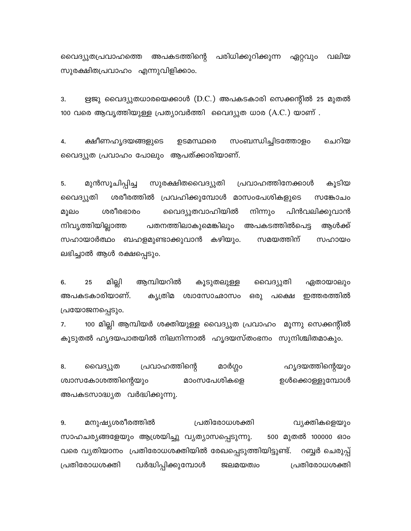വൈദ്യുതപ്രവാഹത്തെ അപകടത്തിന്റെ പരിധിക്കുറിക്കുന്ന ഏറ്റവും വലിയ സുരക്ഷിതപ്രവാഹം എന്നുവിളിക്കാം.

ഋജു വൈദ്യുതധാരയെക്കാൾ (D.C.) അപകടകാരി സെക്കന്റിൽ 25 മുതൽ 3. 100 വരെ ആവൃത്തിയുള്ള പ്രത്യാവർത്തി വൈദ്യുത ധാര (A.C.) യാണ് .

സംബന്ധിച്ചിടത്തോളം ചെറിയ ക്ഷീണഹൃദയങ്ങളുടെ ഉടമസ്ഥരെ 4. വൈദ്യുത പ്രവാഹം പോലും ആപത്ക്കാരിയാണ്.

5. മുൻസൂചിപ്പിച്ച സുരക്ഷിതവൈദ്യുതി പ്രവാഹത്തിനേക്കാൾ കൂടിയ ശരീരത്തിൽ പ്രവഹിക്കുമ്പോൾ മാസംപേശികളുടെ വൈദ്യുതി സങ്കോചം ശരീരഭാരം പിൻവലിക്കുവാൻ വൈദ്യുതവാഹിയിൽ നിന്നും മൂലം നിവൃത്തിയില്ലാത്ത പതനത്തിലാകുമെങ്കിലും അപകടത്തിൽപെട്ട ആൾക്ക് സഹായാർത്ഥം ബഹളമുണ്ടാക്കുവാൻ കഴിയും. സമയത്തിന് സഹായം ലഭിച്ചാൽ ആൾ രക്ഷപ്പെടും.

ആമ്പിയറിൽ 6. 25 മില്ലി വൈദ്യുതി കൂടുതലുള്ള ഏതായാലും ഒരു അപകടകാരിയാണ്. കൃത്രിമ ശ്വാസോഛാസം പക്ഷെ ഇത്തരത്തിൽ പ്രയോജനപ്പെടും.

7. 100 മില്ലി ആമ്പിയർ ശക്തിയുള്ള വൈദ്യുത പ്രവാഹം മൂന്നു സെക്കന്റിൽ കൂടുതൽ ഹൃദയപാതയിൽ നിലനിന്നാൽ ഹൃദയസ്തംഭനം സുനിശ്ചിതമാകും.

8. വൈദ്യുത പ്രവാഹത്തിന്റെ മാർഗ്ഗം ഹ്യദയത്തിന്റെയും മാംസപേശികളെ ശ്വാസകോശത്തിന്റെയും ഉൾക്കൊള്ളുമ്പോൾ അപകടസാദ്ധ്യത വർദ്ധിക്കുന്നു.

മനുഷ്യശരീരത്തിൽ പ്രതിരോധശക്തി വ്യക്തികളെയും 9. 500 മുതൽ 100000 ഓം സാഹചര്യങ്ങളേയും ആശ്രയിച്ചു വ്യത്യാസപ്പെടുന്നു. വരെ വ്യതിയാനം പ്രതിരോധശക്തിയിൽ രേഖപ്പെടുത്തിയിട്ടുണ്ട്. റബ്ബർ ചെരുപ്പ് പ്രതിരോധശക്തി വർദ്ധിപ്പിക്കുമ്പോൾ ஜபுறமை പ്രതിരോധശക്തി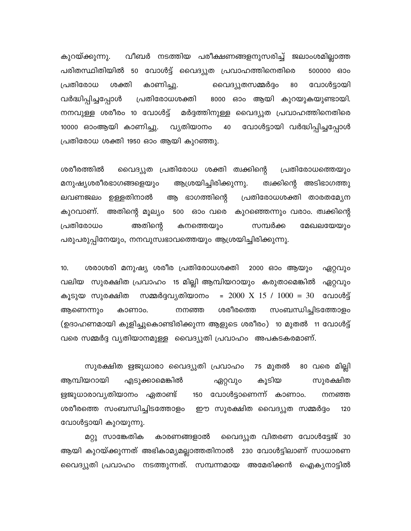വീബർ നടത്തിയ പരീക്ഷണങ്ങളനുസരിച്ച് ജലാംശമില്ലാത്ത കുറയ്ക്കുന്നു. പരിതസ്ഥിതിയിൽ 50 വോൾട്ട് വൈദ്യുത പ്രവാഹത്തിനെതിരെ 500000 600 ശക്തി കാണിച്ചു. വോൾട്ടായി പ്രതിരോധ വൈദ്യുതസമ്മർദ്ദം 80 വർദ്ധിപ്പിച്ചപ്പോൾ പ്രതിരോധശക്തി 8000 ഓം ആയി കുറയുകയുണ്ടായി. നനവുള്ള ശരീരം 10 വോൾട്ട് മർദ്ദത്തിനുള്ള വൈദ്യുത പ്രവാഹത്തിനെതിരെ വോൾട്ടായി വർദ്ധിപ്പിച്ചപ്പോൾ 10000 ഓംആയി കാണിച്ചു. വൃതിയാനം 40 പ്രതിരോധ ശക്തി 1950 ഓം ആയി കുറഞ്ഞു.

ശരീരത്തിൽ വൈദ്യുത പ്രതിരോധ ശക്തി ത്വക്കിന്റെ പ്രതിരോധത്തെയും ആശ്രയിച്ചിരിക്കുന്നു. മനുഷ്യശരീരഭാഗങ്ങളെയും ത്വക്കിന്റെ അടിഭാഗത്തു ലവണജലം ഉള്ളതിനാൽ ആ ഭാഗത്തിന്റെ പ്രതിരോധശക്തി താരതമ്യേന കുറവാണ്. അതിന്റെ മൂല്യം 500 ഓം വരെ കുറഞ്ഞെന്നും വരാം. ത്വക്കിന്റെ അതിന്റെ പ്രതിരോധം കനത്തെയും സമ്പർക്ക മേഖലയേയും പരുപരുപ്പിനേയും, നനവുസ്വഭാവത്തെയും ആശ്രയിച്ചിരിക്കുന്നു.

ശരാശരി മനുഷ്യ ശരീര പ്രതിരോധശക്തി 2000 ഓം ആയും ഏറ്റവും  $10.$ വലിയ സുരക്ഷിത പ്രവാഹം 15 മില്ലി ആമ്പിയറായും കരുതാമെങ്കിൽ ഏറ്റവും = 2000 X 15 / 1000 = 30 ഡോൾട്ട് കൂടുയ സുരക്ഷിത സമ്മർദ്ദവ്യതിയാനം ശരീരത്തെ സംബന്ധിച്ചിടത്തോളം ആണെന്നും കാണാം. നനഞ്ഞ (ഉദാഹണമായി കുളിച്ചുകൊണ്ടിരിക്കുന്ന ആളുടെ ശരീരം) 10 മുതൽ 11 വോൾട്ട് വരെ സമ്മർദ്ദ വ്യതിയാനമുള്ള വൈദ്യുതി പ്രവാഹം അപകടകരമാണ്.

സുരക്ഷിത ഋജുധാരാ വൈദ്യുതി പ്രവാഹം 75 മുതൽ 80 വരെ മില്ലി ആമ്പിയറായി എടുക്കാമെങ്കിൽ കൂടിയ സുരക്ഷിത ഏറ്റവും ഋജുധാരാവൃതിയാനം ഏതാണ്ട് 150 വോൾട്ടാണെന്ന് കാണാം. നനഞ്ഞ ശരീരത്തെ സംബന്ധിച്ചിടത്തോളം ഈ സുരക്ഷിത വൈദ്യുത സമ്മർദ്ദം 120 വോൾട്ടായി കുറയുന്നു.

മറ്റു സാങ്കേതിക കാരണങ്ങളാൽ വൈദ്യുത വിതരണ വോൾട്ടേജ് 30 ആയി കുറയ്ക്കുന്നത് അഭികാമ്യമല്ലാത്തതിനാൽ 230 വോൾട്ടിലാണ് സാധാരണ വൈദ്യുതി പ്രവാഹം നടത്തുന്നത്. സമ്പന്നമായ അമേരിക്കൻ ഐക്യനാട്ടിൽ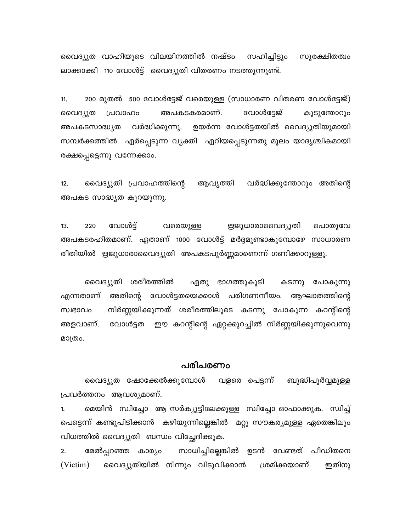വൈദ്യുത വാഹിയുടെ വിലയിനത്തിൽ നഷ്ടം സഹിച്ചിട്ടും സുരക്ഷിതത്വം ലാക്കാക്കി 110 വോൾട്ട് വൈദ്യുതി വിതരണം നടത്തുന്നുണ്ട്.

200 മുതൽ 500 വോൾട്ടേജ് വരെയുള്ള (സാധാരണ വിതരണ വോൾട്ടേജ്)  $11.$ അപകടകരമാണ്. വോൾട്ടേജ് വൈദ്യുത പ്രവാഹം കൂടുന്തോറും ഉയർന്ന വോൾട്ടതയിൽ വൈദ്യുതിയുമായി വർദ്ധിക്കുന്നു. അപകടസാദ്ധ്യത സമ്പർക്കത്തിൽ ഏർപ്പെടുന്ന വ്യക്തി ഏറിയപ്പെടുന്നതു മൂലം യാദൃശ്ചികമായി രക്ഷപ്പെട്ടെന്നു വന്നേക്കാം.

 $12.$ വൈദ്യുതി പ്രവാഹത്തിന്റെ ആവൃത്തി വർദ്ധിക്കുന്തോറും അതിന്റെ അപകട സാദ്ധ്യത കുറയുന്നു.

 $13.$ 220 വോൾട്ട് വരെയുള്ള ഋജുധാരാവൈദ്യുതി പൊതുവേ അപകടരഹിതമാണ്. ഏതാണ് 1000 വോൾട്ട് മർദ്ദമുണ്ടാകുമ്പോഴേ സാധാരണ രീതിയിൽ ഋജുധാരാവൈദ്യുതി അപകടപൂർണ്ണമാണെന്ന് ഗണിക്കാറുള്ളൂ.

വൈദ്യുതി ശരീരത്തിൽ ഏതു ഭാഗത്തുകൂടി കടന്നു പോകുന്നു അതിന്റെ വോൾട്ടതയെക്കാൾ പരിഗണനീയം. ആഘാതത്തിന്റെ എന്നതാണ് നിർണ്ണയിക്കുന്നത് ശരീരത്തിലൂടെ കടന്നു പോകുന്ന കറന്റിന്റെ സ്വഭാവം വോൾട്ടത ഈ കറന്റിന്റെ ഏറ്റക്കുറച്ചിൽ നിർണ്ണയിക്കുന്നുവെന്നു അളവാണ്. മാത്രം.

### പരിചരണം

വൈദ്യുത ഷോക്കേൽക്കുമ്പോൾ വളരെ പെട്ടന്ന് ബുദ്ധിപൂർവ്വമുള്ള പ്രവർത്തനം ആവശ്യമാണ്.

മെയിൻ സ്വിച്ചോ ആ സർക്യൂട്ടിലേക്കുള്ള സ്വിച്ചോ ഓഫാക്കുക. സ്വിച്ച്  $1.$ പെട്ടെന്ന് കണ്ടുപിടിക്കാൻ കഴിയുന്നില്ലെങ്കിൽ മറ്റു സൗകര്യമുള്ള ഏതെങ്കിലും വിധത്തിൽ വൈദ്യുതി ബന്ധം വിച്ഛേദിക്കുക.

സാധിച്ചില്ലെങ്കിൽ ഉടൻ വേണ്ടത് പീഡിതനെ  $2.$ മേൽപ്പറഞ്ഞ കാര്യം (Victim) വൈദ്യുതിയിൽ നിന്നും വിടുവിക്കാൻ ശ്രമിക്കയാണ്. ഇതിനു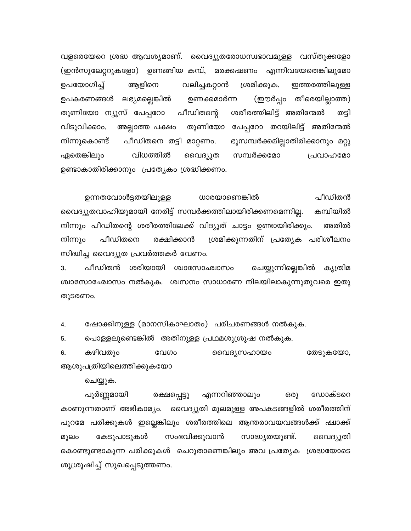വളരെയേറെ ശ്രദ്ധ ആവശ്യമാണ്. വൈദ്യുതരോധസ്വഭാവമുള്ള വസ്തുക്കളോ (ഇൻസുലേറ്ററുകളോ) ഉണങ്ങിയ കമ്പ്, മരക്കഷണം എന്നിവയേതെങ്കിലുമോ ശ്രമിക്കുക. ഉപയോഗിച്ച് ആളിനെ വലിച്ചകറ്റാൻ ഇത്തരത്തിലുള്ള ഉപകരണങ്ങൾ ലഭ്യമല്ലെങ്കിൽ ഉണക്കമാർന്ന (ഈർപ്പം തീരെയില്ലാത്ത) ശരീരത്തിലിട്ട് അതിന്മേൽ തുണിയോ ന്യൂസ് പേപ്പറോ പീഡിതന്റെ തട്ടി വിടുവിക്കാം. തുണിയോ പേപ്പറോ തറയിലിട്ട് അതിന്മേൽ അല്ലാത്ത പക്ഷം പീഡിതനെ തട്ടി മാറ്റണം. ഭൂസമ്പർക്കമില്ലാതിരിക്കാനും മറ്റു നിന്നുകൊണ്ട് സമ്പർക്കമോ വിധത്തിൽ ഏതെങ്കിലും വൈദ്യുത പ്രവാഹമോ ഉണ്ടാകാതിരിക്കാനും പ്രത്യേകം ശ്രദ്ധിക്കണം.

പീഡിതൻ ഉന്നതവോൾട്ടതയിലുള്ള ധാരയാണെങ്കിൽ വൈദ്യുതവാഹിയുമായി നേരിട്ട് സമ്പർക്കത്തിലായിരിക്കണമെന്നില്ല. കമ്പിയിൽ നിന്നും പീഡിതന്റെ ശരീരത്തിലേക്ക് വിദ്യുത് ചാട്ടം ഉണ്ടായിരിക്കും. അതിൽ പീഡിതനെ രക്ഷിക്കാൻ ശ്രമിക്കുന്നതിന് പ്രത്യേക പരിശീലനം നിന്നും സിദ്ധിച്ച വൈദ്യുത പ്രവർത്തകർ വേണം.

പീഡിതൻ ശരിയായി ശ്വാസോഛ്വാസം ചെയ്യുന്നില്ലെങ്കിൽ കൃത്രിമ 3. ശ്വാസോഛോസം നൽകുക. ശ്വസനം സാധാരണ നിലയിലാകുന്നുതുവരെ ഇതു തുടരണം.

4. ഷോക്കിനുള്ള (മാനസികാഘാതം) പരിചരണങ്ങൾ നൽകുക.

പൊള്ളലുണ്ടെങ്കിൽ അതിനുള്ള പ്രഥമശുശ്രൂഷ നൽകുക. 5.

കഴിവതും 6. വേഗം വൈദൃസഹായം തേടുകയോ, ആശുപത്രിയിലെത്തിക്കുകയോ

ചെയ്യുക.

പൂർണ്ണമായി എന്നറിഞ്ഞാലും ഒരു ഡോക്ടറെ രക്ഷപ്പെട്ടു കാണുന്നതാണ് അഭികാമ്യം. വൈദ്യുതി മൂലമുള്ള അപകടങ്ങളിൽ ശരീരത്തിന് പുറമേ പരിക്കുകൾ ഇല്ലെങ്കിലും ശരീരത്തിലെ ആന്തരാവയവങ്ങൾക്ക് ഷ്വാക്ക് മൂലം കേടുപാടുകൾ സംഭവിക്കുവാൻ സാദ്ധ്യതയുണ്ട്. വൈദ്യുതി കൊണ്ടുണ്ടാകുന്ന പരിക്കുകൾ ചെറുതാണെങ്കിലും അവ പ്രത്യേക ശ്രദ്ധയോടെ ശൂശ്രൂഷിച്ച് സുഖപ്പെടുത്തണം.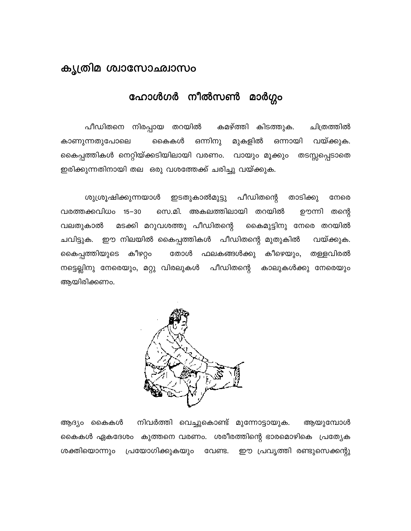## കൃത്രിമ ശ്വാസോഛ്വാസം

## ഹോൾഗർ നീൽസൺ മാർഗ്ഗം

പീഡിതനെ നിരപ്പായ തറയിൽ കമഴ്ത്തി കിടത്തുക. ചിത്രത്തിൽ കാണുന്നതുപോലെ ഒന്നിനു മുകളിൽ ഒന്നായി വയ്ക്കുക. കൈകൾ കൈപ്പത്തികൾ നെറ്റിയ്ക്കടിയിലായി വരണം. വായും മൂക്കും തടസ്സപ്പെടാതെ ഇരിക്കുന്നതിനായി തല ഒരു വശത്തേക്ക് ചരിച്ചു വയ്ക്കുക.

ശുശ്രൂഷിക്കുന്നയാൾ ഇടതുകാൽമുട്ടു പീഡിതന്റെ താടിക്കു നേരെ വരത്തക്കവിധം 15–30 സെ.മി. അകലത്തിലായി തറയിൽ ഊന്നി തന്റെ വലതുകാൽ മടക്കി മറുവശത്തു പീഡിതന്റെ കൈമുട്ടിനു നേരെ തറയിൽ ചവിട്ടുക. ഈ നിലയിൽ കൈപ്പത്തികൾ പീഡിതന്റെ മുതുകിൽ വയ്ക്കുക. കൈപ്പത്തിയുടെ കീഴറ്റം തോൾ ഫലകങ്ങൾക്കു കീഴെയും, തള്ളവിരൽ നട്ടെല്ലിനു നേരെയും, മറ്റു വിരലുകൾ പീഡിതന്റെ കാലുകൾക്കു നേരെയും ആയിരിക്കണം.



ആദ്യം കൈകൾ നിവർത്തി വെച്ചുകൊണ്ട് മുന്നോട്ടായുക. ആയുമ്പോൾ കൈകൾ ഏകദേശം കുത്തനെ വരണം. ശരീരത്തിന്റെ ഭാരമൊഴികെ പ്രത്യേക ശക്തിയൊന്നും പ്രയോഗിക്കുകയും വേണ്ട. ഈ പ്രവൃത്തി രണ്ടുസെക്കന്റു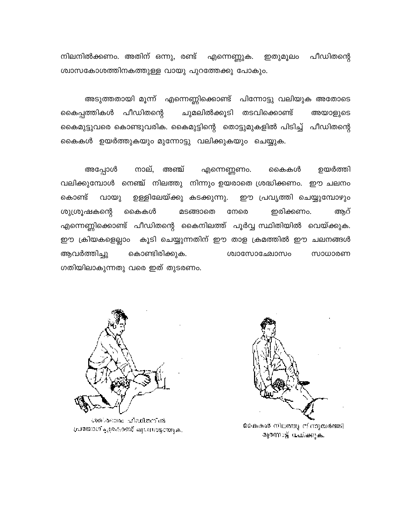നിലനിൽക്കണം. അതിന് ഒന്നു, രണ്ട് എന്നെണ്ണുക. പീഡിതന്റെ ഇതുമൂലം ശ്വാസകോശത്തിനകത്തുള്ള വായു പുറത്തേക്കു പോകും.

അടുത്തതായി മൂന്ന് എന്നെണ്ണിക്കൊണ്ട് പിന്നോട്ടു വലിയുക അതോടെ കൈപ്പത്തികൾ പീഡിതന്റെ ചുമലിൽക്കൂടി തടവിക്കൊണ്ട് അയാളുടെ കൈമുട്ടുവരെ കൊണ്ടുവരിക. കൈമുട്ടിന്റെ തൊട്ടുമുകളിൽ പിടിച്ച് പീഡിതന്റെ കൈകൾ ഉയർത്തുകയും മുന്നോട്ടു വലിക്കുകയും ചെയ്യുക.

അപ്പോൾ നാല്, അഞ്ച് ഉയർത്തി എന്നെണ്ണണം. കൈകൾ വലിക്കുമ്പോൾ നെഞ്ച് നിലത്തു നിന്നും ഉയരാതെ ശ്രദ്ധിക്കണം. ഈ ചലനം ഉള്ളിലേയ്ക്കു കടക്കുന്നു. കൊണ്ട് ഈ പ്രവൃത്തി ചെയ്യുമ്പോഴും വായു ശുശ്രൂഷകന്റെ കൈകൾ മടങ്ങാതെ നേരെ ഇരിക്കണം. ആറ് എന്നെണ്ണിക്കൊണ്ട് പീഡിതന്റെ കൈനിലത്ത് പൂർവ്വ സ്ഥിതിയിൽ വെയ്ക്കുക. ഈ ക്രിയകളെല്ലാം കൂടി ചെയ്യുന്നതിന് ഈ താള ക്രമത്തിൽ ഈ ചലനങ്ങൾ ആവർത്തിച്ചു കൊണ്ടിരിക്കുക. ൜൦൝൙൶൝ സാധാരണ ഗതിയിലാകുന്നതു വരെ ഇത് തുടരണം.



ശാരികാനായ പ്രധികാനിൽ പ്രയോഗിച്ചുകൊണ്ട് മ്യാസാട്ടായുക.



കൈകൾ നിലത്തു നിന്നുയർത്തി മുന്നോട്ട് വധിക്കുക.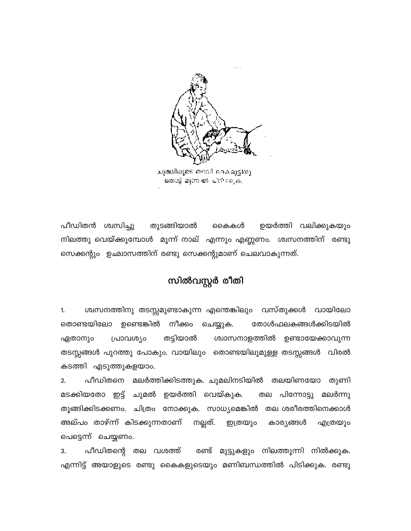

ചുമലിലുടെ തടവി ചെഖ്വട്ടിനു ഒതാട്ട് മൂന്ന ൽ പിറീ രൂ.ക.

പീഡിതൻ ശ്വസിച്ചു തുടങ്ങിയാൽ ഉയർത്തി വലിക്കുകയും കൈകൾ നിലത്തു വെയ്ക്കുമ്പോൾ മൂന്ന് നാല് എന്നും എണ്ണണം. ശ്വസനത്തിന് രണ്ടു സെക്കന്റും ഉഛ്വാസത്തിന് രണ്ടു സെക്കന്റുമാണ് ചെലവാകുന്നത്.

## സിൽവസ്റ്റർ രീതി

ശ്വസനത്തിനു തടസ്സമുണ്ടാകുന്ന എന്തെങ്കിലും വസ്തുക്കൾ വായിലോ 1. തൊണ്ടയിലോ ഉണ്ടെങ്കിൽ നീക്കം ചെയ്യുക. തോൾഫലകങ്ങൾക്കിടയിൽ ഏതാനും പ്രാവശ്യം തട്ടിയാൽ ശ്വാസനാളത്തിൽ ഉണ്ടായേക്കാവുന്ന തടസ്സങ്ങൾ പുറത്തു പോകും. വായിലും തൊണ്ടയിലുമുള്ള തടസ്സങ്ങൾ വിരൽ കടത്തി എടുത്തുകളയാം.

പീഡിതനെ മലർത്തിക്കിടത്തുക. ചുമലിനടിയിൽ തലയിണയോ തുണി  $2.$ മടക്കിയതോ ഇട്ട് ചുമൽ ഉയർത്തി വെയ്കുക. തല പിന്നോട്ടു മലർന്നു തൂങ്ങിക്കിടക്കണം. ചിത്രം നോക്കുക. സാധ്യമെങ്കിൽ തല ശരീരത്തിനെക്കാൾ അല്പം താഴ്ന്ന കിടക്കുന്നതാണ് നല്ലത്. ഇത്രയും കാര്യങ്ങൾ എത്രയും പെട്ടെന്ന് ചെയ്യണം.

പീഡിതന്റെ തല വശത്ത് രണ്ട് മുട്ടുകളും നിലത്തൂന്നി നിൽക്കുക. 3. എന്നിട്ട് അയാളുടെ രണ്ടു കൈകളുടെയും മണിബന്ധത്തിൽ പിടിക്കുക. രണ്ടു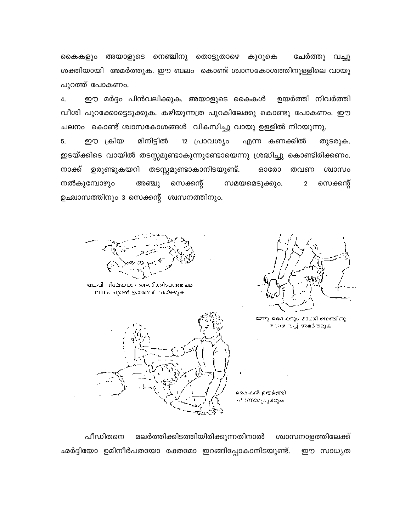കൈകളും അയാളുടെ നെഞ്ചിനു തൊട്ടുതാഴെ കുറുകെ ചേർത്തു വച്ചു ശക്തിയായി അമർത്തുക. ഈ ബലം കൊണ്ട് ശ്വാസകോശത്തിനുള്ളിലെ വായു പുറത്ത് പോകണം.

ഈ മർദ്ദം പിൻവലിക്കുക. അയാളുടെ കൈകൾ 4. ഉയർത്തി നിവർത്തി വീശി പുറക്കോട്ടെടുക്കുക. കഴിയുന്നത്ര പുറകിലേക്കു കൊണ്ടു പോകണം. ഈ ചലനം കൊണ്ട് ശ്വാസകോശങ്ങൾ വികസിച്ചു വായു ഉള്ളിൽ നിറയുന്നു.

5. ഈ ക്രിയ മിനിട്ടിൽ 12 പ്രാവശ്യം എന്ന കണക്കിൽ തുടരുക. ഇടയ്ക്കിടെ വായിൽ തടസ്സമുണ്ടാകുന്നുണ്ടോയെന്നു ശ്രദ്ധിച്ചു കൊണ്ടിരിക്കണം. ഉരുണ്ടുകയറി തടസ്സമുണ്ടാകാനിടയുണ്ട്. നാക്ക് **ഒാരോ** തവണ ശ്വാസം സമയമെടുക്കും. നൽകുമ്പോഴും അഞ്ചു സെക്കന്റ്  $\overline{2}$ സെക്കന്റ് ഉഛ്വാസത്തിനും 3 സെക്കന്റ് ശ്വസനത്തിനും.

തലപിന്നിലേയ്ക്കും തുംബിക്കിടക്ക<del>ത്തക</del>്ക വിധം ചുതർ ഉയർത്ഥി വയ്ക്കുക



രണ്വ കൈകളും മാക്കി നെഞ്ചിനു. താലെ വച്ച് അമർത്തുക





മലർത്തിക്കിടത്തിയിരിക്കുന്നതിനാൽ പീഡിതനെ ശ്വാസനാളത്തിലേക്ക് ഛർദ്ദിയോ ഉമിനീർപതയോ രക്തമോ ഇറങ്ങിപ്പോകാനിടയുണ്ട്. ഈ സാധ്യത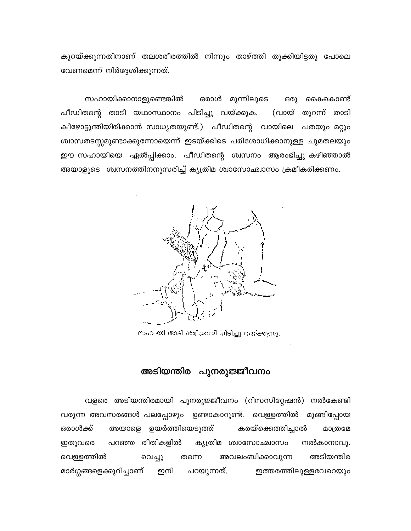കുറയ്ക്കുന്നതിനാണ് തലശരീരത്തിൽ നിന്നും താഴ്ത്തി തൂക്കിയിട്ടതു പോലെ വേണമെന്ന് നിർദ്ദേശിക്കുന്നത്.

സഹായിക്കാനാളുണ്ടെങ്കിൽ ഒരാൾ മുന്നിലുടെ ഒരു കൈകൊണ്ട് പീഡിതന്റെ താടി യഥാസ്ഥാനം പിടിച്ചു വയ്ക്കുക. (വായ് തുറന്ന് താടി കീഴോട്ടുന്തിയിരിക്കാൻ സാധ്യതയുണ്ട്.) പീഡിതന്റെ വായിലെ പതയും മറ്റും ശ്വാസതടസ്സമുണ്ടാക്കുന്നോയെന്ന് ഇടയ്ക്കിടെ പരിശോധിക്കാനുള്ള ചുമതലയും ഈ സഹായിയെ ഏൽപ്പിക്കാം. പീഡിതന്റെ ശ്വസനം ആരംഭിച്ചു കഴിഞ്ഞാൽ അയാളുടെ ശ്വസനത്തിനനുസരിച്ച് കൃത്രിമ ശ്വാസോഛ്വാസം ക്രമീകരിക്കണം.



നംഗായി താടി ശരിയായി ചിടിച്ചു വയ്ക്കുന്നു.

### അടിയന്തിര പുനരുജ്ജീവനം

വളരെ അടിയന്തിരമായി പുനരുജ്ജീവനം (റിസസിറ്റേഷൻ) നൽകേണ്ടി വരുന്ന അവസരങ്ങൾ പലപ്പോഴും ഉണ്ടാകാറുണ്ട്. വെള്ളത്തിൽ മുങ്ങിപ്പോയ അയാളെ ഉയർത്തിയെടുത്ത് കരയ്ക്കെത്തിച്ചാൽ ഒരാൾക്ക് മാത്രമേ കൃത്രിമ ശ്വാസോഛ്വാസം ഇതുവരെ പറഞ്ഞ രീതികളിൽ നൽകാനാവു. വെള്ളത്തിൽ തന്നെ അവലംബിക്കാവുന്ന അടിയന്തിര വെച്ചു മാർഗ്ഗങ്ങളെക്കുറിച്ചാണ് ഇനി പറയുന്നത്. ഇത്തരത്തിലുള്ളവേറെയും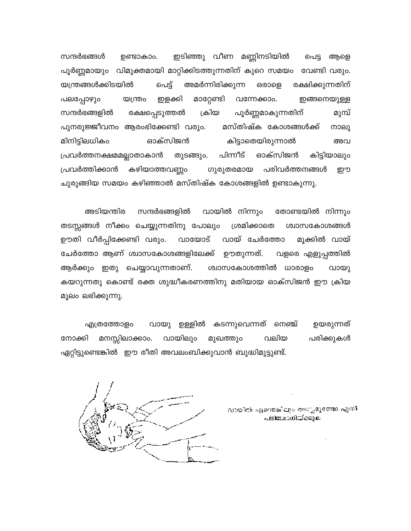സന്ദർഭങ്ങൾ ഇടിഞ്ഞു വീണ മണ്ണിനടിയിൽ പെട്ട ആളെ ഉണ്ടാകാം. പൂർണ്ണമായും വിമുക്തമായി മാറ്റിക്കിടത്തുന്നതിന് കുറെ സമയം വേണ്ടി വരും. യന്ത്രങ്ങൾക്കിടയിൽ പെട്ട് അമർന്നിരിക്കുന്ന രക്ഷിക്കുന്നതിന് ഒരാളെ പലപ്പോഴും മാറ്റേണ്ടി വന്നേക്കാം. ഇങ്ങനെയുള്ള യന്ത്രം ഇളക്കി പൂർണ്ണമാകുന്നതിന് സന്ദർഭങ്ങളിൽ രക്ഷപ്പെടുത്തൽ ക്രിയ മുമ്പ് മസ്തിഷ്ക കോശങ്ങൾക്ക് പുനരുജ്ജീവനം ആരംഭിക്കേണ്ടി വരും. നാലു മിനിട്ടിലധികം ഓക്സിജൻ കിട്ടാതെയിരുന്നാൽ അവ തുടങ്ങും. പിന്നീട് ഓക്സിജൻ കിട്ടിയാലും പ്രവർത്തനക്ഷമമല്ലാതാകാൻ കഴിയാത്തവണ്ണം പ്രവർത്തിക്കാൻ ഗുരുതരമായ പരിവർത്തനങ്ങൾ றற ചുരുങ്ങിയ സമയം കഴിഞ്ഞാൽ മസ്തിഷ്ക കോശങ്ങളിൽ ഉണ്ടാകുന്നു.

അടിയന്തിര സന്ദർഭങ്ങളിൽ വായിൽ നിന്നും തോണ്ടയിൽ നിന്നും തടസ്സങ്ങൾ നീക്കം ചെയ്യുന്നതിനു പോലും ശ്രമിക്കാതെ ശ്വാസകോശങ്ങൾ ഊതി വീർപ്പിക്കേണ്ടി വരും. വായോട് വായ് ചേർത്തോ മൂക്കിൽ വായ് ചേർത്തോ ആണ് ശ്വാസകോശങ്ങളിലേക്ക് ഊതുന്നത്. വളരെ എളുപ്പത്തിൽ ആർക്കും ഇതു ചെയ്യാവുന്നതാണ്. ശ്വാസകോശത്തിൽ ധാരാളം വായു കയറുന്നതു കൊണ്ട് രക്ത ശുദ്ധീകരണത്തിനു മതിയായ ഓക്സിജൻ ഈ ക്രിയ മൂലം ലഭിക്കുന്നു.

എത്രത്തോളം വായു ഉള്ളിൽ കടന്നുവെന്നത് നെഞ്ച് ഉയരുന്നത് നോക്കി മനസ്സിലാക്കാം. വായിലും വലിയ പരിക്കുകൾ മുഖത്തും ഏറ്റിട്ടുണ്ടെങ്കിൽ ഈ രീതി അവലംബിക്കുവാൻ ബുദ്ധിമുട്ടുണ്ട്.



വായിൽ എന്തെങ്കിലും തടസ്സമുണ്ടോ എന്ന് പരിശോധിയ്ക്കുക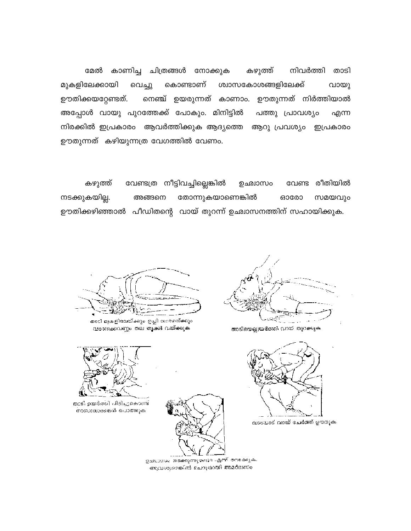മേൽ കാണിച്ച ചിത്രങ്ങൾ നോക്കുക കഴുത്ത് നിവർത്തി താടി മുകളിലേക്കായി കൊണ്ടാണ് ശ്വാസകോശങ്ങളിലേക്ക് വായു വെച്ചു ഊതിക്കയറ്റേണ്ടത്. നെഞ്ച് ഉയരുന്നത് കാണാം. ഊതുന്നത് നിർത്തിയാൽ അപ്പോൾ വായു പുറത്തേക്ക് പോകും. മിനിട്ടിൽ പത്തു പ്രാവശ്യം എന്ന നിരക്കിൽ ഇപ്രകാരം ആവർത്തിക്കുക ആദ്യത്തെ ആറു പ്രവശ്യം ഇപ്രകാരം ഊതുന്നത് കഴിയുന്നത്ര വേഗത്തിൽ വേണം.

വേണ്ടത്ര നീട്ടിവച്ചില്ലെങ്കിൽ കഴുത്ത് ഉഛ്വാസം വേണ്ട രീതിയിൽ നടക്കുകയില്ല. തോന്നുകയാണെങ്കിൽ ഓരോ സമയവും അങ്ങനെ ഊതിക്കഴിഞ്ഞാൽ പീഡിതന്റെ വായ് തുറന്ന് ഉഛ്വാസനത്തിന് സഹായിക്കുക.

താടിയെല്ലുയർന്തി വായി തുറക്കുക



വാദയാട് വായ് ചേർത്ത് ഊതുക.



തുട്ടി ഉയർത്തി പിടിച്ചുകൊണ്ട്.

താടി മുകളിലേയ്ക്കും ഇച്ചി താരഴത്ക്കും

വരണക്കവണ്ണം തല തൂക്കി വയ്ക്കുക

നാസാധാരങ്ങൾ പൊത്തുക

ഉഛാസം നടക്കുന്നുണ്ടോ എന്ന് നേക്കുക. ആവശ്യമെങ്കിൽ ചെറുതായി അമർത്താം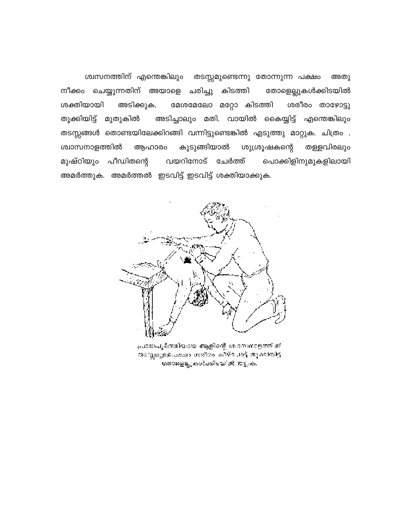ശ്വസനത്തിന് എന്തെങ്കിലും തടസ്സമുണ്ടെന്നു തോന്നുന്ന പക്ഷം അതു നീക്കം ചെയ്യുന്നതിന് അയാളെ ചരിച്ചു കിടത്തി തോളെല്ലുകൾക്കിടയിൽ ശക്തിയായി അടിക്കുക. ശരീരം താഴോട്ടു മേശമേലോ മറ്റോ കിടത്തി തുക്കിയിട്ട് മുതുകിൽ അടിച്ചാലും മതി. വായിൽ കൈയ്യിട്ട് എന്തെങ്കിലും തടസ്സങ്ങൾ തൊണ്ടയിലേക്കിറങ്ങി വന്നിട്ടുണ്ടെങ്കിൽ എടുത്തു മാറ്റുക. ചിത്രം . കുടുങ്ങിയാൽ ശുശ്രൂഷകന്റെ ശ്വാസനാളത്തിൽ തള്ളവിരലും ആഹാരം മുഷ്ഠിയും പീഡിതന്റെ വയറിനോട് ചേർത്ത് പൊക്കിളിനുമുകളിലായി അമർത്തുക. അമർത്തൽ ഇടവിട്ട് ഇടവിട്ട് ശക്തിയാക്കുക.



പ്രായപൂർത്തിയായ ആളിന്റെ ശ.മെന്നാളത്തിൽ തലസ്സമുള്ളപക്ഷം ശതീരം കീഴ്ചോട്ട് തുക്കിയിട്ട് ശതാളെല്ലുകൾക്കിടയിൽ തട്ടുക.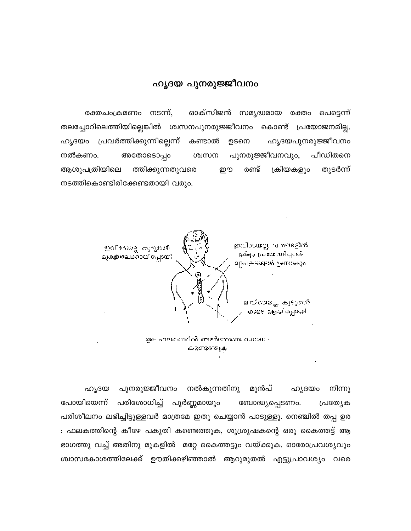### ഹൃദയ പുനരുജ്ജീവനം

രക്തചംക്രമണം നടന്ന്, ഓക്സിജൻ സമൃദ്ധമായ രക്തം പെട്ടെന്ന് തലച്ചോറിലെത്തിയില്ലെങ്കിൽ ശ്വസനപുനരുജ്ജീവനം കൊണ്ട് പ്രയോജനമില്ല. ഹൃദയം പ്രവർത്തിക്കുന്നില്ലെന്ന് കണ്ടാൽ ഹൃദയപുനരുജ്ജീവനം ഉടനെ പുനരുജ്ജീവനവും, പീഡിതനെ നൽകണം. അതോടൊപ്പം ശ്വസന ആശുപത്രിയിലെ ത്തിക്കുന്നതുവരെ രണ്ട് ക്രിയകളും തുടർന്ന് றூ നടത്തികൊണ്ടിരിക്കേണ്ടതായി വരും.



ഉരം ഫലകഗതിൽ അമർത്തേണ്ട സ്ഥാനം കണ്ടെത്തുക

പുനരുജ്ജീവനം നൽകുന്നതിനു ഹൃദയം നിന്നു ഹൃദയ മുൻപ് പോയിയെന്ന് പരിശോധിച്ച് പൂർണ്ണമായും ബോദ്ധ്യപ്പെടണം. പ്രത്യേക പരിശീലനം ലഭിച്ചിട്ടുള്ളവർ മാത്രമേ ഇതു ചെയ്യാൻ പാടുള്ളൂ. നെഞ്ചിൽ തപ്പ ഉര : ഫലകത്തിന്റെ കീഴേ പകുതി കണ്ടെത്തുക, ശുശ്രൂഷകന്റെ ഒരു കൈത്തട്ട് ആ ഭാഗത്തു വച്ച് അതിനു മുകളിൽ മറ്റേ കൈത്തട്ടും വയ്ക്കുക. ഓരോപ്രവശ്യവും ശ്വാസകോശത്തിലേക്ക് ഊതിക്കഴിഞ്ഞാൽ ആറുമുതൽ എട്ടുപ്രാവശ്യം വരെ